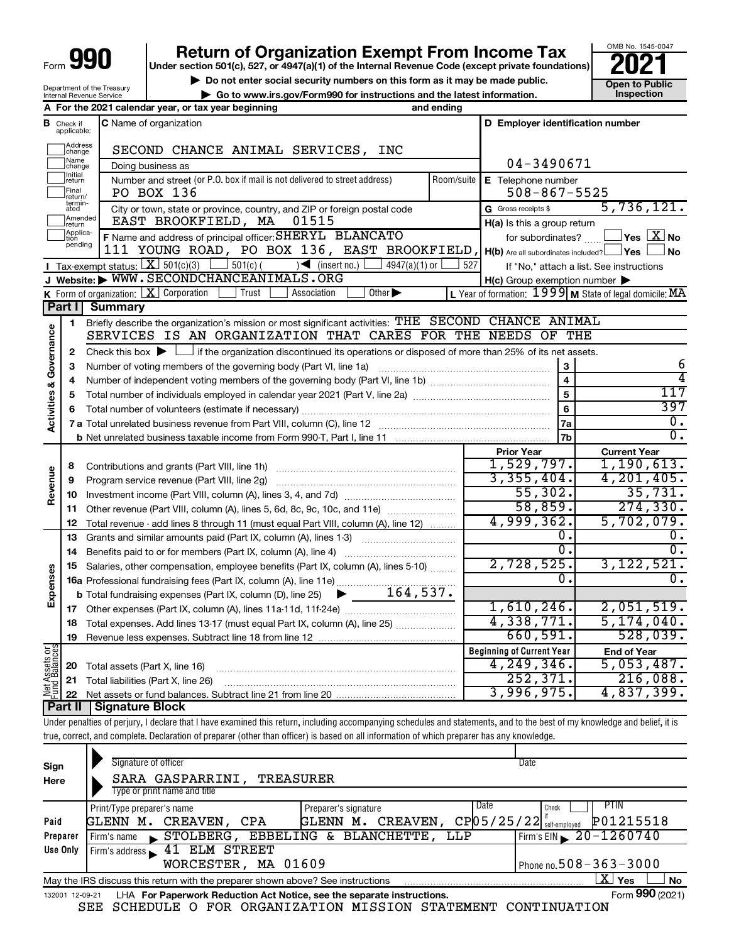# **Return of Organization Exempt From Income Tax**<br>r section 501(c), 527, or 4947(a)(1) of the Internal Revenue Code (except private foundations)<br>**202**

**Under section 501(c), 527, or 4947(a)(1) of the Internal Revenue Code (except private foundations)**

▶ Do not enter social security numbers on this form as it may be made public. <br>**● Go to www.irs.gov/Form990 for instructions and the latest information.** Inspection **| Go to www.irs.gov/Form990 for instructions and the latest information. Inspection**

OMB No. 1545-0047

|  | Department of the Treasury<br><b>Internal Revenue Service</b> |  |
|--|---------------------------------------------------------------|--|
|  | ----                                                          |  |

|                                                        |                             | A For the 2021 calendar year, or tax year beginning                                                                                                                        | and ending              |                                                         |                                                           |
|--------------------------------------------------------|-----------------------------|----------------------------------------------------------------------------------------------------------------------------------------------------------------------------|-------------------------|---------------------------------------------------------|-----------------------------------------------------------|
| В                                                      | Check if<br>applicable:     | <b>C</b> Name of organization                                                                                                                                              |                         | D Employer identification number                        |                                                           |
|                                                        | Address<br>change           | SECOND CHANCE ANIMAL SERVICES, INC                                                                                                                                         |                         |                                                         |                                                           |
|                                                        | Name<br>change              | Doing business as                                                                                                                                                          |                         | 04-3490671                                              |                                                           |
|                                                        | Initial<br>return           | Number and street (or P.O. box if mail is not delivered to street address)                                                                                                 | Room/suite              | E Telephone number                                      |                                                           |
|                                                        | Final<br>return/            | PO BOX 136                                                                                                                                                                 |                         | $508 - 867 - 5525$                                      |                                                           |
|                                                        | termin-<br>ated             | City or town, state or province, country, and ZIP or foreign postal code                                                                                                   |                         | G Gross receipts \$                                     | 5,736,121.                                                |
|                                                        | Amended<br>return           | EAST BROOKFIELD, MA<br>01515                                                                                                                                               |                         | H(a) Is this a group return                             |                                                           |
|                                                        | Applica-<br>tion<br>pending | F Name and address of principal officer: SHERYL BLANCATO                                                                                                                   |                         | for subordinates?                                       | $\Box$ Yes $[\overline{\mathrm{X}}]$ No                   |
|                                                        |                             | 111 YOUNG ROAD, PO BOX 136, EAST BROOKFIELD,                                                                                                                               |                         | $H(b)$ Are all subordinates included? $\Box$ Yes $\Box$ | J No                                                      |
|                                                        |                             | <b>I</b> Tax-exempt status: $X \ 501(c)(3)$ $1 \ 501(c)$<br>$\sqrt{\frac{1}{1}}$ (insert no.)<br>$4947(a)(1)$ or                                                           | 527                     |                                                         | If "No," attach a list. See instructions                  |
|                                                        |                             | J Website: WWW.SECONDCHANCEANIMALS.ORG                                                                                                                                     |                         | $H(c)$ Group exemption number $\blacktriangleright$     |                                                           |
|                                                        |                             | <b>K</b> Form of organization: $\boxed{\mathbf{X}}$ Corporation<br>Trust<br>Other $\blacktriangleright$<br>Association                                                     |                         |                                                         | L Year of formation: $1999$ M State of legal domicile: MA |
|                                                        | Part I                      | <b>Summary</b>                                                                                                                                                             |                         |                                                         |                                                           |
|                                                        | $\mathbf{1}$                | Briefly describe the organization's mission or most significant activities: THE SECOND CHANCE ANIMAL                                                                       |                         |                                                         |                                                           |
| Activities & Governance                                |                             | SERVICES IS AN ORGANIZATION THAT CARES FOR THE NEEDS OF THE                                                                                                                |                         |                                                         |                                                           |
|                                                        | $\mathbf{2}$                | Check this box $\blacktriangleright$ $\Box$ if the organization discontinued its operations or disposed of more than 25% of its net assets.                                |                         |                                                         |                                                           |
|                                                        | 3                           |                                                                                                                                                                            |                         |                                                         | 6                                                         |
|                                                        | 4                           |                                                                                                                                                                            | $\overline{\mathbf{4}}$ |                                                         |                                                           |
|                                                        | 5                           |                                                                                                                                                                            | 5                       | 117                                                     |                                                           |
|                                                        | 6                           |                                                                                                                                                                            | 6                       | 397                                                     |                                                           |
|                                                        |                             | 7 a Total unrelated business revenue from Part VIII, column (C), line 12                                                                                                   |                         | 7a                                                      | 0.                                                        |
|                                                        |                             |                                                                                                                                                                            |                         | 7b                                                      | $\overline{0}$ .                                          |
|                                                        |                             |                                                                                                                                                                            |                         | <b>Prior Year</b>                                       | <b>Current Year</b>                                       |
|                                                        | 8                           |                                                                                                                                                                            |                         | 1,529,797.                                              | 1, 190, 613.                                              |
| Revenue                                                | 9                           | Program service revenue (Part VIII, line 2g)                                                                                                                               |                         | 3,355,404.                                              | 4, 201, 405.                                              |
|                                                        | 10                          |                                                                                                                                                                            |                         | 55,302.                                                 | 35,731.                                                   |
|                                                        | 11                          | Other revenue (Part VIII, column (A), lines 5, 6d, 8c, 9c, 10c, and 11e)                                                                                                   |                         | 58,859.                                                 | 274, 330.                                                 |
|                                                        | 12                          | Total revenue - add lines 8 through 11 (must equal Part VIII, column (A), line 12)                                                                                         |                         | 4,999,362.                                              | 5,702,079.                                                |
|                                                        | 13                          | Grants and similar amounts paid (Part IX, column (A), lines 1-3)                                                                                                           |                         | 0.                                                      | $0$ .                                                     |
|                                                        | 14                          | Benefits paid to or for members (Part IX, column (A), line 4)                                                                                                              |                         | 0.                                                      | $\overline{0}$ .                                          |
|                                                        | 15                          | Salaries, other compensation, employee benefits (Part IX, column (A), lines 5-10)                                                                                          |                         | 2,728,525.                                              | 3, 122, 521.                                              |
|                                                        |                             | 16a Professional fundraising fees (Part IX, column (A), line 11e)                                                                                                          |                         | Ω.                                                      | 0.                                                        |
| Expenses                                               |                             | <b>b</b> Total fundraising expenses (Part IX, column (D), line 25) $\blacktriangleright$ $164, 537.$                                                                       |                         |                                                         |                                                           |
|                                                        | 17                          |                                                                                                                                                                            |                         | 1,610,246.                                              | 2,051,519.                                                |
|                                                        | 18                          | Total expenses. Add lines 13-17 (must equal Part IX, column (A), line 25)                                                                                                  |                         | 4,338,771.                                              | 5, 174, 040.                                              |
|                                                        | 19                          |                                                                                                                                                                            |                         | 660,591.                                                | 528,039.                                                  |
| or<br>ces                                              |                             |                                                                                                                                                                            |                         | <b>Beginning of Current Year</b>                        | <b>End of Year</b>                                        |
| <b>Assets</b><br>Balano                                | 20                          | Total assets (Part X, line 16)                                                                                                                                             | 4, 249, 346.            | 5,053,487.                                              |                                                           |
| 252, 371.<br>Total liabilities (Part X, line 26)<br>21 |                             |                                                                                                                                                                            |                         | 216,088.                                                |                                                           |
|                                                        | 22                          |                                                                                                                                                                            |                         | 3,996,975.                                              | 4,837,399.                                                |
|                                                        | Part II                     | <b>Signature Block</b>                                                                                                                                                     |                         |                                                         |                                                           |
|                                                        |                             | Under penalties of perjury, I declare that I have examined this return, including accompanying schedules and statements, and to the best of my knowledge and belief, it is |                         |                                                         |                                                           |

true, correct, and complete. Declaration of preparer (other than officer) is based on all information of which preparer has any knowledge.

| Sign<br>Here                                                                                              | Signature of officer<br>SARA GASPARRINI,<br><b>TREASURER</b><br>Type or print name and title                 | Date                                                                                    |  |  |  |
|-----------------------------------------------------------------------------------------------------------|--------------------------------------------------------------------------------------------------------------|-----------------------------------------------------------------------------------------|--|--|--|
|                                                                                                           | Date<br>Print/Type preparer's name<br>Preparer's signature                                                   | PTIN<br>Check                                                                           |  |  |  |
| Paid                                                                                                      | CREAVEN,<br>CREAVEN,<br>GLENN M.<br>CPA<br><b>GLENN</b><br>м.                                                | P01215518<br>$CP$ <sup>05</sup> /25/22 <sup>[<math>\frac{1}{S}</math>elf-employed</sup> |  |  |  |
| Preparer                                                                                                  | EBBELING & BLANCHETTE,<br>STOLBERG,<br>LLP<br>l Firm's name                                                  | Firm's EIN $\sqrt{20-1260740}$                                                          |  |  |  |
| Use Only                                                                                                  | ELM STREET<br>41<br>Firm's address                                                                           |                                                                                         |  |  |  |
|                                                                                                           | MA 01609<br>WORCESTER,                                                                                       | Phone no. $508 - 363 - 3000$                                                            |  |  |  |
| x.<br>Yes<br><b>No</b><br>May the IRS discuss this return with the preparer shown above? See instructions |                                                                                                              |                                                                                         |  |  |  |
|                                                                                                           | Form 990 (2021)<br>LHA For Paperwork Reduction Act Notice, see the separate instructions.<br>132001 12-09-21 |                                                                                         |  |  |  |

SEE SCHEDULE O FOR ORGANIZATION MISSION STATEMENT CONTINUATION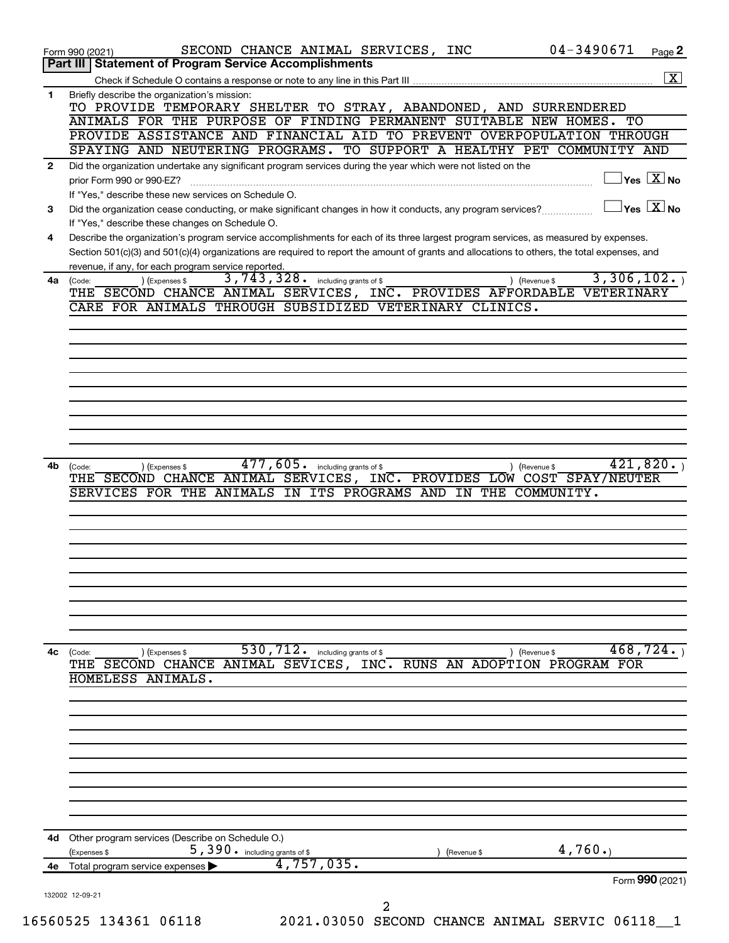|              | SECOND CHANCE ANIMAL SERVICES, INC<br>Form 990 (2021)                                                                                                                                   | 04-3490671<br>Page 2                          |
|--------------|-----------------------------------------------------------------------------------------------------------------------------------------------------------------------------------------|-----------------------------------------------|
|              | Part III   Statement of Program Service Accomplishments                                                                                                                                 |                                               |
|              |                                                                                                                                                                                         |                                               |
| 1.           | Briefly describe the organization's mission:<br>TO PROVIDE TEMPORARY SHELTER TO STRAY, ABANDONED, AND SURRENDERED                                                                       |                                               |
|              | ANIMALS FOR THE PURPOSE OF FINDING PERMANENT SUITABLE NEW HOMES. TO                                                                                                                     |                                               |
|              | PROVIDE ASSISTANCE AND FINANCIAL AID TO PREVENT OVERPOPULATION THROUGH                                                                                                                  |                                               |
|              | SPAYING AND NEUTERING PROGRAMS. TO SUPPORT A HEALTHY PET COMMUNITY AND                                                                                                                  |                                               |
| $\mathbf{2}$ | Did the organization undertake any significant program services during the year which were not listed on the                                                                            |                                               |
|              | prior Form 990 or 990-EZ?                                                                                                                                                               | $\overline{\ }$ Yes $\overline{\rm \bf X}$ No |
|              | If "Yes," describe these new services on Schedule O.                                                                                                                                    | $\gamma$ es $\boxed{\text{X}}$ No             |
| 3            | Did the organization cease conducting, or make significant changes in how it conducts, any program services?                                                                            |                                               |
| 4            | If "Yes," describe these changes on Schedule O.<br>Describe the organization's program service accomplishments for each of its three largest program services, as measured by expenses. |                                               |
|              | Section 501(c)(3) and 501(c)(4) organizations are required to report the amount of grants and allocations to others, the total expenses, and                                            |                                               |
|              | revenue, if any, for each program service reported.                                                                                                                                     |                                               |
| 4a           | 3,743,328. including grants of \$<br>(Expenses \$<br>(Code:                                                                                                                             | 3,306,102.<br>) (Revenue \$                   |
|              | THE SECOND CHANCE ANIMAL SERVICES, INC. PROVIDES AFFORDABLE                                                                                                                             | <b>VETERINARY</b>                             |
|              | CARE FOR ANIMALS THROUGH SUBSIDIZED VETERINARY CLINICS.                                                                                                                                 |                                               |
|              |                                                                                                                                                                                         |                                               |
|              |                                                                                                                                                                                         |                                               |
|              |                                                                                                                                                                                         |                                               |
|              |                                                                                                                                                                                         |                                               |
|              |                                                                                                                                                                                         |                                               |
|              |                                                                                                                                                                                         |                                               |
|              |                                                                                                                                                                                         |                                               |
|              |                                                                                                                                                                                         |                                               |
| 4b           | 477, 605. including grants of \$                                                                                                                                                        | 421,820.                                      |
|              | (Expenses \$<br>(Code:<br>THE SECOND CHANCE ANIMAL SERVICES, INC. PROVIDES LOW COST SPAY/NEUTER                                                                                         | ) (Revenue \$                                 |
|              | SERVICES FOR THE ANIMALS<br>IN ITS PROGRAMS AND<br>IN THE                                                                                                                               | COMMUNITY.                                    |
|              |                                                                                                                                                                                         |                                               |
|              |                                                                                                                                                                                         |                                               |
|              |                                                                                                                                                                                         |                                               |
|              |                                                                                                                                                                                         |                                               |
|              |                                                                                                                                                                                         |                                               |
|              |                                                                                                                                                                                         |                                               |
|              |                                                                                                                                                                                         |                                               |
|              |                                                                                                                                                                                         |                                               |
|              |                                                                                                                                                                                         |                                               |
| 4c           | $530, 712$ . including grants of \$<br>(Code:<br>) (Expenses \$                                                                                                                         | 468,724.<br>) (Revenue \$                     |
|              | THE SECOND CHANCE ANIMAL SEVICES, INC. RUNS AN ADOPTION PROGRAM FOR<br>HOMELESS ANIMALS.                                                                                                |                                               |
|              |                                                                                                                                                                                         |                                               |
|              |                                                                                                                                                                                         |                                               |
|              |                                                                                                                                                                                         |                                               |
|              |                                                                                                                                                                                         |                                               |
|              |                                                                                                                                                                                         |                                               |
|              |                                                                                                                                                                                         |                                               |
|              |                                                                                                                                                                                         |                                               |
|              |                                                                                                                                                                                         |                                               |
|              |                                                                                                                                                                                         |                                               |
| 4d.          | Other program services (Describe on Schedule O.)                                                                                                                                        |                                               |
|              | 5,390. including grants of \$<br>(Expenses \$<br>(Revenue \$                                                                                                                            | 4,760.                                        |
| 4e           | 4,757,035.<br>Total program service expenses                                                                                                                                            |                                               |
|              |                                                                                                                                                                                         | Form 990 (2021)                               |
|              | 132002 12-09-21                                                                                                                                                                         |                                               |
|              | 2                                                                                                                                                                                       |                                               |
|              | 16560525 134361 06118<br>2021.03050 SECOND CHANCE ANIMAL SERVIC 06118_1                                                                                                                 |                                               |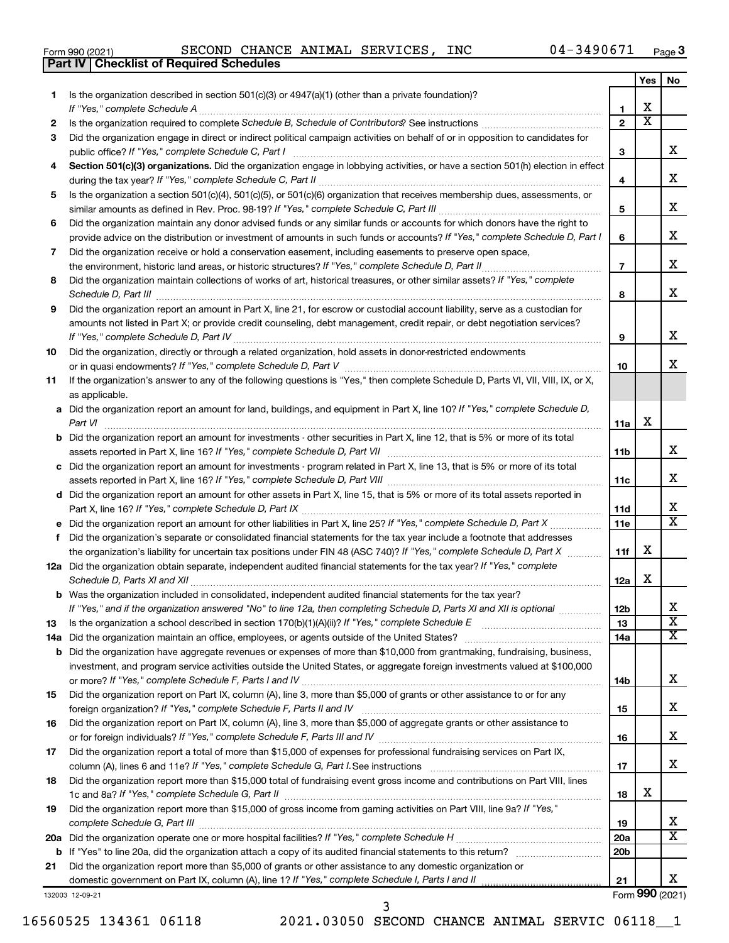|  | Form 990 (2021) |
|--|-----------------|
|  |                 |

**Part IV Checklist of Required Schedules**

Form 990 (2021)  $\begin{array}{cccc} \text{SECOND CHANCE ANIMAL SERVICES, INC} \end{array}$  04-3490671  $\begin{array}{cccc} \text{Page} \end{array}$ 

|    |                                                                                                                                                                                                                                           |                 | Yes | No                      |
|----|-------------------------------------------------------------------------------------------------------------------------------------------------------------------------------------------------------------------------------------------|-----------------|-----|-------------------------|
| 1  | Is the organization described in section $501(c)(3)$ or $4947(a)(1)$ (other than a private foundation)?                                                                                                                                   |                 |     |                         |
|    | If "Yes," complete Schedule A                                                                                                                                                                                                             | 1               | x   |                         |
| 2  |                                                                                                                                                                                                                                           | $\mathbf{2}$    | x   |                         |
| 3  | Did the organization engage in direct or indirect political campaign activities on behalf of or in opposition to candidates for                                                                                                           |                 |     |                         |
|    | public office? If "Yes," complete Schedule C, Part I                                                                                                                                                                                      | 3               |     | x.                      |
| 4  | Section 501(c)(3) organizations. Did the organization engage in lobbying activities, or have a section 501(h) election in effect                                                                                                          |                 |     |                         |
|    |                                                                                                                                                                                                                                           | 4               |     | x                       |
| 5  | Is the organization a section 501(c)(4), 501(c)(5), or 501(c)(6) organization that receives membership dues, assessments, or                                                                                                              |                 |     | x                       |
|    |                                                                                                                                                                                                                                           | 5               |     |                         |
| 6  | Did the organization maintain any donor advised funds or any similar funds or accounts for which donors have the right to                                                                                                                 |                 |     | x                       |
|    | provide advice on the distribution or investment of amounts in such funds or accounts? If "Yes," complete Schedule D, Part I<br>Did the organization receive or hold a conservation easement, including easements to preserve open space, | 6               |     |                         |
| 7  |                                                                                                                                                                                                                                           | $\overline{7}$  |     | x                       |
| 8  | Did the organization maintain collections of works of art, historical treasures, or other similar assets? If "Yes," complete                                                                                                              |                 |     |                         |
|    |                                                                                                                                                                                                                                           | 8               |     | x                       |
| 9  | Did the organization report an amount in Part X, line 21, for escrow or custodial account liability, serve as a custodian for                                                                                                             |                 |     |                         |
|    | amounts not listed in Part X; or provide credit counseling, debt management, credit repair, or debt negotiation services?                                                                                                                 |                 |     |                         |
|    |                                                                                                                                                                                                                                           | 9               |     | x                       |
| 10 | Did the organization, directly or through a related organization, hold assets in donor-restricted endowments                                                                                                                              |                 |     |                         |
|    |                                                                                                                                                                                                                                           | 10              |     | x.                      |
| 11 | If the organization's answer to any of the following questions is "Yes," then complete Schedule D, Parts VI, VII, VIII, IX, or X,                                                                                                         |                 |     |                         |
|    | as applicable.                                                                                                                                                                                                                            |                 |     |                         |
|    | a Did the organization report an amount for land, buildings, and equipment in Part X, line 10? If "Yes," complete Schedule D,                                                                                                             |                 |     |                         |
|    | Part VI                                                                                                                                                                                                                                   | 11a             | х   |                         |
|    | <b>b</b> Did the organization report an amount for investments - other securities in Part X, line 12, that is 5% or more of its total                                                                                                     |                 |     |                         |
|    |                                                                                                                                                                                                                                           | 11b             |     | x                       |
|    | c Did the organization report an amount for investments - program related in Part X, line 13, that is 5% or more of its total                                                                                                             |                 |     |                         |
|    |                                                                                                                                                                                                                                           | 11c             |     | x                       |
|    | d Did the organization report an amount for other assets in Part X, line 15, that is 5% or more of its total assets reported in                                                                                                           |                 |     |                         |
|    |                                                                                                                                                                                                                                           | 11d             |     | x                       |
|    | e Did the organization report an amount for other liabilities in Part X, line 25? If "Yes," complete Schedule D, Part X                                                                                                                   | <b>11e</b>      |     | $\overline{\mathbf{X}}$ |
| f. | Did the organization's separate or consolidated financial statements for the tax year include a footnote that addresses                                                                                                                   |                 |     |                         |
|    | the organization's liability for uncertain tax positions under FIN 48 (ASC 740)? If "Yes," complete Schedule D, Part X                                                                                                                    | 11f             | x   |                         |
|    | 12a Did the organization obtain separate, independent audited financial statements for the tax year? If "Yes," complete                                                                                                                   |                 | x   |                         |
|    | Schedule D, Parts XI and XII<br>b Was the organization included in consolidated, independent audited financial statements for the tax year?                                                                                               | 12a             |     |                         |
|    | If "Yes," and if the organization answered "No" to line 12a, then completing Schedule D, Parts XI and XII is optional www.                                                                                                                | 12 <sub>b</sub> |     | Х                       |
| 13 | Is the organization a school described in section 170(b)(1)(A)(ii)? If "Yes," complete Schedule E [[[[[[[[[[[[                                                                                                                            | 13              |     | $\overline{\text{x}}$   |
|    | 14a Did the organization maintain an office, employees, or agents outside of the United States?                                                                                                                                           | 14a             |     | x                       |
|    | <b>b</b> Did the organization have aggregate revenues or expenses of more than \$10,000 from grantmaking, fundraising, business,                                                                                                          |                 |     |                         |
|    | investment, and program service activities outside the United States, or aggregate foreign investments valued at \$100,000                                                                                                                |                 |     |                         |
|    |                                                                                                                                                                                                                                           | 14b             |     | x                       |
| 15 | Did the organization report on Part IX, column (A), line 3, more than \$5,000 of grants or other assistance to or for any                                                                                                                 |                 |     |                         |
|    |                                                                                                                                                                                                                                           | 15              |     | x                       |
| 16 | Did the organization report on Part IX, column (A), line 3, more than \$5,000 of aggregate grants or other assistance to                                                                                                                  |                 |     |                         |
|    |                                                                                                                                                                                                                                           | 16              |     | x                       |
| 17 | Did the organization report a total of more than \$15,000 of expenses for professional fundraising services on Part IX,                                                                                                                   |                 |     |                         |
|    |                                                                                                                                                                                                                                           | 17              |     | x                       |
| 18 | Did the organization report more than \$15,000 total of fundraising event gross income and contributions on Part VIII, lines                                                                                                              |                 |     |                         |
|    |                                                                                                                                                                                                                                           | 18              | x   |                         |
| 19 | Did the organization report more than \$15,000 of gross income from gaming activities on Part VIII, line 9a? If "Yes,"                                                                                                                    |                 |     |                         |
|    |                                                                                                                                                                                                                                           | 19              |     | x<br>x                  |
|    |                                                                                                                                                                                                                                           | <b>20a</b>      |     |                         |
|    |                                                                                                                                                                                                                                           | 20 <sub>b</sub> |     |                         |
| 21 | Did the organization report more than \$5,000 of grants or other assistance to any domestic organization or                                                                                                                               | 21              |     | x                       |
|    |                                                                                                                                                                                                                                           |                 |     |                         |

132003 12-09-21

16560525 134361 06118 2021.03050 SECOND CHANCE ANIMAL SERVIC 06118\_\_1

3

Form (2021) **990**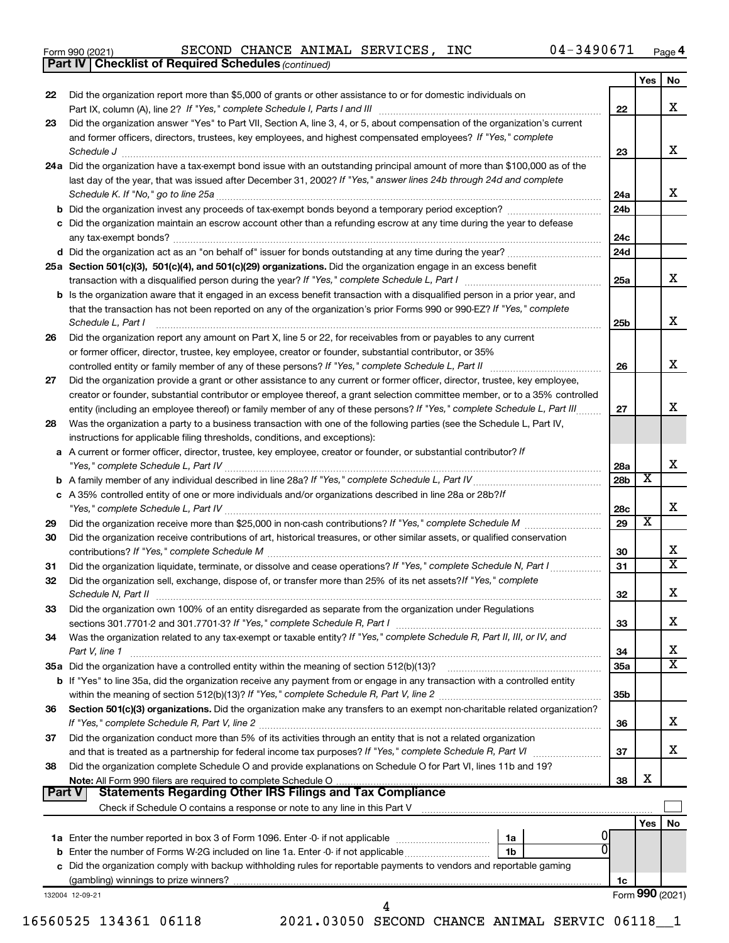*(continued)* **Part IV Checklist of Required Schedules**

| 22            | Did the organization report more than \$5,000 of grants or other assistance to or for domestic individuals on                                                                                                                                          |                   | Yes | No                      |
|---------------|--------------------------------------------------------------------------------------------------------------------------------------------------------------------------------------------------------------------------------------------------------|-------------------|-----|-------------------------|
|               |                                                                                                                                                                                                                                                        | 22                |     | X                       |
| 23            | Did the organization answer "Yes" to Part VII, Section A, line 3, 4, or 5, about compensation of the organization's current                                                                                                                            |                   |     |                         |
|               | and former officers, directors, trustees, key employees, and highest compensated employees? If "Yes," complete                                                                                                                                         |                   |     | X                       |
|               | Schedule J <b>Execute Schedule J Execute Schedule J</b>                                                                                                                                                                                                | 23                |     |                         |
|               | 24a Did the organization have a tax-exempt bond issue with an outstanding principal amount of more than \$100,000 as of the<br>last day of the year, that was issued after December 31, 2002? If "Yes," answer lines 24b through 24d and complete      |                   |     |                         |
|               |                                                                                                                                                                                                                                                        | 24a               |     | X                       |
|               |                                                                                                                                                                                                                                                        | 24b               |     |                         |
|               | c Did the organization maintain an escrow account other than a refunding escrow at any time during the year to defease                                                                                                                                 |                   |     |                         |
|               |                                                                                                                                                                                                                                                        | 24c               |     |                         |
|               |                                                                                                                                                                                                                                                        | 24d               |     |                         |
|               | 25a Section 501(c)(3), 501(c)(4), and 501(c)(29) organizations. Did the organization engage in an excess benefit                                                                                                                                       |                   |     |                         |
|               |                                                                                                                                                                                                                                                        | 25a               |     | X                       |
|               | <b>b</b> Is the organization aware that it engaged in an excess benefit transaction with a disqualified person in a prior year, and                                                                                                                    |                   |     |                         |
|               | that the transaction has not been reported on any of the organization's prior Forms 990 or 990-EZ? If "Yes," complete<br>Schedule L, Part I                                                                                                            | 25b               |     | X                       |
| 26            | Did the organization report any amount on Part X, line 5 or 22, for receivables from or payables to any current                                                                                                                                        |                   |     |                         |
|               | or former officer, director, trustee, key employee, creator or founder, substantial contributor, or 35%                                                                                                                                                |                   |     |                         |
|               | controlled entity or family member of any of these persons? If "Yes," complete Schedule L, Part II                                                                                                                                                     | 26                |     | х                       |
| 27            | Did the organization provide a grant or other assistance to any current or former officer, director, trustee, key employee,                                                                                                                            |                   |     |                         |
|               | creator or founder, substantial contributor or employee thereof, a grant selection committee member, or to a 35% controlled                                                                                                                            |                   |     |                         |
|               | entity (including an employee thereof) or family member of any of these persons? If "Yes," complete Schedule L, Part III                                                                                                                               | 27                |     | х                       |
| 28            | Was the organization a party to a business transaction with one of the following parties (see the Schedule L, Part IV,                                                                                                                                 |                   |     |                         |
|               | instructions for applicable filing thresholds, conditions, and exceptions):                                                                                                                                                                            |                   |     |                         |
|               | a A current or former officer, director, trustee, key employee, creator or founder, or substantial contributor? If                                                                                                                                     |                   |     | X                       |
|               |                                                                                                                                                                                                                                                        | 28a<br><b>28b</b> | X   |                         |
|               | c A 35% controlled entity of one or more individuals and/or organizations described in line 28a or 28b? If                                                                                                                                             |                   |     |                         |
|               |                                                                                                                                                                                                                                                        | 28c               |     | X                       |
| 29            |                                                                                                                                                                                                                                                        | 29                | X   |                         |
| 30            | Did the organization receive contributions of art, historical treasures, or other similar assets, or qualified conservation                                                                                                                            |                   |     |                         |
|               |                                                                                                                                                                                                                                                        | 30                |     | х                       |
| 31            | Did the organization liquidate, terminate, or dissolve and cease operations? If "Yes," complete Schedule N, Part I                                                                                                                                     | 31                |     | $\overline{\textbf{x}}$ |
| 32            | Did the organization sell, exchange, dispose of, or transfer more than 25% of its net assets? If "Yes," complete<br>Schedule N, Part II <b>Markov Markov Alexander Alexander Schedule N</b> , Part II <b>Markov Markov Markov Markov Markov Markov</b> | 32                |     | X                       |
| 33            | Did the organization own 100% of an entity disregarded as separate from the organization under Regulations                                                                                                                                             |                   |     |                         |
|               |                                                                                                                                                                                                                                                        | 33                |     | x                       |
| 34            | Was the organization related to any tax-exempt or taxable entity? If "Yes," complete Schedule R, Part II, III, or IV, and                                                                                                                              |                   |     |                         |
|               | Part V, line 1                                                                                                                                                                                                                                         | 34                |     | х                       |
|               |                                                                                                                                                                                                                                                        | 35a               |     | $\overline{\texttt{x}}$ |
|               | b If "Yes" to line 35a, did the organization receive any payment from or engage in any transaction with a controlled entity                                                                                                                            |                   |     |                         |
|               |                                                                                                                                                                                                                                                        | 35 <sub>b</sub>   |     |                         |
| 36            | Section 501(c)(3) organizations. Did the organization make any transfers to an exempt non-charitable related organization?                                                                                                                             |                   |     | x                       |
| 37            | Did the organization conduct more than 5% of its activities through an entity that is not a related organization                                                                                                                                       | 36                |     |                         |
|               |                                                                                                                                                                                                                                                        | 37                |     | х                       |
| 38            | Did the organization complete Schedule O and provide explanations on Schedule O for Part VI, lines 11b and 19?                                                                                                                                         |                   |     |                         |
|               |                                                                                                                                                                                                                                                        | 38                | х   |                         |
|               |                                                                                                                                                                                                                                                        |                   |     |                         |
| <b>Part V</b> |                                                                                                                                                                                                                                                        |                   |     |                         |
|               |                                                                                                                                                                                                                                                        |                   |     |                         |
|               |                                                                                                                                                                                                                                                        |                   | Yes |                         |
|               | 1a<br>0<br>1 <sub>b</sub>                                                                                                                                                                                                                              |                   |     |                         |
|               |                                                                                                                                                                                                                                                        |                   |     | No                      |
|               | c Did the organization comply with backup withholding rules for reportable payments to vendors and reportable gaming                                                                                                                                   | 1c                |     |                         |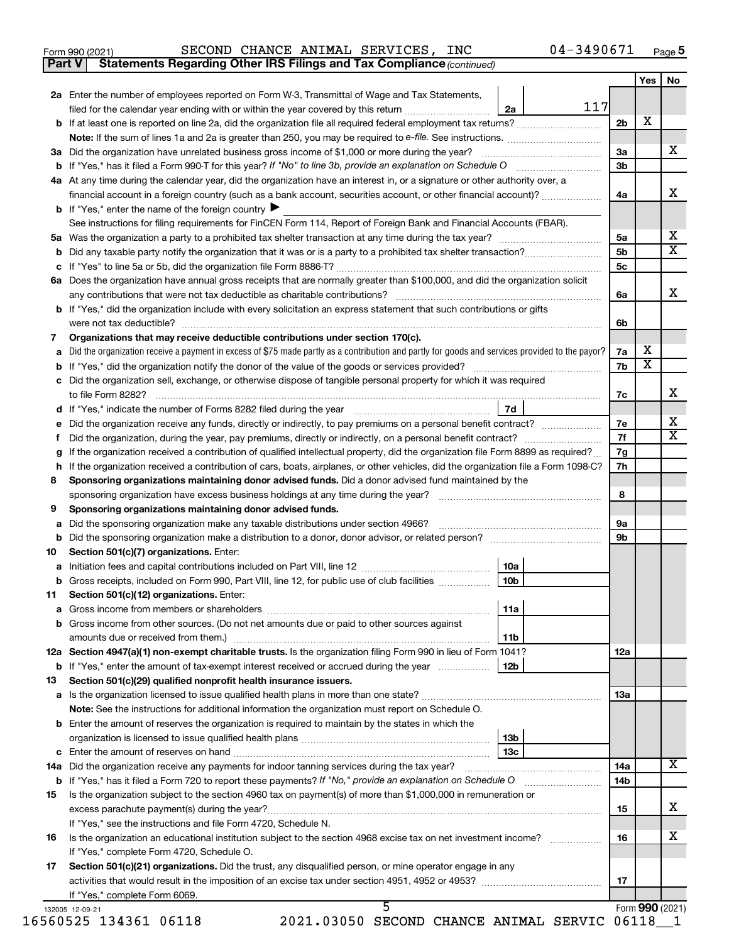| Form 990 (2021) |  | SECOND CHANCE ANIMAL SERVICES, | <b>INC</b> | 04-3490671 | Page 5 |
|-----------------|--|--------------------------------|------------|------------|--------|
|-----------------|--|--------------------------------|------------|------------|--------|

**Part V Statements Regarding Other IRS Filings and Tax Compliance**

*(continued)*

| 2a Enter the number of employees reported on Form W-3, Transmittal of Wage and Tax Statements,<br>filed for the calendar year ending with or within the year covered by this return | 2a                                                                                                                                                                                                                                                                                                                                                                                                                                                                                                                                                                                                                                                                                                                                                                                                                                                                                                                                                                                                                                                                                    | 117                                                                                                                                                               | 2 <sub>b</sub>                                                                                                                                                                                                                                                                                                                                                                                                                                                                                                                                                                                                                                                                                                                                                                                                                                                                                                                                                                                                                                                                                                                                                                                                                                                                                                                                                                                           | х                                                                                                                                                     |                              |
|-------------------------------------------------------------------------------------------------------------------------------------------------------------------------------------|---------------------------------------------------------------------------------------------------------------------------------------------------------------------------------------------------------------------------------------------------------------------------------------------------------------------------------------------------------------------------------------------------------------------------------------------------------------------------------------------------------------------------------------------------------------------------------------------------------------------------------------------------------------------------------------------------------------------------------------------------------------------------------------------------------------------------------------------------------------------------------------------------------------------------------------------------------------------------------------------------------------------------------------------------------------------------------------|-------------------------------------------------------------------------------------------------------------------------------------------------------------------|----------------------------------------------------------------------------------------------------------------------------------------------------------------------------------------------------------------------------------------------------------------------------------------------------------------------------------------------------------------------------------------------------------------------------------------------------------------------------------------------------------------------------------------------------------------------------------------------------------------------------------------------------------------------------------------------------------------------------------------------------------------------------------------------------------------------------------------------------------------------------------------------------------------------------------------------------------------------------------------------------------------------------------------------------------------------------------------------------------------------------------------------------------------------------------------------------------------------------------------------------------------------------------------------------------------------------------------------------------------------------------------------------------|-------------------------------------------------------------------------------------------------------------------------------------------------------|------------------------------|
|                                                                                                                                                                                     |                                                                                                                                                                                                                                                                                                                                                                                                                                                                                                                                                                                                                                                                                                                                                                                                                                                                                                                                                                                                                                                                                       |                                                                                                                                                                   |                                                                                                                                                                                                                                                                                                                                                                                                                                                                                                                                                                                                                                                                                                                                                                                                                                                                                                                                                                                                                                                                                                                                                                                                                                                                                                                                                                                                          |                                                                                                                                                       |                              |
|                                                                                                                                                                                     |                                                                                                                                                                                                                                                                                                                                                                                                                                                                                                                                                                                                                                                                                                                                                                                                                                                                                                                                                                                                                                                                                       |                                                                                                                                                                   |                                                                                                                                                                                                                                                                                                                                                                                                                                                                                                                                                                                                                                                                                                                                                                                                                                                                                                                                                                                                                                                                                                                                                                                                                                                                                                                                                                                                          |                                                                                                                                                       |                              |
|                                                                                                                                                                                     |                                                                                                                                                                                                                                                                                                                                                                                                                                                                                                                                                                                                                                                                                                                                                                                                                                                                                                                                                                                                                                                                                       |                                                                                                                                                                   |                                                                                                                                                                                                                                                                                                                                                                                                                                                                                                                                                                                                                                                                                                                                                                                                                                                                                                                                                                                                                                                                                                                                                                                                                                                                                                                                                                                                          |                                                                                                                                                       |                              |
| 3a Did the organization have unrelated business gross income of \$1,000 or more during the year?                                                                                    |                                                                                                                                                                                                                                                                                                                                                                                                                                                                                                                                                                                                                                                                                                                                                                                                                                                                                                                                                                                                                                                                                       |                                                                                                                                                                   | За                                                                                                                                                                                                                                                                                                                                                                                                                                                                                                                                                                                                                                                                                                                                                                                                                                                                                                                                                                                                                                                                                                                                                                                                                                                                                                                                                                                                       |                                                                                                                                                       | х                            |
|                                                                                                                                                                                     |                                                                                                                                                                                                                                                                                                                                                                                                                                                                                                                                                                                                                                                                                                                                                                                                                                                                                                                                                                                                                                                                                       |                                                                                                                                                                   | 3 <sub>b</sub>                                                                                                                                                                                                                                                                                                                                                                                                                                                                                                                                                                                                                                                                                                                                                                                                                                                                                                                                                                                                                                                                                                                                                                                                                                                                                                                                                                                           |                                                                                                                                                       |                              |
| At any time during the calendar year, did the organization have an interest in, or a signature or other authority over, a                                                           |                                                                                                                                                                                                                                                                                                                                                                                                                                                                                                                                                                                                                                                                                                                                                                                                                                                                                                                                                                                                                                                                                       |                                                                                                                                                                   |                                                                                                                                                                                                                                                                                                                                                                                                                                                                                                                                                                                                                                                                                                                                                                                                                                                                                                                                                                                                                                                                                                                                                                                                                                                                                                                                                                                                          |                                                                                                                                                       |                              |
| financial account in a foreign country (such as a bank account, securities account, or other financial account)?                                                                    |                                                                                                                                                                                                                                                                                                                                                                                                                                                                                                                                                                                                                                                                                                                                                                                                                                                                                                                                                                                                                                                                                       |                                                                                                                                                                   | 4a                                                                                                                                                                                                                                                                                                                                                                                                                                                                                                                                                                                                                                                                                                                                                                                                                                                                                                                                                                                                                                                                                                                                                                                                                                                                                                                                                                                                       |                                                                                                                                                       | х                            |
|                                                                                                                                                                                     |                                                                                                                                                                                                                                                                                                                                                                                                                                                                                                                                                                                                                                                                                                                                                                                                                                                                                                                                                                                                                                                                                       |                                                                                                                                                                   |                                                                                                                                                                                                                                                                                                                                                                                                                                                                                                                                                                                                                                                                                                                                                                                                                                                                                                                                                                                                                                                                                                                                                                                                                                                                                                                                                                                                          |                                                                                                                                                       |                              |
|                                                                                                                                                                                     |                                                                                                                                                                                                                                                                                                                                                                                                                                                                                                                                                                                                                                                                                                                                                                                                                                                                                                                                                                                                                                                                                       |                                                                                                                                                                   |                                                                                                                                                                                                                                                                                                                                                                                                                                                                                                                                                                                                                                                                                                                                                                                                                                                                                                                                                                                                                                                                                                                                                                                                                                                                                                                                                                                                          |                                                                                                                                                       |                              |
|                                                                                                                                                                                     |                                                                                                                                                                                                                                                                                                                                                                                                                                                                                                                                                                                                                                                                                                                                                                                                                                                                                                                                                                                                                                                                                       |                                                                                                                                                                   |                                                                                                                                                                                                                                                                                                                                                                                                                                                                                                                                                                                                                                                                                                                                                                                                                                                                                                                                                                                                                                                                                                                                                                                                                                                                                                                                                                                                          |                                                                                                                                                       | х                            |
|                                                                                                                                                                                     |                                                                                                                                                                                                                                                                                                                                                                                                                                                                                                                                                                                                                                                                                                                                                                                                                                                                                                                                                                                                                                                                                       |                                                                                                                                                                   |                                                                                                                                                                                                                                                                                                                                                                                                                                                                                                                                                                                                                                                                                                                                                                                                                                                                                                                                                                                                                                                                                                                                                                                                                                                                                                                                                                                                          |                                                                                                                                                       | $\overline{\textbf{X}}$      |
|                                                                                                                                                                                     |                                                                                                                                                                                                                                                                                                                                                                                                                                                                                                                                                                                                                                                                                                                                                                                                                                                                                                                                                                                                                                                                                       |                                                                                                                                                                   |                                                                                                                                                                                                                                                                                                                                                                                                                                                                                                                                                                                                                                                                                                                                                                                                                                                                                                                                                                                                                                                                                                                                                                                                                                                                                                                                                                                                          |                                                                                                                                                       |                              |
|                                                                                                                                                                                     |                                                                                                                                                                                                                                                                                                                                                                                                                                                                                                                                                                                                                                                                                                                                                                                                                                                                                                                                                                                                                                                                                       |                                                                                                                                                                   |                                                                                                                                                                                                                                                                                                                                                                                                                                                                                                                                                                                                                                                                                                                                                                                                                                                                                                                                                                                                                                                                                                                                                                                                                                                                                                                                                                                                          |                                                                                                                                                       |                              |
|                                                                                                                                                                                     |                                                                                                                                                                                                                                                                                                                                                                                                                                                                                                                                                                                                                                                                                                                                                                                                                                                                                                                                                                                                                                                                                       |                                                                                                                                                                   |                                                                                                                                                                                                                                                                                                                                                                                                                                                                                                                                                                                                                                                                                                                                                                                                                                                                                                                                                                                                                                                                                                                                                                                                                                                                                                                                                                                                          |                                                                                                                                                       | х                            |
|                                                                                                                                                                                     |                                                                                                                                                                                                                                                                                                                                                                                                                                                                                                                                                                                                                                                                                                                                                                                                                                                                                                                                                                                                                                                                                       |                                                                                                                                                                   |                                                                                                                                                                                                                                                                                                                                                                                                                                                                                                                                                                                                                                                                                                                                                                                                                                                                                                                                                                                                                                                                                                                                                                                                                                                                                                                                                                                                          |                                                                                                                                                       |                              |
|                                                                                                                                                                                     |                                                                                                                                                                                                                                                                                                                                                                                                                                                                                                                                                                                                                                                                                                                                                                                                                                                                                                                                                                                                                                                                                       |                                                                                                                                                                   |                                                                                                                                                                                                                                                                                                                                                                                                                                                                                                                                                                                                                                                                                                                                                                                                                                                                                                                                                                                                                                                                                                                                                                                                                                                                                                                                                                                                          |                                                                                                                                                       |                              |
|                                                                                                                                                                                     |                                                                                                                                                                                                                                                                                                                                                                                                                                                                                                                                                                                                                                                                                                                                                                                                                                                                                                                                                                                                                                                                                       |                                                                                                                                                                   |                                                                                                                                                                                                                                                                                                                                                                                                                                                                                                                                                                                                                                                                                                                                                                                                                                                                                                                                                                                                                                                                                                                                                                                                                                                                                                                                                                                                          |                                                                                                                                                       |                              |
|                                                                                                                                                                                     |                                                                                                                                                                                                                                                                                                                                                                                                                                                                                                                                                                                                                                                                                                                                                                                                                                                                                                                                                                                                                                                                                       |                                                                                                                                                                   |                                                                                                                                                                                                                                                                                                                                                                                                                                                                                                                                                                                                                                                                                                                                                                                                                                                                                                                                                                                                                                                                                                                                                                                                                                                                                                                                                                                                          |                                                                                                                                                       |                              |
|                                                                                                                                                                                     |                                                                                                                                                                                                                                                                                                                                                                                                                                                                                                                                                                                                                                                                                                                                                                                                                                                                                                                                                                                                                                                                                       |                                                                                                                                                                   |                                                                                                                                                                                                                                                                                                                                                                                                                                                                                                                                                                                                                                                                                                                                                                                                                                                                                                                                                                                                                                                                                                                                                                                                                                                                                                                                                                                                          |                                                                                                                                                       |                              |
|                                                                                                                                                                                     |                                                                                                                                                                                                                                                                                                                                                                                                                                                                                                                                                                                                                                                                                                                                                                                                                                                                                                                                                                                                                                                                                       |                                                                                                                                                                   |                                                                                                                                                                                                                                                                                                                                                                                                                                                                                                                                                                                                                                                                                                                                                                                                                                                                                                                                                                                                                                                                                                                                                                                                                                                                                                                                                                                                          |                                                                                                                                                       |                              |
|                                                                                                                                                                                     |                                                                                                                                                                                                                                                                                                                                                                                                                                                                                                                                                                                                                                                                                                                                                                                                                                                                                                                                                                                                                                                                                       |                                                                                                                                                                   |                                                                                                                                                                                                                                                                                                                                                                                                                                                                                                                                                                                                                                                                                                                                                                                                                                                                                                                                                                                                                                                                                                                                                                                                                                                                                                                                                                                                          |                                                                                                                                                       | х                            |
|                                                                                                                                                                                     |                                                                                                                                                                                                                                                                                                                                                                                                                                                                                                                                                                                                                                                                                                                                                                                                                                                                                                                                                                                                                                                                                       |                                                                                                                                                                   |                                                                                                                                                                                                                                                                                                                                                                                                                                                                                                                                                                                                                                                                                                                                                                                                                                                                                                                                                                                                                                                                                                                                                                                                                                                                                                                                                                                                          |                                                                                                                                                       |                              |
|                                                                                                                                                                                     |                                                                                                                                                                                                                                                                                                                                                                                                                                                                                                                                                                                                                                                                                                                                                                                                                                                                                                                                                                                                                                                                                       |                                                                                                                                                                   |                                                                                                                                                                                                                                                                                                                                                                                                                                                                                                                                                                                                                                                                                                                                                                                                                                                                                                                                                                                                                                                                                                                                                                                                                                                                                                                                                                                                          |                                                                                                                                                       | х                            |
|                                                                                                                                                                                     |                                                                                                                                                                                                                                                                                                                                                                                                                                                                                                                                                                                                                                                                                                                                                                                                                                                                                                                                                                                                                                                                                       |                                                                                                                                                                   |                                                                                                                                                                                                                                                                                                                                                                                                                                                                                                                                                                                                                                                                                                                                                                                                                                                                                                                                                                                                                                                                                                                                                                                                                                                                                                                                                                                                          |                                                                                                                                                       | $\overline{\textbf{X}}$      |
|                                                                                                                                                                                     |                                                                                                                                                                                                                                                                                                                                                                                                                                                                                                                                                                                                                                                                                                                                                                                                                                                                                                                                                                                                                                                                                       |                                                                                                                                                                   |                                                                                                                                                                                                                                                                                                                                                                                                                                                                                                                                                                                                                                                                                                                                                                                                                                                                                                                                                                                                                                                                                                                                                                                                                                                                                                                                                                                                          |                                                                                                                                                       |                              |
|                                                                                                                                                                                     |                                                                                                                                                                                                                                                                                                                                                                                                                                                                                                                                                                                                                                                                                                                                                                                                                                                                                                                                                                                                                                                                                       |                                                                                                                                                                   |                                                                                                                                                                                                                                                                                                                                                                                                                                                                                                                                                                                                                                                                                                                                                                                                                                                                                                                                                                                                                                                                                                                                                                                                                                                                                                                                                                                                          |                                                                                                                                                       |                              |
|                                                                                                                                                                                     |                                                                                                                                                                                                                                                                                                                                                                                                                                                                                                                                                                                                                                                                                                                                                                                                                                                                                                                                                                                                                                                                                       |                                                                                                                                                                   |                                                                                                                                                                                                                                                                                                                                                                                                                                                                                                                                                                                                                                                                                                                                                                                                                                                                                                                                                                                                                                                                                                                                                                                                                                                                                                                                                                                                          |                                                                                                                                                       |                              |
|                                                                                                                                                                                     |                                                                                                                                                                                                                                                                                                                                                                                                                                                                                                                                                                                                                                                                                                                                                                                                                                                                                                                                                                                                                                                                                       |                                                                                                                                                                   |                                                                                                                                                                                                                                                                                                                                                                                                                                                                                                                                                                                                                                                                                                                                                                                                                                                                                                                                                                                                                                                                                                                                                                                                                                                                                                                                                                                                          |                                                                                                                                                       |                              |
|                                                                                                                                                                                     |                                                                                                                                                                                                                                                                                                                                                                                                                                                                                                                                                                                                                                                                                                                                                                                                                                                                                                                                                                                                                                                                                       |                                                                                                                                                                   |                                                                                                                                                                                                                                                                                                                                                                                                                                                                                                                                                                                                                                                                                                                                                                                                                                                                                                                                                                                                                                                                                                                                                                                                                                                                                                                                                                                                          |                                                                                                                                                       |                              |
|                                                                                                                                                                                     |                                                                                                                                                                                                                                                                                                                                                                                                                                                                                                                                                                                                                                                                                                                                                                                                                                                                                                                                                                                                                                                                                       |                                                                                                                                                                   |                                                                                                                                                                                                                                                                                                                                                                                                                                                                                                                                                                                                                                                                                                                                                                                                                                                                                                                                                                                                                                                                                                                                                                                                                                                                                                                                                                                                          |                                                                                                                                                       |                              |
|                                                                                                                                                                                     |                                                                                                                                                                                                                                                                                                                                                                                                                                                                                                                                                                                                                                                                                                                                                                                                                                                                                                                                                                                                                                                                                       |                                                                                                                                                                   |                                                                                                                                                                                                                                                                                                                                                                                                                                                                                                                                                                                                                                                                                                                                                                                                                                                                                                                                                                                                                                                                                                                                                                                                                                                                                                                                                                                                          |                                                                                                                                                       |                              |
|                                                                                                                                                                                     |                                                                                                                                                                                                                                                                                                                                                                                                                                                                                                                                                                                                                                                                                                                                                                                                                                                                                                                                                                                                                                                                                       |                                                                                                                                                                   |                                                                                                                                                                                                                                                                                                                                                                                                                                                                                                                                                                                                                                                                                                                                                                                                                                                                                                                                                                                                                                                                                                                                                                                                                                                                                                                                                                                                          |                                                                                                                                                       |                              |
|                                                                                                                                                                                     |                                                                                                                                                                                                                                                                                                                                                                                                                                                                                                                                                                                                                                                                                                                                                                                                                                                                                                                                                                                                                                                                                       |                                                                                                                                                                   |                                                                                                                                                                                                                                                                                                                                                                                                                                                                                                                                                                                                                                                                                                                                                                                                                                                                                                                                                                                                                                                                                                                                                                                                                                                                                                                                                                                                          |                                                                                                                                                       |                              |
|                                                                                                                                                                                     |                                                                                                                                                                                                                                                                                                                                                                                                                                                                                                                                                                                                                                                                                                                                                                                                                                                                                                                                                                                                                                                                                       |                                                                                                                                                                   |                                                                                                                                                                                                                                                                                                                                                                                                                                                                                                                                                                                                                                                                                                                                                                                                                                                                                                                                                                                                                                                                                                                                                                                                                                                                                                                                                                                                          |                                                                                                                                                       |                              |
|                                                                                                                                                                                     |                                                                                                                                                                                                                                                                                                                                                                                                                                                                                                                                                                                                                                                                                                                                                                                                                                                                                                                                                                                                                                                                                       |                                                                                                                                                                   |                                                                                                                                                                                                                                                                                                                                                                                                                                                                                                                                                                                                                                                                                                                                                                                                                                                                                                                                                                                                                                                                                                                                                                                                                                                                                                                                                                                                          |                                                                                                                                                       |                              |
|                                                                                                                                                                                     |                                                                                                                                                                                                                                                                                                                                                                                                                                                                                                                                                                                                                                                                                                                                                                                                                                                                                                                                                                                                                                                                                       |                                                                                                                                                                   |                                                                                                                                                                                                                                                                                                                                                                                                                                                                                                                                                                                                                                                                                                                                                                                                                                                                                                                                                                                                                                                                                                                                                                                                                                                                                                                                                                                                          |                                                                                                                                                       |                              |
|                                                                                                                                                                                     |                                                                                                                                                                                                                                                                                                                                                                                                                                                                                                                                                                                                                                                                                                                                                                                                                                                                                                                                                                                                                                                                                       |                                                                                                                                                                   |                                                                                                                                                                                                                                                                                                                                                                                                                                                                                                                                                                                                                                                                                                                                                                                                                                                                                                                                                                                                                                                                                                                                                                                                                                                                                                                                                                                                          |                                                                                                                                                       |                              |
|                                                                                                                                                                                     |                                                                                                                                                                                                                                                                                                                                                                                                                                                                                                                                                                                                                                                                                                                                                                                                                                                                                                                                                                                                                                                                                       |                                                                                                                                                                   |                                                                                                                                                                                                                                                                                                                                                                                                                                                                                                                                                                                                                                                                                                                                                                                                                                                                                                                                                                                                                                                                                                                                                                                                                                                                                                                                                                                                          |                                                                                                                                                       |                              |
|                                                                                                                                                                                     |                                                                                                                                                                                                                                                                                                                                                                                                                                                                                                                                                                                                                                                                                                                                                                                                                                                                                                                                                                                                                                                                                       |                                                                                                                                                                   |                                                                                                                                                                                                                                                                                                                                                                                                                                                                                                                                                                                                                                                                                                                                                                                                                                                                                                                                                                                                                                                                                                                                                                                                                                                                                                                                                                                                          |                                                                                                                                                       |                              |
|                                                                                                                                                                                     |                                                                                                                                                                                                                                                                                                                                                                                                                                                                                                                                                                                                                                                                                                                                                                                                                                                                                                                                                                                                                                                                                       |                                                                                                                                                                   |                                                                                                                                                                                                                                                                                                                                                                                                                                                                                                                                                                                                                                                                                                                                                                                                                                                                                                                                                                                                                                                                                                                                                                                                                                                                                                                                                                                                          |                                                                                                                                                       |                              |
|                                                                                                                                                                                     |                                                                                                                                                                                                                                                                                                                                                                                                                                                                                                                                                                                                                                                                                                                                                                                                                                                                                                                                                                                                                                                                                       |                                                                                                                                                                   |                                                                                                                                                                                                                                                                                                                                                                                                                                                                                                                                                                                                                                                                                                                                                                                                                                                                                                                                                                                                                                                                                                                                                                                                                                                                                                                                                                                                          |                                                                                                                                                       |                              |
|                                                                                                                                                                                     |                                                                                                                                                                                                                                                                                                                                                                                                                                                                                                                                                                                                                                                                                                                                                                                                                                                                                                                                                                                                                                                                                       |                                                                                                                                                                   |                                                                                                                                                                                                                                                                                                                                                                                                                                                                                                                                                                                                                                                                                                                                                                                                                                                                                                                                                                                                                                                                                                                                                                                                                                                                                                                                                                                                          |                                                                                                                                                       |                              |
|                                                                                                                                                                                     |                                                                                                                                                                                                                                                                                                                                                                                                                                                                                                                                                                                                                                                                                                                                                                                                                                                                                                                                                                                                                                                                                       |                                                                                                                                                                   |                                                                                                                                                                                                                                                                                                                                                                                                                                                                                                                                                                                                                                                                                                                                                                                                                                                                                                                                                                                                                                                                                                                                                                                                                                                                                                                                                                                                          |                                                                                                                                                       |                              |
|                                                                                                                                                                                     |                                                                                                                                                                                                                                                                                                                                                                                                                                                                                                                                                                                                                                                                                                                                                                                                                                                                                                                                                                                                                                                                                       |                                                                                                                                                                   |                                                                                                                                                                                                                                                                                                                                                                                                                                                                                                                                                                                                                                                                                                                                                                                                                                                                                                                                                                                                                                                                                                                                                                                                                                                                                                                                                                                                          |                                                                                                                                                       |                              |
|                                                                                                                                                                                     |                                                                                                                                                                                                                                                                                                                                                                                                                                                                                                                                                                                                                                                                                                                                                                                                                                                                                                                                                                                                                                                                                       |                                                                                                                                                                   |                                                                                                                                                                                                                                                                                                                                                                                                                                                                                                                                                                                                                                                                                                                                                                                                                                                                                                                                                                                                                                                                                                                                                                                                                                                                                                                                                                                                          |                                                                                                                                                       |                              |
|                                                                                                                                                                                     |                                                                                                                                                                                                                                                                                                                                                                                                                                                                                                                                                                                                                                                                                                                                                                                                                                                                                                                                                                                                                                                                                       |                                                                                                                                                                   |                                                                                                                                                                                                                                                                                                                                                                                                                                                                                                                                                                                                                                                                                                                                                                                                                                                                                                                                                                                                                                                                                                                                                                                                                                                                                                                                                                                                          |                                                                                                                                                       |                              |
|                                                                                                                                                                                     |                                                                                                                                                                                                                                                                                                                                                                                                                                                                                                                                                                                                                                                                                                                                                                                                                                                                                                                                                                                                                                                                                       |                                                                                                                                                                   |                                                                                                                                                                                                                                                                                                                                                                                                                                                                                                                                                                                                                                                                                                                                                                                                                                                                                                                                                                                                                                                                                                                                                                                                                                                                                                                                                                                                          |                                                                                                                                                       | X                            |
|                                                                                                                                                                                     |                                                                                                                                                                                                                                                                                                                                                                                                                                                                                                                                                                                                                                                                                                                                                                                                                                                                                                                                                                                                                                                                                       |                                                                                                                                                                   |                                                                                                                                                                                                                                                                                                                                                                                                                                                                                                                                                                                                                                                                                                                                                                                                                                                                                                                                                                                                                                                                                                                                                                                                                                                                                                                                                                                                          |                                                                                                                                                       |                              |
|                                                                                                                                                                                     |                                                                                                                                                                                                                                                                                                                                                                                                                                                                                                                                                                                                                                                                                                                                                                                                                                                                                                                                                                                                                                                                                       |                                                                                                                                                                   |                                                                                                                                                                                                                                                                                                                                                                                                                                                                                                                                                                                                                                                                                                                                                                                                                                                                                                                                                                                                                                                                                                                                                                                                                                                                                                                                                                                                          |                                                                                                                                                       |                              |
|                                                                                                                                                                                     |                                                                                                                                                                                                                                                                                                                                                                                                                                                                                                                                                                                                                                                                                                                                                                                                                                                                                                                                                                                                                                                                                       |                                                                                                                                                                   |                                                                                                                                                                                                                                                                                                                                                                                                                                                                                                                                                                                                                                                                                                                                                                                                                                                                                                                                                                                                                                                                                                                                                                                                                                                                                                                                                                                                          |                                                                                                                                                       | x                            |
|                                                                                                                                                                                     |                                                                                                                                                                                                                                                                                                                                                                                                                                                                                                                                                                                                                                                                                                                                                                                                                                                                                                                                                                                                                                                                                       |                                                                                                                                                                   |                                                                                                                                                                                                                                                                                                                                                                                                                                                                                                                                                                                                                                                                                                                                                                                                                                                                                                                                                                                                                                                                                                                                                                                                                                                                                                                                                                                                          |                                                                                                                                                       |                              |
|                                                                                                                                                                                     |                                                                                                                                                                                                                                                                                                                                                                                                                                                                                                                                                                                                                                                                                                                                                                                                                                                                                                                                                                                                                                                                                       |                                                                                                                                                                   |                                                                                                                                                                                                                                                                                                                                                                                                                                                                                                                                                                                                                                                                                                                                                                                                                                                                                                                                                                                                                                                                                                                                                                                                                                                                                                                                                                                                          |                                                                                                                                                       | x                            |
|                                                                                                                                                                                     |                                                                                                                                                                                                                                                                                                                                                                                                                                                                                                                                                                                                                                                                                                                                                                                                                                                                                                                                                                                                                                                                                       |                                                                                                                                                                   |                                                                                                                                                                                                                                                                                                                                                                                                                                                                                                                                                                                                                                                                                                                                                                                                                                                                                                                                                                                                                                                                                                                                                                                                                                                                                                                                                                                                          |                                                                                                                                                       |                              |
|                                                                                                                                                                                     |                                                                                                                                                                                                                                                                                                                                                                                                                                                                                                                                                                                                                                                                                                                                                                                                                                                                                                                                                                                                                                                                                       |                                                                                                                                                                   |                                                                                                                                                                                                                                                                                                                                                                                                                                                                                                                                                                                                                                                                                                                                                                                                                                                                                                                                                                                                                                                                                                                                                                                                                                                                                                                                                                                                          |                                                                                                                                                       |                              |
|                                                                                                                                                                                     |                                                                                                                                                                                                                                                                                                                                                                                                                                                                                                                                                                                                                                                                                                                                                                                                                                                                                                                                                                                                                                                                                       |                                                                                                                                                                   |                                                                                                                                                                                                                                                                                                                                                                                                                                                                                                                                                                                                                                                                                                                                                                                                                                                                                                                                                                                                                                                                                                                                                                                                                                                                                                                                                                                                          |                                                                                                                                                       |                              |
|                                                                                                                                                                                     |                                                                                                                                                                                                                                                                                                                                                                                                                                                                                                                                                                                                                                                                                                                                                                                                                                                                                                                                                                                                                                                                                       |                                                                                                                                                                   | 17                                                                                                                                                                                                                                                                                                                                                                                                                                                                                                                                                                                                                                                                                                                                                                                                                                                                                                                                                                                                                                                                                                                                                                                                                                                                                                                                                                                                       |                                                                                                                                                       |                              |
| If "Yes," complete Form 6069.                                                                                                                                                       |                                                                                                                                                                                                                                                                                                                                                                                                                                                                                                                                                                                                                                                                                                                                                                                                                                                                                                                                                                                                                                                                                       |                                                                                                                                                                   |                                                                                                                                                                                                                                                                                                                                                                                                                                                                                                                                                                                                                                                                                                                                                                                                                                                                                                                                                                                                                                                                                                                                                                                                                                                                                                                                                                                                          |                                                                                                                                                       |                              |
|                                                                                                                                                                                     | <b>b</b> If "Yes," enter the name of the foreign country<br>Organizations that may receive deductible contributions under section 170(c).<br>sponsoring organization have excess business holdings at any time during the year?<br>Sponsoring organizations maintaining donor advised funds.<br>Did the sponsoring organization make any taxable distributions under section 4966?<br>Section 501(c)(7) organizations. Enter:<br>b Gross receipts, included on Form 990, Part VIII, line 12, for public use of club facilities<br>Section 501(c)(12) organizations. Enter:<br><b>b</b> Gross income from other sources. (Do not net amounts due or paid to other sources against<br>Section 501(c)(29) qualified nonprofit health insurance issuers.<br>Note: See the instructions for additional information the organization must report on Schedule O.<br><b>b</b> Enter the amount of reserves the organization is required to maintain by the states in which the<br>If "Yes," see the instructions and file Form 4720, Schedule N.<br>If "Yes," complete Form 4720, Schedule O. | 10a<br>10 <sub>b</sub><br>  11a<br>11b<br>$\vert$ 13b<br>Section 501(c)(21) organizations. Did the trust, any disqualified person, or mine operator engage in any | See instructions for filing requirements for FinCEN Form 114, Report of Foreign Bank and Financial Accounts (FBAR).<br>6a Does the organization have annual gross receipts that are normally greater than \$100,000, and did the organization solicit<br><b>b</b> If "Yes," did the organization include with every solicitation an express statement that such contributions or gifts<br>Did the organization receive a payment in excess of \$75 made partly as a contribution and partly for goods and services provided to the payor?<br>Did the organization sell, exchange, or otherwise dispose of tangible personal property for which it was required<br>Did the organization receive any funds, directly or indirectly, to pay premiums on a personal benefit contract?<br>If the organization received a contribution of qualified intellectual property, did the organization file Form 8899 as required?<br>h If the organization received a contribution of cars, boats, airplanes, or other vehicles, did the organization file a Form 1098-C?<br>Sponsoring organizations maintaining donor advised funds. Did a donor advised fund maintained by the<br>12a Section 4947(a)(1) non-exempt charitable trusts. Is the organization filing Form 990 in lieu of Form 1041?<br>Is the organization subject to the section 4960 tax on payment(s) of more than \$1,000,000 in remuneration or | 5a<br>5 <sub>b</sub><br>5с<br>6a<br>6b<br>7a<br>7b<br>7c<br>7e<br>7f<br>7g<br>7h<br>8<br>9а<br>9b<br>12a<br>1За<br>14a<br>14 <sub>b</sub><br>15<br>16 | х<br>$\overline{\textbf{x}}$ |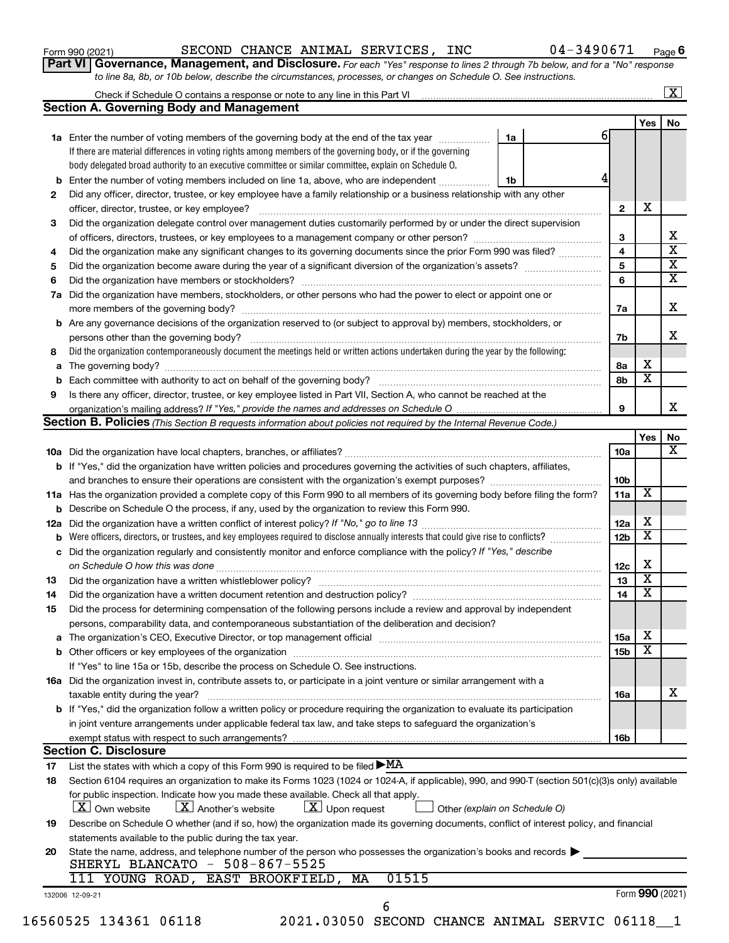| Form 990 (2021) |  |
|-----------------|--|
|-----------------|--|

### Form 990 (2021)  $\begin{array}{cccc} \text{SECOND CHANCE ANIMAL SERVICES, INC} \end{array}$  04-3490671  $\begin{array}{cccc} \text{Page} \end{array}$

**Part VI** Governance, Management, and Disclosure. For each "Yes" response to lines 2 through 7b below, and for a "No" response *to line 8a, 8b, or 10b below, describe the circumstances, processes, or changes on Schedule O. See instructions.*

|     | Check if Schedule O contains a response or note to any line in this Part VI                                                                                              |    |  |                 |                         | $\overline{\mathbf{x}}$ |
|-----|--------------------------------------------------------------------------------------------------------------------------------------------------------------------------|----|--|-----------------|-------------------------|-------------------------|
|     | <b>Section A. Governing Body and Management</b>                                                                                                                          |    |  |                 |                         |                         |
|     |                                                                                                                                                                          |    |  |                 | <b>Yes</b>              |                         |
|     | 1a Enter the number of voting members of the governing body at the end of the tax year                                                                                   | 1a |  | 61              |                         |                         |
|     | If there are material differences in voting rights among members of the governing body, or if the governing                                                              |    |  |                 |                         |                         |
|     | body delegated broad authority to an executive committee or similar committee, explain on Schedule O.                                                                    |    |  |                 |                         |                         |
| b   | Enter the number of voting members included on line 1a, above, who are independent                                                                                       | 1b |  |                 |                         |                         |
| 2   | Did any officer, director, trustee, or key employee have a family relationship or a business relationship with any other                                                 |    |  |                 |                         |                         |
|     |                                                                                                                                                                          |    |  | $\mathbf{2}$    | Х                       |                         |
| 3   | Did the organization delegate control over management duties customarily performed by or under the direct supervision                                                    |    |  |                 |                         |                         |
|     |                                                                                                                                                                          |    |  | 3               |                         |                         |
| 4   | Did the organization make any significant changes to its governing documents since the prior Form 990 was filed?                                                         |    |  | 4               |                         |                         |
| 5   |                                                                                                                                                                          |    |  | 5               |                         |                         |
| 6   |                                                                                                                                                                          |    |  | 6               |                         |                         |
| 7a  | Did the organization have members, stockholders, or other persons who had the power to elect or appoint one or                                                           |    |  |                 |                         |                         |
|     |                                                                                                                                                                          |    |  | 7a              |                         |                         |
|     | <b>b</b> Are any governance decisions of the organization reserved to (or subject to approval by) members, stockholders, or                                              |    |  |                 |                         |                         |
|     | persons other than the governing body?                                                                                                                                   |    |  | 7b              |                         |                         |
|     |                                                                                                                                                                          |    |  |                 |                         |                         |
| 8   | Did the organization contemporaneously document the meetings held or written actions undertaken during the year by the following:                                        |    |  |                 | х                       |                         |
| а   |                                                                                                                                                                          |    |  | 8а              | $\overline{\textbf{x}}$ |                         |
|     |                                                                                                                                                                          |    |  | 8b              |                         |                         |
| 9   | Is there any officer, director, trustee, or key employee listed in Part VII, Section A, who cannot be reached at the                                                     |    |  |                 |                         |                         |
|     |                                                                                                                                                                          |    |  | 9               |                         |                         |
|     | Section B. Policies (This Section B requests information about policies not required by the Internal Revenue Code.)                                                      |    |  |                 |                         |                         |
|     |                                                                                                                                                                          |    |  |                 | <b>Yes</b>              |                         |
|     |                                                                                                                                                                          |    |  | 10a             |                         |                         |
|     | b If "Yes," did the organization have written policies and procedures governing the activities of such chapters, affiliates,                                             |    |  |                 |                         |                         |
|     |                                                                                                                                                                          |    |  | 10 <sub>b</sub> |                         |                         |
|     | 11a Has the organization provided a complete copy of this Form 990 to all members of its governing body before filing the form?                                          |    |  | 11a             | $\overline{\textbf{X}}$ |                         |
|     | b Describe on Schedule O the process, if any, used by the organization to review this Form 990.                                                                          |    |  |                 |                         |                         |
| 12a |                                                                                                                                                                          |    |  | 12a             | х                       |                         |
|     | Were officers, directors, or trustees, and key employees required to disclose annually interests that could give rise to conflicts?                                      |    |  | 12 <sub>b</sub> | $\overline{\textbf{x}}$ |                         |
|     | c Did the organization regularly and consistently monitor and enforce compliance with the policy? If "Yes," describe                                                     |    |  |                 |                         |                         |
|     |                                                                                                                                                                          |    |  | 12c             | Х                       |                         |
| 13  |                                                                                                                                                                          |    |  | 13              | $\overline{\textbf{x}}$ |                         |
| 14  | Did the organization have a written document retention and destruction policy? [11] manufaction manufaction in                                                           |    |  | 14              | $\overline{\textbf{x}}$ |                         |
| 15  | Did the process for determining compensation of the following persons include a review and approval by independent                                                       |    |  |                 |                         |                         |
|     | persons, comparability data, and contemporaneous substantiation of the deliberation and decision?                                                                        |    |  |                 |                         |                         |
|     |                                                                                                                                                                          |    |  | 15a             | х                       |                         |
|     |                                                                                                                                                                          |    |  | 15 <sub>b</sub> | $\overline{\text{x}}$   |                         |
|     | If "Yes" to line 15a or 15b, describe the process on Schedule O. See instructions.                                                                                       |    |  |                 |                         |                         |
|     |                                                                                                                                                                          |    |  |                 |                         |                         |
|     | 16a Did the organization invest in, contribute assets to, or participate in a joint venture or similar arrangement with a                                                |    |  |                 |                         |                         |
|     | taxable entity during the year?<br><b>b</b> If "Yes," did the organization follow a written policy or procedure requiring the organization to evaluate its participation |    |  | <b>16a</b>      |                         |                         |
|     |                                                                                                                                                                          |    |  |                 |                         |                         |
|     | in joint venture arrangements under applicable federal tax law, and take steps to safeguard the organization's                                                           |    |  |                 |                         |                         |
|     |                                                                                                                                                                          |    |  | 16b             |                         |                         |
|     | <b>Section C. Disclosure</b>                                                                                                                                             |    |  |                 |                         |                         |
| 17  | List the states with which a copy of this Form 990 is required to be filed $\blacktriangleright$ MA                                                                      |    |  |                 |                         |                         |
| 18  | Section 6104 requires an organization to make its Forms 1023 (1024 or 1024 A, if applicable), 990, and 990 T (section 501(c)(3)s only) available                         |    |  |                 |                         |                         |
|     | for public inspection. Indicate how you made these available. Check all that apply.                                                                                      |    |  |                 |                         |                         |
|     | $\lfloor x \rfloor$ Own website<br>$\lfloor \mathbf{X} \rfloor$ Another's website<br>$\lfloor x \rfloor$ Upon request<br>Other (explain on Schedule O)                   |    |  |                 |                         |                         |
| 19  | Describe on Schedule O whether (and if so, how) the organization made its governing documents, conflict of interest policy, and financial                                |    |  |                 |                         |                         |
|     | statements available to the public during the tax year.                                                                                                                  |    |  |                 |                         |                         |
| 20  | State the name, address, and telephone number of the person who possesses the organization's books and records $\blacktriangleright$                                     |    |  |                 |                         |                         |
|     | SHERYL BLANCATO - 508-867-5525                                                                                                                                           |    |  |                 |                         |                         |
|     | 01515<br>111 YOUNG ROAD, EAST BROOKFIELD, MA                                                                                                                             |    |  |                 |                         |                         |
|     | 132006 12-09-21                                                                                                                                                          |    |  |                 | Form 990 (2021)         |                         |
|     | 6                                                                                                                                                                        |    |  |                 |                         |                         |
|     | 16560525 134361 06118<br>2021.03050 SECOND CHANCE ANIMAL SERVIC 06118 1                                                                                                  |    |  |                 |                         |                         |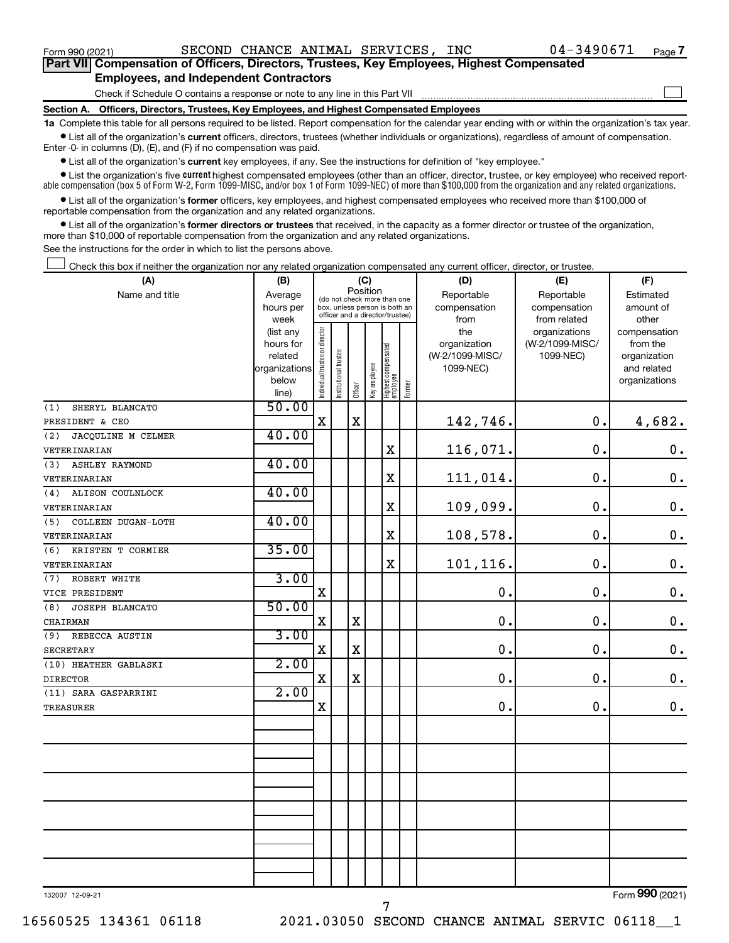Form 990 (2021)  $\begin{array}{cccc} \text{SECOND CHANCE ANIMAL SERVICES, INC} \end{array}$  04-3490671  $\begin{array}{cccc} \text{Page} \end{array}$ 

 $\Box$ 

| Part VII Compensation of Officers, Directors, Trustees, Key Employees, Highest Compensated |  |
|--------------------------------------------------------------------------------------------|--|
| <b>Employees, and Independent Contractors</b>                                              |  |

Check if Schedule O contains a response or note to any line in this Part VII

**Section A. Officers, Directors, Trustees, Key Employees, and Highest Compensated Employees**

**1a**  Complete this table for all persons required to be listed. Report compensation for the calendar year ending with or within the organization's tax year.  $\bullet$  List all of the organization's current officers, directors, trustees (whether individuals or organizations), regardless of amount of compensation.

Enter -0- in columns (D), (E), and (F) if no compensation was paid.

**•** List all of the organization's **current** key employees, if any. See the instructions for definition of "key employee."

• List the organization's five *current* highest compensated employees (other than an officer, director, trustee, or key employee) who received reportable compensation (box 5 of Form W-2, Form 1099-MISC, and/or box 1 of Form 1099-NEC) of more than \$100,000 from the organization and any related organizations.

 $\bullet$  List all of the organization's former officers, key employees, and highest compensated employees who received more than \$100,000 of reportable compensation from the organization and any related organizations.

**•** List all of the organization's former directors or trustees that received, in the capacity as a former director or trustee of the organization, more than \$10,000 of reportable compensation from the organization and any related organizations.

See the instructions for the order in which to list the persons above.

Check this box if neither the organization nor any related organization compensated any current officer, director, or trustee.  $\Box$ 

| (A)                          | (B)                                                                     | (C)                                                              |                       |             |              |                                   |        | (D)                          | (E)             | (F)                         |  |  |
|------------------------------|-------------------------------------------------------------------------|------------------------------------------------------------------|-----------------------|-------------|--------------|-----------------------------------|--------|------------------------------|-----------------|-----------------------------|--|--|
| Name and title               | Average                                                                 | Position<br>(do not check more than one                          |                       |             |              |                                   |        | Reportable                   | Reportable      | Estimated                   |  |  |
|                              | hours per                                                               | box, unless person is both an<br>officer and a director/trustee) |                       |             |              |                                   |        | compensation                 | compensation    | amount of                   |  |  |
|                              | week                                                                    |                                                                  |                       |             |              |                                   |        | from                         | from related    | other                       |  |  |
|                              | (list any                                                               |                                                                  |                       |             |              |                                   |        | the                          | organizations   | compensation                |  |  |
|                              | Individual trustee or director<br>hours for<br>related<br>organizations |                                                                  |                       |             |              |                                   |        | organization                 | (W-2/1099-MISC/ | from the                    |  |  |
|                              |                                                                         |                                                                  |                       |             |              |                                   |        | (W-2/1099-MISC/<br>1099-NEC) | 1099-NEC)       | organization<br>and related |  |  |
|                              | below                                                                   |                                                                  |                       |             |              |                                   |        |                              |                 | organizations               |  |  |
|                              | line)                                                                   |                                                                  | Institutional trustee | Officer     | Key employee | Highest compensated<br>  employee | Former |                              |                 |                             |  |  |
| (1)<br>SHERYL BLANCATO       | 50.00                                                                   |                                                                  |                       |             |              |                                   |        |                              |                 |                             |  |  |
| PRESIDENT & CEO              |                                                                         | $\mathbf X$                                                      |                       | $\mathbf X$ |              |                                   |        | 142,746.                     | 0.              | 4,682.                      |  |  |
| JACQULINE M CELMER<br>(2)    | 40.00                                                                   |                                                                  |                       |             |              |                                   |        |                              |                 |                             |  |  |
| VETERINARIAN                 |                                                                         |                                                                  |                       |             |              | X                                 |        | 116,071.                     | 0.              | $\mathbf 0$ .               |  |  |
| (3)<br><b>ASHLEY RAYMOND</b> | 40.00                                                                   |                                                                  |                       |             |              |                                   |        |                              |                 |                             |  |  |
| VETERINARIAN                 |                                                                         |                                                                  |                       |             |              | $\mathbf X$                       |        | 111,014.                     | 0.              | $\mathbf 0$ .               |  |  |
| (4)<br>ALISON COULNLOCK      | 40.00                                                                   |                                                                  |                       |             |              |                                   |        |                              |                 |                             |  |  |
| VETERINARIAN                 |                                                                         |                                                                  |                       |             |              | $\mathbf X$                       |        | 109,099.                     | 0.              | $\mathbf 0$ .               |  |  |
| COLLEEN DUGAN-LOTH<br>(5)    | 40.00                                                                   |                                                                  |                       |             |              |                                   |        |                              |                 |                             |  |  |
| VETERINARIAN                 |                                                                         |                                                                  |                       |             |              | $\mathbf X$                       |        | 108,578.                     | 0.              | $\mathbf 0$ .               |  |  |
| (6)<br>KRISTEN T CORMIER     | 35.00                                                                   |                                                                  |                       |             |              |                                   |        |                              |                 |                             |  |  |
| VETERINARIAN                 |                                                                         |                                                                  |                       |             |              | X                                 |        | 101,116.                     | 0.              | $\mathbf 0$ .               |  |  |
| (7)<br>ROBERT WHITE          | 3.00                                                                    |                                                                  |                       |             |              |                                   |        |                              |                 |                             |  |  |
| VICE PRESIDENT               |                                                                         | $\mathbf X$                                                      |                       |             |              |                                   |        | $\mathbf 0$ .                | 0.              | $\boldsymbol{0}$ .          |  |  |
| JOSEPH BLANCATO<br>(8)       | 50.00                                                                   |                                                                  |                       |             |              |                                   |        |                              |                 |                             |  |  |
| CHAIRMAN                     |                                                                         | $\mathbf X$                                                      |                       | $\rm X$     |              |                                   |        | $\mathbf 0$ .                | 0.              | $\mathbf 0$ .               |  |  |
| REBECCA AUSTIN<br>(9)        | 3.00                                                                    |                                                                  |                       |             |              |                                   |        |                              |                 |                             |  |  |
| <b>SECRETARY</b>             |                                                                         | $\mathbf X$                                                      |                       | $\rm X$     |              |                                   |        | 0.                           | 0.              | $\mathbf 0$ .               |  |  |
| (10) HEATHER GABLASKI        | 2.00                                                                    |                                                                  |                       |             |              |                                   |        |                              |                 |                             |  |  |
| <b>DIRECTOR</b>              |                                                                         | X                                                                |                       | $\mathbf X$ |              |                                   |        | $\mathbf 0$ .                | $\mathbf 0$ .   | $\mathbf 0$ .               |  |  |
| (11) SARA GASPARRINI         | 2.00                                                                    |                                                                  |                       |             |              |                                   |        |                              |                 |                             |  |  |
| <b>TREASURER</b>             |                                                                         | $\mathbf X$                                                      |                       |             |              |                                   |        | $\mathbf 0$ .                | $\mathbf 0$ .   | 0.                          |  |  |
|                              |                                                                         |                                                                  |                       |             |              |                                   |        |                              |                 |                             |  |  |
|                              |                                                                         |                                                                  |                       |             |              |                                   |        |                              |                 |                             |  |  |
|                              |                                                                         |                                                                  |                       |             |              |                                   |        |                              |                 |                             |  |  |
|                              |                                                                         |                                                                  |                       |             |              |                                   |        |                              |                 |                             |  |  |
|                              |                                                                         |                                                                  |                       |             |              |                                   |        |                              |                 |                             |  |  |
|                              |                                                                         |                                                                  |                       |             |              |                                   |        |                              |                 |                             |  |  |
|                              |                                                                         |                                                                  |                       |             |              |                                   |        |                              |                 |                             |  |  |
|                              |                                                                         |                                                                  |                       |             |              |                                   |        |                              |                 |                             |  |  |
|                              |                                                                         |                                                                  |                       |             |              |                                   |        |                              |                 |                             |  |  |
|                              |                                                                         |                                                                  |                       |             |              |                                   |        |                              |                 |                             |  |  |
|                              |                                                                         |                                                                  |                       |             |              |                                   |        |                              |                 |                             |  |  |

132007 12-09-21

Form (2021) **990**

16560525 134361 06118 2021.03050 SECOND CHANCE ANIMAL SERVIC 06118\_\_1

7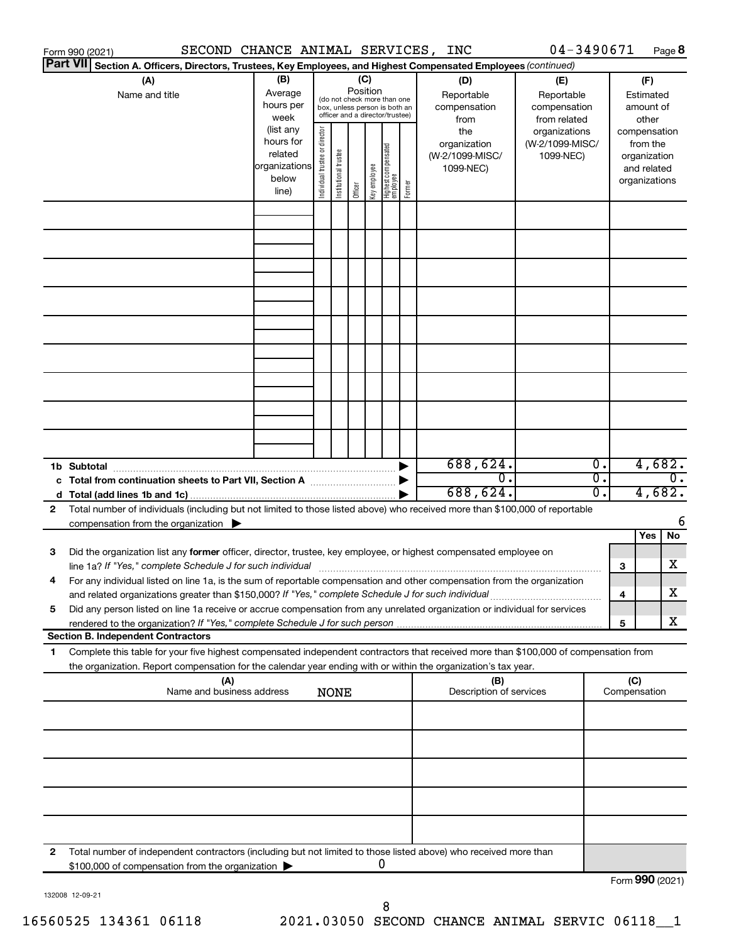|    | SECOND CHANCE ANIMAL SERVICES,<br>Form 990 (2021)                                                                                          |                   |                                |                                                                  |          |              |                                   |        | INC                            | 04-3490671                       |                  |     |                          | Page 8           |
|----|--------------------------------------------------------------------------------------------------------------------------------------------|-------------------|--------------------------------|------------------------------------------------------------------|----------|--------------|-----------------------------------|--------|--------------------------------|----------------------------------|------------------|-----|--------------------------|------------------|
|    | <b>Part VII</b><br>Section A. Officers, Directors, Trustees, Key Employees, and Highest Compensated Employees (continued)                  |                   |                                |                                                                  |          |              |                                   |        |                                |                                  |                  |     |                          |                  |
|    | (A)                                                                                                                                        | (B)               |                                |                                                                  | (C)      |              |                                   |        | (D)                            | (E)                              |                  |     | (F)                      |                  |
|    | Name and title                                                                                                                             | Average           |                                | (do not check more than one                                      | Position |              |                                   |        | Reportable                     | Reportable                       |                  |     | Estimated                |                  |
|    |                                                                                                                                            | hours per         |                                | box, unless person is both an<br>officer and a director/trustee) |          |              |                                   |        | compensation                   | compensation                     |                  |     | amount of                |                  |
|    |                                                                                                                                            | week<br>(list any |                                |                                                                  |          |              |                                   |        | from                           | from related                     |                  |     | other                    |                  |
|    |                                                                                                                                            | hours for         |                                |                                                                  |          |              |                                   |        | the<br>organization            | organizations<br>(W-2/1099-MISC/ |                  |     | compensation<br>from the |                  |
|    |                                                                                                                                            | related           |                                |                                                                  |          |              |                                   |        | (W-2/1099-MISC/                | 1099-NEC)                        |                  |     | organization             |                  |
|    |                                                                                                                                            | organizations     |                                |                                                                  |          |              |                                   |        | 1099-NEC)                      |                                  |                  |     | and related              |                  |
|    |                                                                                                                                            | below             | Individual trustee or director | Institutional trustee                                            |          | Key employee |                                   |        |                                |                                  |                  |     | organizations            |                  |
|    |                                                                                                                                            | line)             |                                |                                                                  | Officer  |              | Highest compensated<br>  employee | Former |                                |                                  |                  |     |                          |                  |
|    |                                                                                                                                            |                   |                                |                                                                  |          |              |                                   |        |                                |                                  |                  |     |                          |                  |
|    |                                                                                                                                            |                   |                                |                                                                  |          |              |                                   |        |                                |                                  |                  |     |                          |                  |
|    |                                                                                                                                            |                   |                                |                                                                  |          |              |                                   |        |                                |                                  |                  |     |                          |                  |
|    |                                                                                                                                            |                   |                                |                                                                  |          |              |                                   |        |                                |                                  |                  |     |                          |                  |
|    |                                                                                                                                            |                   |                                |                                                                  |          |              |                                   |        |                                |                                  |                  |     |                          |                  |
|    |                                                                                                                                            |                   |                                |                                                                  |          |              |                                   |        |                                |                                  |                  |     |                          |                  |
|    |                                                                                                                                            |                   |                                |                                                                  |          |              |                                   |        |                                |                                  |                  |     |                          |                  |
|    |                                                                                                                                            |                   |                                |                                                                  |          |              |                                   |        |                                |                                  |                  |     |                          |                  |
|    |                                                                                                                                            |                   |                                |                                                                  |          |              |                                   |        |                                |                                  |                  |     |                          |                  |
|    |                                                                                                                                            |                   |                                |                                                                  |          |              |                                   |        |                                |                                  |                  |     |                          |                  |
|    |                                                                                                                                            |                   |                                |                                                                  |          |              |                                   |        |                                |                                  |                  |     |                          |                  |
|    |                                                                                                                                            |                   |                                |                                                                  |          |              |                                   |        |                                |                                  |                  |     |                          |                  |
|    |                                                                                                                                            |                   |                                |                                                                  |          |              |                                   |        |                                |                                  |                  |     |                          |                  |
|    |                                                                                                                                            |                   |                                |                                                                  |          |              |                                   |        |                                |                                  |                  |     |                          |                  |
|    |                                                                                                                                            |                   |                                |                                                                  |          |              |                                   |        |                                |                                  |                  |     |                          |                  |
|    |                                                                                                                                            |                   |                                |                                                                  |          |              |                                   |        |                                |                                  |                  |     |                          |                  |
|    |                                                                                                                                            |                   |                                |                                                                  |          |              |                                   |        |                                |                                  |                  |     |                          |                  |
|    | 1b Subtotal                                                                                                                                |                   |                                |                                                                  |          |              |                                   |        | 688,624.                       |                                  | $\overline{0}$ . |     | 4,682.                   |                  |
|    |                                                                                                                                            |                   |                                |                                                                  |          |              |                                   |        | $0$ .                          |                                  | σ.               |     |                          | $\overline{0}$ . |
|    |                                                                                                                                            |                   |                                |                                                                  |          |              |                                   |        | 688,624.                       |                                  | о.               |     | 4,682.                   |                  |
| 2  | Total number of individuals (including but not limited to those listed above) who received more than \$100,000 of reportable               |                   |                                |                                                                  |          |              |                                   |        |                                |                                  |                  |     |                          |                  |
|    | compensation from the organization $\blacktriangleright$                                                                                   |                   |                                |                                                                  |          |              |                                   |        |                                |                                  |                  |     |                          | 6                |
|    |                                                                                                                                            |                   |                                |                                                                  |          |              |                                   |        |                                |                                  |                  |     | Yes                      | No               |
| 3  | Did the organization list any former officer, director, trustee, key employee, or highest compensated employee on                          |                   |                                |                                                                  |          |              |                                   |        |                                |                                  |                  |     |                          |                  |
|    | line 1a? If "Yes," complete Schedule J for such individual manufacture content to the set of the set of the schedule J for such individual |                   |                                |                                                                  |          |              |                                   |        |                                |                                  |                  | 3   |                          | х                |
|    | For any individual listed on line 1a, is the sum of reportable compensation and other compensation from the organization                   |                   |                                |                                                                  |          |              |                                   |        |                                |                                  |                  |     |                          |                  |
|    | and related organizations greater than \$150,000? If "Yes," complete Schedule J for such individual                                        |                   |                                |                                                                  |          |              |                                   |        |                                |                                  |                  | 4   |                          | х                |
| 5  | Did any person listed on line 1a receive or accrue compensation from any unrelated organization or individual for services                 |                   |                                |                                                                  |          |              |                                   |        |                                |                                  |                  |     |                          |                  |
|    | rendered to the organization? If "Yes," complete Schedule J for such person.                                                               |                   |                                |                                                                  |          |              |                                   |        |                                |                                  |                  | 5   |                          | х                |
|    | <b>Section B. Independent Contractors</b>                                                                                                  |                   |                                |                                                                  |          |              |                                   |        |                                |                                  |                  |     |                          |                  |
| 1. | Complete this table for your five highest compensated independent contractors that received more than \$100,000 of compensation from       |                   |                                |                                                                  |          |              |                                   |        |                                |                                  |                  |     |                          |                  |
|    | the organization. Report compensation for the calendar year ending with or within the organization's tax year.                             |                   |                                |                                                                  |          |              |                                   |        |                                |                                  |                  |     |                          |                  |
|    | (A)<br>Name and business address                                                                                                           |                   |                                | <b>NONE</b>                                                      |          |              |                                   |        | (B)<br>Description of services |                                  |                  | (C) | Compensation             |                  |
|    |                                                                                                                                            |                   |                                |                                                                  |          |              |                                   |        |                                |                                  |                  |     |                          |                  |
|    |                                                                                                                                            |                   |                                |                                                                  |          |              |                                   |        |                                |                                  |                  |     |                          |                  |
|    |                                                                                                                                            |                   |                                |                                                                  |          |              |                                   |        |                                |                                  |                  |     |                          |                  |
|    |                                                                                                                                            |                   |                                |                                                                  |          |              |                                   |        |                                |                                  |                  |     |                          |                  |
|    |                                                                                                                                            |                   |                                |                                                                  |          |              |                                   |        |                                |                                  |                  |     |                          |                  |
|    |                                                                                                                                            |                   |                                |                                                                  |          |              |                                   |        |                                |                                  |                  |     |                          |                  |
|    |                                                                                                                                            |                   |                                |                                                                  |          |              |                                   |        |                                |                                  |                  |     |                          |                  |
|    |                                                                                                                                            |                   |                                |                                                                  |          |              |                                   |        |                                |                                  |                  |     |                          |                  |
|    |                                                                                                                                            |                   |                                |                                                                  |          |              |                                   |        |                                |                                  |                  |     |                          |                  |
|    |                                                                                                                                            |                   |                                |                                                                  |          |              |                                   |        |                                |                                  |                  |     |                          |                  |
| 2  | Total number of independent contractors (including but not limited to those listed above) who received more than                           |                   |                                |                                                                  |          |              |                                   |        |                                |                                  |                  |     |                          |                  |
|    | \$100,000 of compensation from the organization                                                                                            |                   |                                |                                                                  |          |              | U                                 |        |                                |                                  |                  |     |                          |                  |
|    |                                                                                                                                            |                   |                                |                                                                  |          |              |                                   |        |                                |                                  |                  |     | Form 990 (2021)          |                  |

132008 12-09-21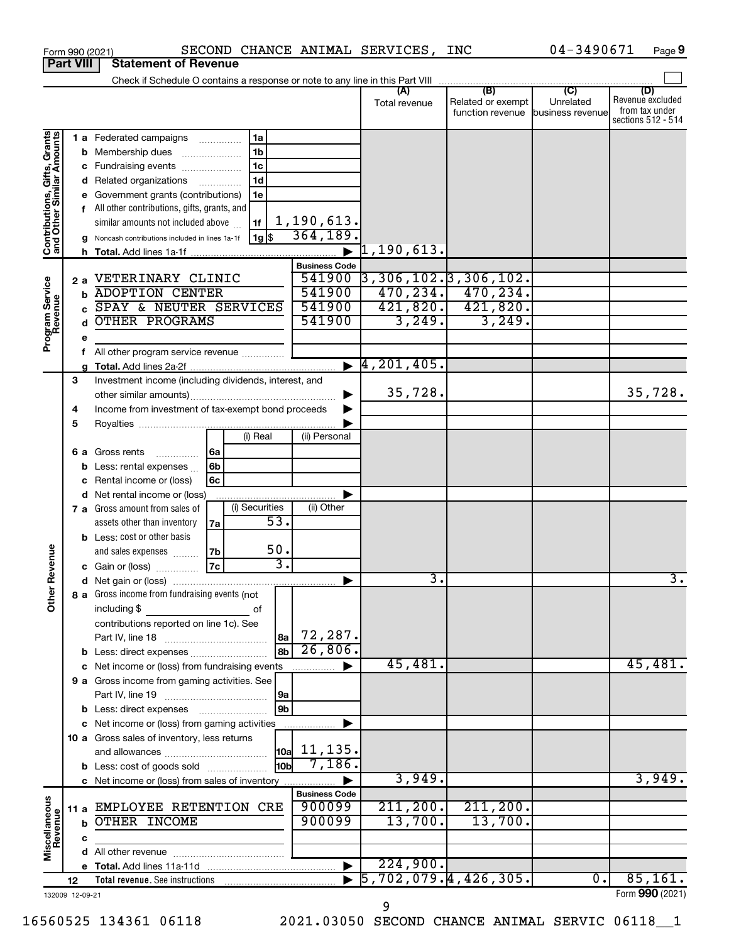|                                                           | <b>Part VIII</b> | <b>Statement of Revenue</b>                                                   |                              |                                    |                          |                             |                         |
|-----------------------------------------------------------|------------------|-------------------------------------------------------------------------------|------------------------------|------------------------------------|--------------------------|-----------------------------|-------------------------|
|                                                           |                  | Check if Schedule O contains a response or note to any line in this Part VIII |                              |                                    |                          |                             |                         |
|                                                           |                  |                                                                               |                              | (A)                                | (B)<br>Related or exempt | $\overline{C}$<br>Unrelated | (D)<br>Revenue excluded |
|                                                           |                  |                                                                               |                              | Total revenue                      | function revenue         | business revenue            | from tax under          |
|                                                           |                  |                                                                               |                              |                                    |                          |                             | sections 512 - 514      |
|                                                           |                  | <b>1 a</b> Federated campaigns<br>1a<br>.                                     |                              |                                    |                          |                             |                         |
|                                                           | b                | 1 <sub>b</sub><br>Membership dues                                             |                              |                                    |                          |                             |                         |
|                                                           | с                | 1c<br>Fundraising events                                                      |                              |                                    |                          |                             |                         |
|                                                           | d                | 1d<br>Related organizations                                                   |                              |                                    |                          |                             |                         |
| Contributions, Gifts, Grants<br>and Other Similar Amounts |                  | Government grants (contributions)<br>1e                                       |                              |                                    |                          |                             |                         |
|                                                           | f.               | All other contributions, gifts, grants, and                                   |                              |                                    |                          |                             |                         |
|                                                           |                  | similar amounts not included above<br>1f                                      | 1,190,613.                   |                                    |                          |                             |                         |
|                                                           |                  | 1g <br>Noncash contributions included in lines 1a-1f                          | 364, 189.                    |                                    |                          |                             |                         |
|                                                           | h.               |                                                                               |                              | $\overline{1}$ ,190,613.           |                          |                             |                         |
|                                                           |                  |                                                                               | <b>Business Code</b>         |                                    |                          |                             |                         |
|                                                           | 2a               | VETERINARY CLINIC                                                             | 541900                       | $\overline{)3,306,102.}3,306,102.$ |                          |                             |                         |
|                                                           | b                | <b>ADOPTION CENTER</b>                                                        | 541900                       |                                    | $470, 234.$ $470, 234.$  |                             |                         |
|                                                           | C                | SPAY & NEUTER SERVICES                                                        | 541900                       |                                    | $421,820.$ $421,820.$    |                             |                         |
|                                                           | d                | <b>OTHER PROGRAMS</b>                                                         | 541900                       | 3,249.                             | 3,249.                   |                             |                         |
| Program Service<br>Revenue                                | е                |                                                                               |                              |                                    |                          |                             |                         |
|                                                           | f                | All other program service revenue                                             |                              |                                    |                          |                             |                         |
|                                                           |                  |                                                                               | $\blacktriangleright$        | 4, 201, 405.                       |                          |                             |                         |
|                                                           | 3                | Investment income (including dividends, interest, and                         |                              |                                    |                          |                             |                         |
|                                                           |                  |                                                                               |                              | 35,728.                            |                          |                             | 35,728.                 |
|                                                           | 4                | Income from investment of tax-exempt bond proceeds                            |                              |                                    |                          |                             |                         |
|                                                           | 5                |                                                                               |                              |                                    |                          |                             |                         |
|                                                           |                  | (i) Real                                                                      | (ii) Personal                |                                    |                          |                             |                         |
|                                                           | 6а               | 6a<br>Gross rents<br>.                                                        |                              |                                    |                          |                             |                         |
|                                                           | b                | 6b<br>Less: rental expenses                                                   |                              |                                    |                          |                             |                         |
|                                                           | с                | 6c<br>Rental income or (loss)                                                 |                              |                                    |                          |                             |                         |
|                                                           | d                | Net rental income or (loss)                                                   |                              |                                    |                          |                             |                         |
|                                                           |                  | (i) Securities<br>7 a Gross amount from sales of                              | (ii) Other                   |                                    |                          |                             |                         |
|                                                           |                  | 53.<br>assets other than inventory<br>7a                                      |                              |                                    |                          |                             |                         |
|                                                           |                  | <b>b</b> Less: cost or other basis                                            |                              |                                    |                          |                             |                         |
| Revenue                                                   |                  | 50.<br>7b<br>and sales expenses                                               |                              |                                    |                          |                             |                         |
|                                                           |                  | $\overline{3}$ .<br>7c<br>Gain or (loss)                                      |                              |                                    |                          |                             |                         |
|                                                           |                  |                                                                               |                              | $\overline{3}$ .                   |                          |                             | $\overline{3}$ .        |
| ត<br>$\tilde{\bar{\epsilon}}$                             |                  | 8 a Gross income from fundraising events (not                                 |                              |                                    |                          |                             |                         |
|                                                           |                  | including \$<br>оf                                                            |                              |                                    |                          |                             |                         |
|                                                           |                  | contributions reported on line 1c). See                                       |                              |                                    |                          |                             |                         |
|                                                           |                  | 8a                                                                            | 72,287.                      |                                    |                          |                             |                         |
|                                                           |                  | 8b <br><b>b</b> Less: direct expenses                                         | 26,806.                      |                                    |                          |                             |                         |
|                                                           | c                | Net income or (loss) from fundraising events                                  | .                            | 45,481.                            |                          |                             | 45,481.                 |
|                                                           |                  | 9 a Gross income from gaming activities. See                                  |                              |                                    |                          |                             |                         |
|                                                           |                  | 9a                                                                            |                              |                                    |                          |                             |                         |
|                                                           |                  | 9 <sub>b</sub>                                                                |                              |                                    |                          |                             |                         |
|                                                           |                  | c Net income or (loss) from gaming activities                                 |                              |                                    |                          |                             |                         |
|                                                           |                  | 10 a Gross sales of inventory, less returns                                   | $\vert$ 10a $\vert$ 11, 135. |                                    |                          |                             |                         |
|                                                           |                  | 10bl                                                                          | 7,186.                       |                                    |                          |                             |                         |
|                                                           |                  | <b>b</b> Less: cost of goods sold                                             |                              | 3,949.                             |                          |                             | 3,949.                  |
|                                                           |                  | c Net income or (loss) from sales of inventory                                | <b>Business Code</b>         |                                    |                          |                             |                         |
|                                                           |                  | EMPLOYEE RETENTION CRE                                                        | 900099                       | 211, 200.                          | 211, 200.                |                             |                         |
|                                                           | 11 a<br>b        | OTHER INCOME                                                                  | 900099                       | 13,700.                            | 13,700.                  |                             |                         |
| Miscellaneous<br>Revenue                                  |                  |                                                                               |                              |                                    |                          |                             |                         |
|                                                           | c                |                                                                               |                              |                                    |                          |                             |                         |
|                                                           |                  |                                                                               |                              | 224,900.                           |                          |                             |                         |
|                                                           | 12               |                                                                               |                              | $\overline{5,702,079.4,426,305.}$  |                          | 0.                          | 85,161.                 |
|                                                           | 132009 12-09-21  |                                                                               |                              |                                    |                          |                             | Form 990 (2021)         |
|                                                           |                  |                                                                               |                              |                                    |                          |                             |                         |

Form 990 (2021) SECOND CHANCE ANIMAL SERVICES, INC 04-3490671 Page

**9**

9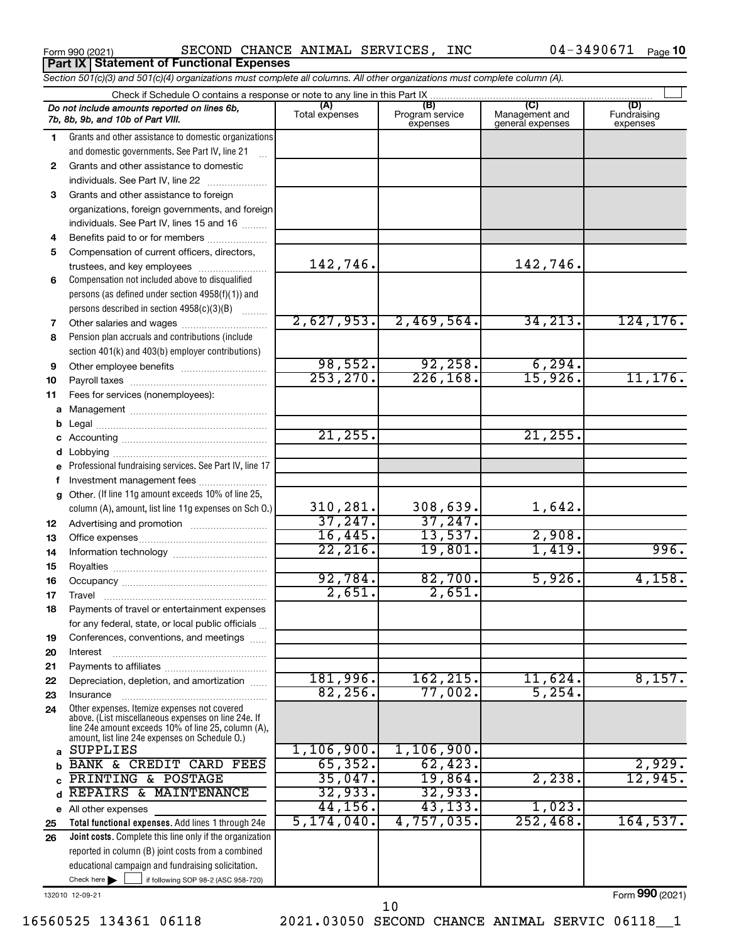Form 990 (2021) Page SECOND CHANCE ANIMAL SERVICES, INC 04-3490671 Form 990 (2021)<br>**Part IX | Statement of Functional Expenses** 

04-3490671 Page 10

|    | Section 501(c)(3) and 501(c)(4) organizations must complete all columns. All other organizations must complete column (A).                                                                                   |                       |                                    |                                           |                                |  |
|----|--------------------------------------------------------------------------------------------------------------------------------------------------------------------------------------------------------------|-----------------------|------------------------------------|-------------------------------------------|--------------------------------|--|
|    | Check if Schedule O contains a response or note to any line in this Part IX                                                                                                                                  |                       |                                    |                                           |                                |  |
|    | Do not include amounts reported on lines 6b,<br>7b, 8b, 9b, and 10b of Part VIII.                                                                                                                            | (A)<br>Total expenses | (B)<br>Program service<br>expenses | (C)<br>Management and<br>general expenses | (D)<br>Fundraising<br>expenses |  |
| 1. | Grants and other assistance to domestic organizations                                                                                                                                                        |                       |                                    |                                           |                                |  |
|    | and domestic governments. See Part IV, line 21                                                                                                                                                               |                       |                                    |                                           |                                |  |
| 2  | Grants and other assistance to domestic                                                                                                                                                                      |                       |                                    |                                           |                                |  |
|    | individuals. See Part IV, line 22                                                                                                                                                                            |                       |                                    |                                           |                                |  |
| 3  | Grants and other assistance to foreign                                                                                                                                                                       |                       |                                    |                                           |                                |  |
|    | organizations, foreign governments, and foreign                                                                                                                                                              |                       |                                    |                                           |                                |  |
|    | individuals. See Part IV, lines 15 and 16                                                                                                                                                                    |                       |                                    |                                           |                                |  |
| 4  | Benefits paid to or for members                                                                                                                                                                              |                       |                                    |                                           |                                |  |
| 5  | Compensation of current officers, directors,                                                                                                                                                                 |                       |                                    |                                           |                                |  |
|    | trustees, and key employees                                                                                                                                                                                  | 142,746.              |                                    | 142,746.                                  |                                |  |
| 6  | Compensation not included above to disqualified                                                                                                                                                              |                       |                                    |                                           |                                |  |
|    | persons (as defined under section 4958(f)(1)) and                                                                                                                                                            |                       |                                    |                                           |                                |  |
|    | persons described in section 4958(c)(3)(B)                                                                                                                                                                   |                       |                                    |                                           |                                |  |
| 7  |                                                                                                                                                                                                              | 2,627,953.            | 2,469,564.                         | 34, 213.                                  | 124, 176.                      |  |
| 8  | Pension plan accruals and contributions (include                                                                                                                                                             |                       |                                    |                                           |                                |  |
|    | section 401(k) and 403(b) employer contributions)                                                                                                                                                            |                       |                                    |                                           |                                |  |
| 9  |                                                                                                                                                                                                              | 98,552.               | 92, 258.                           | 6, 294.                                   |                                |  |
| 10 |                                                                                                                                                                                                              | 253, 270.             | 226, 168.                          | 15,926.                                   | 11, 176.                       |  |
| 11 | Fees for services (nonemployees):                                                                                                                                                                            |                       |                                    |                                           |                                |  |
| а  |                                                                                                                                                                                                              |                       |                                    |                                           |                                |  |
| b  |                                                                                                                                                                                                              |                       |                                    |                                           |                                |  |
| С  |                                                                                                                                                                                                              | 21,255.               |                                    | 21, 255.                                  |                                |  |
| d  |                                                                                                                                                                                                              |                       |                                    |                                           |                                |  |
| е  | Professional fundraising services. See Part IV, line 17                                                                                                                                                      |                       |                                    |                                           |                                |  |
| f  | Investment management fees                                                                                                                                                                                   |                       |                                    |                                           |                                |  |
| g  | Other. (If line 11g amount exceeds 10% of line 25,                                                                                                                                                           |                       |                                    |                                           |                                |  |
|    | column (A), amount, list line 11g expenses on Sch O.)                                                                                                                                                        | 310,281.              | 308,639.                           | 1,642.                                    |                                |  |
| 12 |                                                                                                                                                                                                              | 37,247.               | 37,247.                            |                                           |                                |  |
| 13 |                                                                                                                                                                                                              | 16,445.               | 13,537.                            | 2,908.                                    |                                |  |
| 14 |                                                                                                                                                                                                              | 22, 216.              | 19,801.                            | 1,419.                                    | 996.                           |  |
| 15 |                                                                                                                                                                                                              |                       |                                    |                                           |                                |  |
| 16 |                                                                                                                                                                                                              | 92,784.               | 82,700.                            | 5,926.                                    | 4,158.                         |  |
| 17 |                                                                                                                                                                                                              | 2,651.                | 2,651.                             |                                           |                                |  |
| 18 | Payments of travel or entertainment expenses                                                                                                                                                                 |                       |                                    |                                           |                                |  |
|    | for any federal, state, or local public officials                                                                                                                                                            |                       |                                    |                                           |                                |  |
| 19 | Conferences, conventions, and meetings                                                                                                                                                                       |                       |                                    |                                           |                                |  |
| 20 | Interest                                                                                                                                                                                                     |                       |                                    |                                           |                                |  |
| 21 |                                                                                                                                                                                                              |                       |                                    |                                           |                                |  |
| 22 | Depreciation, depletion, and amortization                                                                                                                                                                    | 181,996.              | 162, 215.                          | 11,624.                                   | 8,157.                         |  |
| 23 | Insurance                                                                                                                                                                                                    | 82, 256.              | $77,002$ .                         | 5,254.                                    |                                |  |
| 24 | Other expenses. Itemize expenses not covered<br>above. (List miscellaneous expenses on line 24e. If<br>line 24e amount exceeds 10% of line 25, column (A).<br>amount, list line 24e expenses on Schedule O.) |                       |                                    |                                           |                                |  |
| a  | SUPPLIES                                                                                                                                                                                                     | 1,106,900.            | 1,106,900.                         |                                           |                                |  |
| b  | BANK & CREDIT CARD FEES                                                                                                                                                                                      | 65, 352.              | 62, 423.                           |                                           | 2,929.                         |  |
| C  | PRINTING & POSTAGE                                                                                                                                                                                           | 35,047.               | 19,864.                            | 2,238.                                    | 12,945.                        |  |
| d  | REPAIRS & MAINTENANCE                                                                                                                                                                                        | 32,933.               | 32,933.                            |                                           |                                |  |
|    | e All other expenses                                                                                                                                                                                         | 44,156.               | 43, 133.                           | 1,023.                                    |                                |  |
| 25 | Total functional expenses. Add lines 1 through 24e                                                                                                                                                           | 5,174,040.            | 4,757,035.                         | 252,468                                   | 164,537.                       |  |
| 26 | <b>Joint costs.</b> Complete this line only if the organization                                                                                                                                              |                       |                                    |                                           |                                |  |
|    | reported in column (B) joint costs from a combined                                                                                                                                                           |                       |                                    |                                           |                                |  |
|    | educational campaign and fundraising solicitation.                                                                                                                                                           |                       |                                    |                                           |                                |  |
|    | Check here $\blacktriangleright$<br>if following SOP 98-2 (ASC 958-720)                                                                                                                                      |                       |                                    |                                           |                                |  |

132010 12-09-21

Form (2021) **990**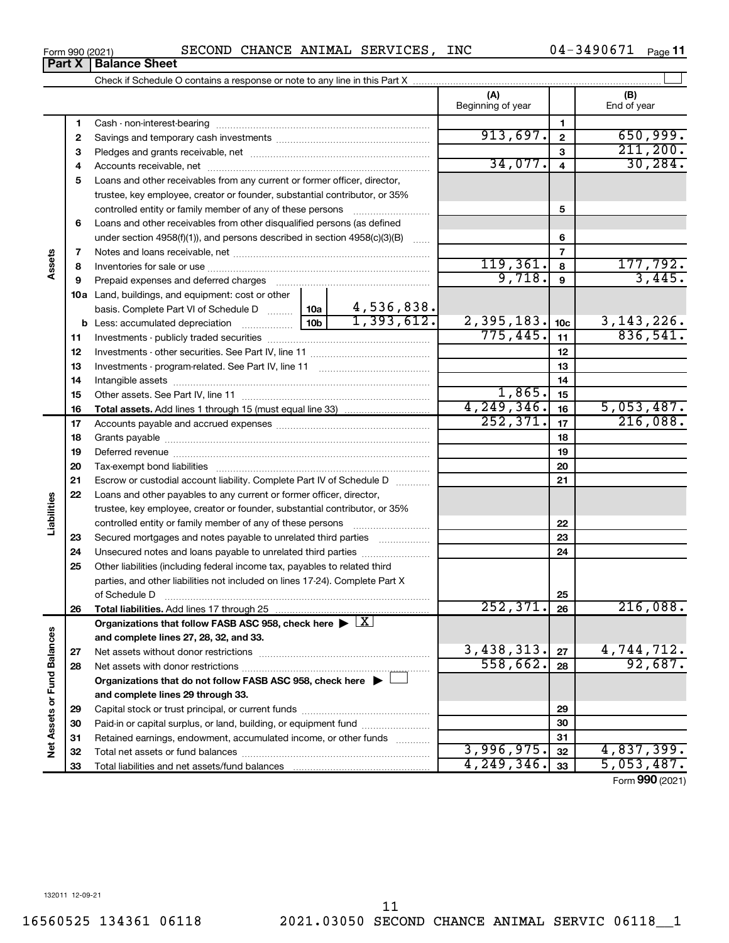**1 2**

**Part X** | **Balance Sheet** 

**Assets**

**Liabilities**

Net Assets or Fund Balances

**3** Pledges and grants receivable, net ~~~~~~~~~~~~~~~~~~~~~ **4** Accounts receivable, net ~~~~~~~~~~~~~~~~~~~~~~~~~~ **5** Loans and other receivables from any current or former officer, director, **6 7 8 9 10 a** Land, buildings, and equipment: cost or other **11 12** Investments - other securities. See Part IV, line 11 ~~~~~~~~~~~~~~ **13** Investments - program-related. See Part IV, line 11 ~~~~~~~~~~~~~ **14 15 16 17 18 19 20 21 22 23 24 25 26 27 28 29 30 31 32 33 3 4 5 6 7 8 9 10c 11 12 13 14 15 16 17 18 19 20 21 22 23 24 25 26 b** Less: accumulated depreciation  $\ldots$  [10b basis. Complete Part VI of Schedule D  $\frac{1}{10}$  10a **Total assets.**  Add lines 1 through 15 (must equal line 33) **Total liabilities.**  Add lines 17 through 25 Organizations that follow FASB ASC 958, check here  $\blacktriangleright \boxed{\text{X}}$ **and complete lines 27, 28, 32, and 33. 27 28 Organizations that do not follow FASB ASC 958, check here** | † **and complete lines 29 through 33. 29 30 31 32 33 Net Assets or Fund Balances** trustee, key employee, creator or founder, substantial contributor, or 35% controlled entity or family member of any of these persons ~~~~~~~~~ Loans and other receivables from other disqualified persons (as defined under section 4958(f)(1)), and persons described in section  $4958(c)(3)(B)$  ...... Notes and loans receivable, net ~~~~~~~~~~~~~~~~~~~~~~~ Inventories for sale or use ~~~~~~~~~~~~~~~~~~~~~~~~~~ Prepaid expenses and deferred charges ~~~~~~~~~~~~~~~~~~ Investments - publicly traded securities ~~~~~~~~~~~~~~~~~~~ Intangible assets ~~~~~~~~~~~~~~~~~~~~~~~~~~~~~~ Other assets. See Part IV, line 11 ~~~~~~~~~~~~~~~~~~~~~~ Accounts payable and accrued expenses ~~~~~~~~~~~~~~~~~~ Grants payable ~~~~~~~~~~~~~~~~~~~~~~~~~~~~~~~ Deferred revenue ~~~~~~~~~~~~~~~~~~~~~~~~~~~~~~ Tax-exempt bond liabilities ~~~~~~~~~~~~~~~~~~~~~~~~~ Escrow or custodial account liability. Complete Part IV of Schedule D ........... Loans and other payables to any current or former officer, director, trustee, key employee, creator or founder, substantial contributor, or 35% controlled entity or family member of any of these persons ~~~~~~~~~ Secured mortgages and notes payable to unrelated third parties Unsecured notes and loans payable to unrelated third parties Other liabilities (including federal income tax, payables to related third parties, and other liabilities not included on lines 17-24). Complete Part X of Schedule D ~~~~~~~~~~~~~~~~~~~~~~~~~~~~~~~ Net assets without donor restrictions ~~~~~~~~~~~~~~~~~~~~ Net assets with donor restrictions ~~~~~~~~~~~~~~~~~~~~~~ Capital stock or trust principal, or current funds ~~~~~~~~~~~~~~~ Paid-in or capital surplus, or land, building, or equipment fund ....................... Retained earnings, endowment, accumulated income, or other funds ............ Total net assets or fund balances ~~~~~~~~~~~~~~~~~~~~~~ Total liabilities and net assets/fund balances 211,200. 34,077. 30,284.  $119,361. | 8 | 177,792.$  $9,718$ ,  $9 \mid 3,445$ . 4,536,838.  $1,393,612.$  2,395,183.  $10c$  3,143,226. 775,445. 836,541. 1,865. 4,249,346. 5,053,487. 252,371. 17 216,088.  $252,371.$   $26$  216,088.  $3,438,313. |z_7| 4,744,712.$ 558,662. 92,687. 3,996,975.|<sub>32</sub>| 4,837,399**.**  $249,346.$   $33$  | 5,053,487.

Form 990 (2021)  $\begin{array}{cccc} \text{SECOND } \text{CHANCE} \text{ ANIMAL } \text{SERVICES, } \text{INC } \end{array}$  04-3490671  $\begin{array}{cccc} \text{Page} \end{array}$ 

Check if Schedule O contains a response or note to any line in this Part X

Cash - non-interest-bearing ~~~~~~~~~~~~~~~~~~~~~~~~~ Savings and temporary cash investments ~~~~~~~~~~~~~~~~~~ 04-3490671 <sub>Page</sub> 11

 $\perp$ 

Form (2021) **990**

**(A) (B)**

Beginning of year  $\begin{vmatrix} 1 & 1 \end{vmatrix}$  End of year

**1 2**

 $913,697.$   $2$  | 650,999.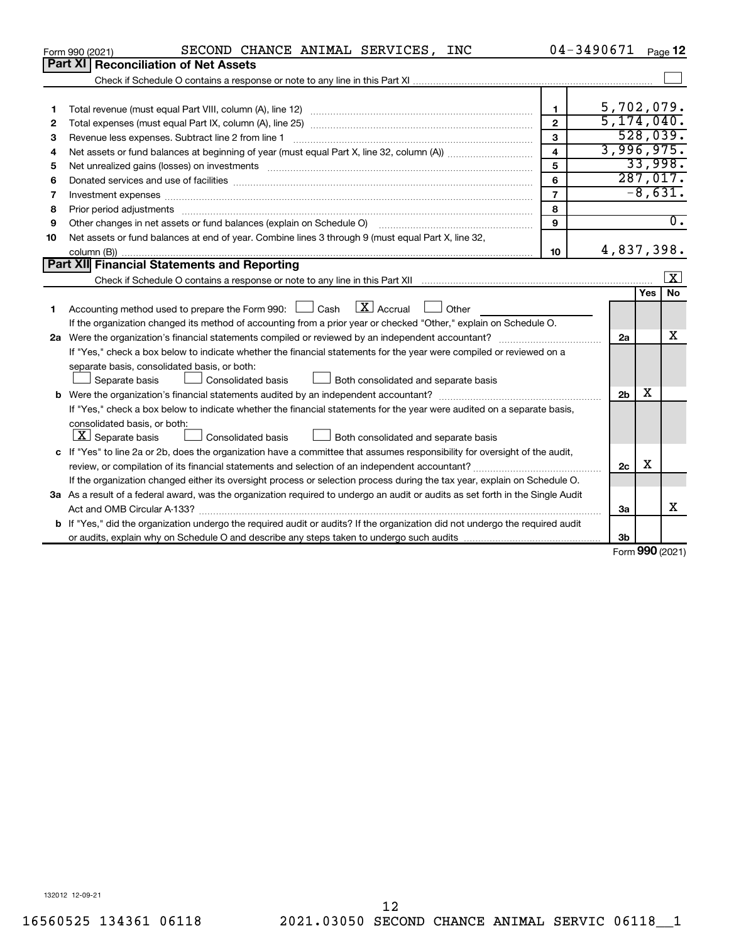|    | SECOND CHANCE ANIMAL SERVICES, INC<br>Form 990 (2021)                                                                                |                         | 04-3490671     |     | Page 12                 |  |  |
|----|--------------------------------------------------------------------------------------------------------------------------------------|-------------------------|----------------|-----|-------------------------|--|--|
|    | <b>Part XI   Reconciliation of Net Assets</b>                                                                                        |                         |                |     |                         |  |  |
|    |                                                                                                                                      |                         |                |     |                         |  |  |
|    |                                                                                                                                      |                         |                |     |                         |  |  |
| 1  |                                                                                                                                      | $\mathbf{1}$            | 5,702,079.     |     |                         |  |  |
| 2  |                                                                                                                                      | $\overline{2}$          | 5, 174, 040.   |     |                         |  |  |
| 3  | Revenue less expenses. Subtract line 2 from line 1                                                                                   | 3                       |                |     | 528,039.                |  |  |
| 4  |                                                                                                                                      | $\overline{\mathbf{4}}$ | 3,996,975.     |     |                         |  |  |
| 5  |                                                                                                                                      | 5                       |                |     | 33,998.                 |  |  |
| 6  |                                                                                                                                      | 6                       |                |     | 287,017.                |  |  |
| 7  |                                                                                                                                      | $\overline{7}$          |                |     | $-8,631.$               |  |  |
| 8  | Prior period adjustments www.communication.communication.com/news/communication.com/news/communication.com/new                       | 8                       |                |     |                         |  |  |
| 9  | Other changes in net assets or fund balances (explain on Schedule O)                                                                 | 9                       |                |     | $\overline{0}$ .        |  |  |
| 10 | Net assets or fund balances at end of year. Combine lines 3 through 9 (must equal Part X, line 32,                                   |                         |                |     |                         |  |  |
|    |                                                                                                                                      | 10                      | 4,837,398.     |     |                         |  |  |
|    | Part XII Financial Statements and Reporting                                                                                          |                         |                |     |                         |  |  |
|    |                                                                                                                                      |                         |                |     | $\overline{\mathbf{x}}$ |  |  |
|    |                                                                                                                                      |                         |                | Yes | No                      |  |  |
| 1  | Accounting method used to prepare the Form 990: $\Box$ Cash $\Box X$ Accrual<br>Other                                                |                         |                |     |                         |  |  |
|    | If the organization changed its method of accounting from a prior year or checked "Other," explain on Schedule O.                    |                         |                |     |                         |  |  |
|    |                                                                                                                                      |                         |                |     |                         |  |  |
|    | If "Yes," check a box below to indicate whether the financial statements for the year were compiled or reviewed on a                 |                         |                |     |                         |  |  |
|    | separate basis, consolidated basis, or both:                                                                                         |                         |                |     |                         |  |  |
|    | Both consolidated and separate basis<br>Separate basis<br><b>Consolidated basis</b>                                                  |                         |                |     |                         |  |  |
|    |                                                                                                                                      |                         | 2 <sub>b</sub> | x   |                         |  |  |
|    | If "Yes," check a box below to indicate whether the financial statements for the year were audited on a separate basis,              |                         |                |     |                         |  |  |
|    | consolidated basis, or both:                                                                                                         |                         |                |     |                         |  |  |
|    | $ \mathbf{X} $ Separate basis<br>Both consolidated and separate basis<br>Consolidated basis                                          |                         |                |     |                         |  |  |
|    | c If "Yes" to line 2a or 2b, does the organization have a committee that assumes responsibility for oversight of the audit,          |                         |                |     |                         |  |  |
|    | review, or compilation of its financial statements and selection of an independent accountant?                                       |                         | 2c             | х   |                         |  |  |
|    | If the organization changed either its oversight process or selection process during the tax year, explain on Schedule O.            |                         |                |     |                         |  |  |
|    | 3a As a result of a federal award, was the organization required to undergo an audit or audits as set forth in the Single Audit      |                         |                |     |                         |  |  |
|    | Act and OMB Circular A-133?                                                                                                          |                         | 3a             |     | x                       |  |  |
|    | <b>b</b> If "Yes," did the organization undergo the required audit or audits? If the organization did not undergo the required audit |                         |                |     |                         |  |  |
|    |                                                                                                                                      |                         | 3b             |     |                         |  |  |
|    |                                                                                                                                      |                         |                |     | $000 \text{$            |  |  |

Form (2021) **990**

132012 12-09-21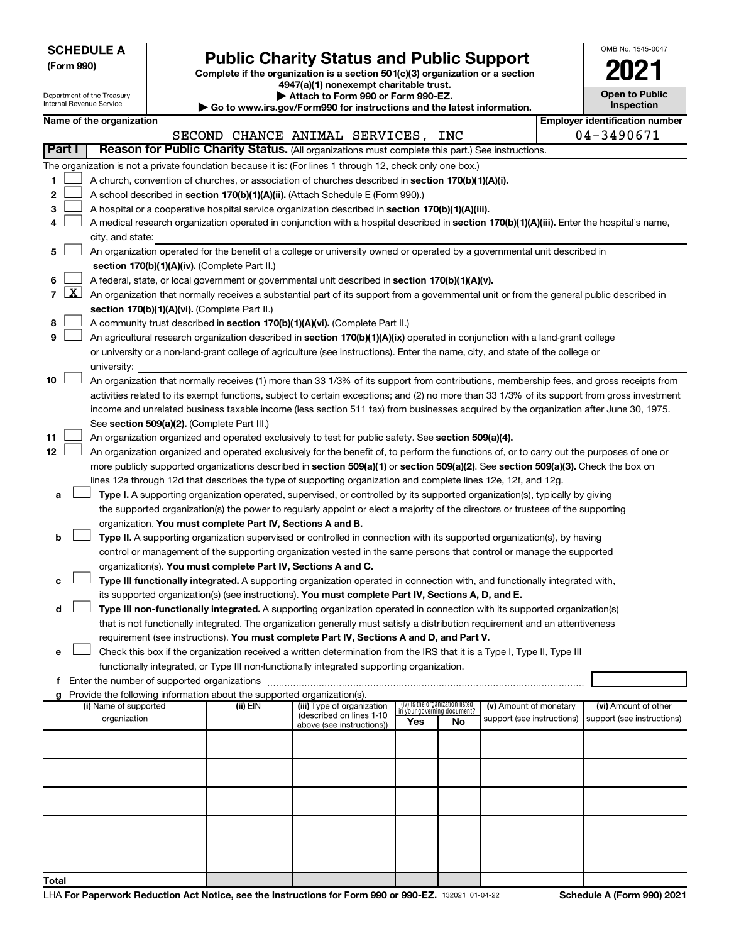| <b>SCHEDULE A</b> |
|-------------------|
|-------------------|

Department of the Treasury Internal Revenue Service

# Form 990)<br> **Complete if the organization is a section 501(c)(3) organization or a section**<br> **Public Charity Status and Public Support**

**4947(a)(1) nonexempt charitable trust. | Attach to Form 990 or Form 990-EZ.** 

**| Go to www.irs.gov/Form990 for instructions and the latest information.**

| OMB No 1545-0047                    |
|-------------------------------------|
|                                     |
| <b>Open to Public</b><br>Inspection |
|                                     |

|  | Name of the organization |
|--|--------------------------|
|--|--------------------------|

|                          | Name of the organization                                                                                                                                                                                            |                                |                                                       |  |     |                                                                |                            |  | <b>Employer identification number</b> |  |
|--------------------------|---------------------------------------------------------------------------------------------------------------------------------------------------------------------------------------------------------------------|--------------------------------|-------------------------------------------------------|--|-----|----------------------------------------------------------------|----------------------------|--|---------------------------------------|--|
|                          |                                                                                                                                                                                                                     | SECOND CHANCE ANIMAL SERVICES, |                                                       |  |     | INC                                                            |                            |  | 04-3490671                            |  |
| Part I                   | Reason for Public Charity Status. (All organizations must complete this part.) See instructions.                                                                                                                    |                                |                                                       |  |     |                                                                |                            |  |                                       |  |
|                          | The organization is not a private foundation because it is: (For lines 1 through 12, check only one box.)                                                                                                           |                                |                                                       |  |     |                                                                |                            |  |                                       |  |
| 1                        | A church, convention of churches, or association of churches described in section 170(b)(1)(A)(i).                                                                                                                  |                                |                                                       |  |     |                                                                |                            |  |                                       |  |
| 2                        | A school described in section 170(b)(1)(A)(ii). (Attach Schedule E (Form 990).)                                                                                                                                     |                                |                                                       |  |     |                                                                |                            |  |                                       |  |
| з                        | A hospital or a cooperative hospital service organization described in section 170(b)(1)(A)(iii).                                                                                                                   |                                |                                                       |  |     |                                                                |                            |  |                                       |  |
| 4                        | A medical research organization operated in conjunction with a hospital described in section 170(b)(1)(A)(iii). Enter the hospital's name,                                                                          |                                |                                                       |  |     |                                                                |                            |  |                                       |  |
|                          | city, and state:                                                                                                                                                                                                    |                                |                                                       |  |     |                                                                |                            |  |                                       |  |
| 5                        | An organization operated for the benefit of a college or university owned or operated by a governmental unit described in                                                                                           |                                |                                                       |  |     |                                                                |                            |  |                                       |  |
|                          | section 170(b)(1)(A)(iv). (Complete Part II.)                                                                                                                                                                       |                                |                                                       |  |     |                                                                |                            |  |                                       |  |
| 6                        | A federal, state, or local government or governmental unit described in section 170(b)(1)(A)(v).                                                                                                                    |                                |                                                       |  |     |                                                                |                            |  |                                       |  |
| $\lfloor x \rfloor$<br>7 | An organization that normally receives a substantial part of its support from a governmental unit or from the general public described in                                                                           |                                |                                                       |  |     |                                                                |                            |  |                                       |  |
|                          | section 170(b)(1)(A)(vi). (Complete Part II.)                                                                                                                                                                       |                                |                                                       |  |     |                                                                |                            |  |                                       |  |
| 8                        | A community trust described in section 170(b)(1)(A)(vi). (Complete Part II.)                                                                                                                                        |                                |                                                       |  |     |                                                                |                            |  |                                       |  |
| 9                        | An agricultural research organization described in section 170(b)(1)(A)(ix) operated in conjunction with a land-grant college                                                                                       |                                |                                                       |  |     |                                                                |                            |  |                                       |  |
|                          | or university or a non-land-grant college of agriculture (see instructions). Enter the name, city, and state of the college or                                                                                      |                                |                                                       |  |     |                                                                |                            |  |                                       |  |
|                          | university:                                                                                                                                                                                                         |                                |                                                       |  |     |                                                                |                            |  |                                       |  |
| 10                       | An organization that normally receives (1) more than 33 1/3% of its support from contributions, membership fees, and gross receipts from                                                                            |                                |                                                       |  |     |                                                                |                            |  |                                       |  |
|                          | activities related to its exempt functions, subject to certain exceptions; and (2) no more than 33 1/3% of its support from gross investment                                                                        |                                |                                                       |  |     |                                                                |                            |  |                                       |  |
|                          | income and unrelated business taxable income (less section 511 tax) from businesses acquired by the organization after June 30, 1975.                                                                               |                                |                                                       |  |     |                                                                |                            |  |                                       |  |
|                          | See section 509(a)(2). (Complete Part III.)                                                                                                                                                                         |                                |                                                       |  |     |                                                                |                            |  |                                       |  |
| 11                       | An organization organized and operated exclusively to test for public safety. See section 509(a)(4).                                                                                                                |                                |                                                       |  |     |                                                                |                            |  |                                       |  |
| 12                       | An organization organized and operated exclusively for the benefit of, to perform the functions of, or to carry out the purposes of one or                                                                          |                                |                                                       |  |     |                                                                |                            |  |                                       |  |
|                          | more publicly supported organizations described in section 509(a)(1) or section 509(a)(2). See section 509(a)(3). Check the box on                                                                                  |                                |                                                       |  |     |                                                                |                            |  |                                       |  |
|                          | lines 12a through 12d that describes the type of supporting organization and complete lines 12e, 12f, and 12g.                                                                                                      |                                |                                                       |  |     |                                                                |                            |  |                                       |  |
| a                        | Type I. A supporting organization operated, supervised, or controlled by its supported organization(s), typically by giving                                                                                         |                                |                                                       |  |     |                                                                |                            |  |                                       |  |
|                          | the supported organization(s) the power to regularly appoint or elect a majority of the directors or trustees of the supporting                                                                                     |                                |                                                       |  |     |                                                                |                            |  |                                       |  |
|                          | organization. You must complete Part IV, Sections A and B.                                                                                                                                                          |                                |                                                       |  |     |                                                                |                            |  |                                       |  |
| b                        | Type II. A supporting organization supervised or controlled in connection with its supported organization(s), by having                                                                                             |                                |                                                       |  |     |                                                                |                            |  |                                       |  |
|                          | control or management of the supporting organization vested in the same persons that control or manage the supported                                                                                                |                                |                                                       |  |     |                                                                |                            |  |                                       |  |
|                          | organization(s). You must complete Part IV, Sections A and C.                                                                                                                                                       |                                |                                                       |  |     |                                                                |                            |  |                                       |  |
| с                        | Type III functionally integrated. A supporting organization operated in connection with, and functionally integrated with,                                                                                          |                                |                                                       |  |     |                                                                |                            |  |                                       |  |
|                          | its supported organization(s) (see instructions). You must complete Part IV, Sections A, D, and E.                                                                                                                  |                                |                                                       |  |     |                                                                |                            |  |                                       |  |
| d                        | Type III non-functionally integrated. A supporting organization operated in connection with its supported organization(s)                                                                                           |                                |                                                       |  |     |                                                                |                            |  |                                       |  |
|                          | that is not functionally integrated. The organization generally must satisfy a distribution requirement and an attentiveness                                                                                        |                                |                                                       |  |     |                                                                |                            |  |                                       |  |
|                          | requirement (see instructions). You must complete Part IV, Sections A and D, and Part V.<br>Check this box if the organization received a written determination from the IRS that it is a Type I, Type II, Type III |                                |                                                       |  |     |                                                                |                            |  |                                       |  |
|                          | functionally integrated, or Type III non-functionally integrated supporting organization.                                                                                                                           |                                |                                                       |  |     |                                                                |                            |  |                                       |  |
| f                        | Enter the number of supported organizations                                                                                                                                                                         |                                |                                                       |  |     |                                                                |                            |  |                                       |  |
|                          | Provide the following information about the supported organization(s).                                                                                                                                              |                                |                                                       |  |     |                                                                |                            |  |                                       |  |
|                          | (i) Name of supported                                                                                                                                                                                               | (ii) EIN                       | (iii) Type of organization                            |  |     | (iv) Is the organization listed<br>in your governing document? | (v) Amount of monetary     |  | (vi) Amount of other                  |  |
|                          | organization                                                                                                                                                                                                        |                                | (described on lines 1-10<br>above (see instructions)) |  | Yes | No                                                             | support (see instructions) |  | support (see instructions)            |  |
|                          |                                                                                                                                                                                                                     |                                |                                                       |  |     |                                                                |                            |  |                                       |  |
|                          |                                                                                                                                                                                                                     |                                |                                                       |  |     |                                                                |                            |  |                                       |  |
|                          |                                                                                                                                                                                                                     |                                |                                                       |  |     |                                                                |                            |  |                                       |  |
|                          |                                                                                                                                                                                                                     |                                |                                                       |  |     |                                                                |                            |  |                                       |  |
|                          |                                                                                                                                                                                                                     |                                |                                                       |  |     |                                                                |                            |  |                                       |  |
|                          |                                                                                                                                                                                                                     |                                |                                                       |  |     |                                                                |                            |  |                                       |  |
|                          |                                                                                                                                                                                                                     |                                |                                                       |  |     |                                                                |                            |  |                                       |  |
|                          |                                                                                                                                                                                                                     |                                |                                                       |  |     |                                                                |                            |  |                                       |  |
|                          |                                                                                                                                                                                                                     |                                |                                                       |  |     |                                                                |                            |  |                                       |  |
|                          |                                                                                                                                                                                                                     |                                |                                                       |  |     |                                                                |                            |  |                                       |  |
| Total                    |                                                                                                                                                                                                                     |                                |                                                       |  |     |                                                                |                            |  |                                       |  |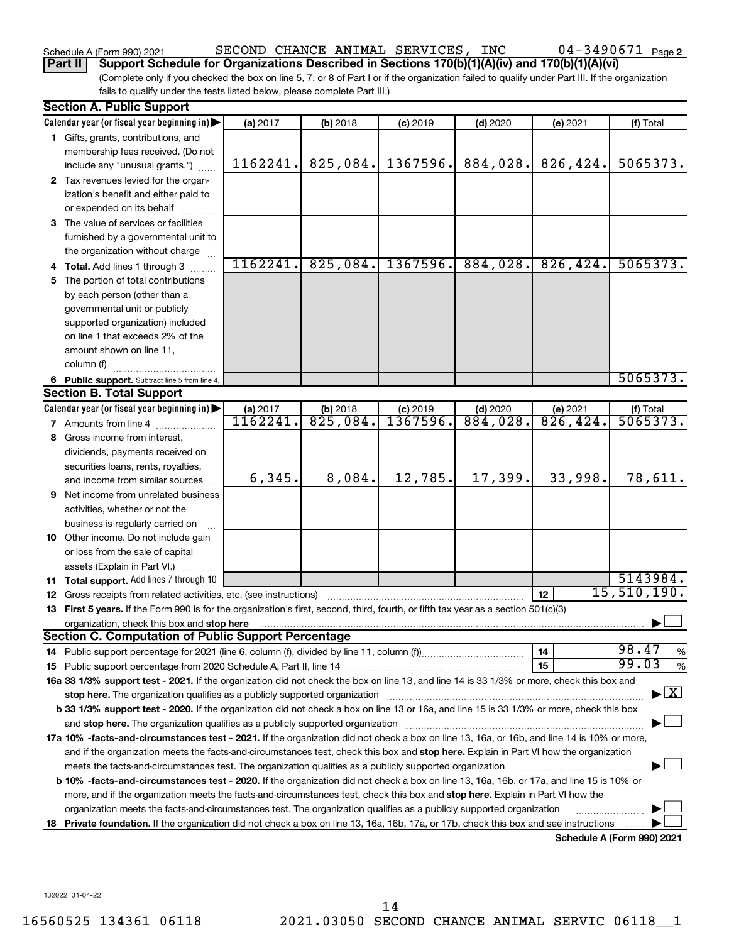### 04-3490671 Page 2 Schedule A (Form 990) 2021 SECOND CHANCE ANIMAL SERVICES, INC 04-3490671 page **Part II Support Schedule for Organizations Described in Sections 170(b)(1)(A)(iv) and 170(b)(1)(A)(vi)**

(Complete only if you checked the box on line 5, 7, or 8 of Part I or if the organization failed to qualify under Part III. If the organization fails to qualify under the tests listed below, please complete Part III.)

|     | <b>Section A. Public Support</b>                                                                                                                                                                                                                           |          |            |            |            |           |                                          |
|-----|------------------------------------------------------------------------------------------------------------------------------------------------------------------------------------------------------------------------------------------------------------|----------|------------|------------|------------|-----------|------------------------------------------|
|     | Calendar year (or fiscal year beginning in)                                                                                                                                                                                                                | (a) 2017 | (b) 2018   | $(c)$ 2019 | $(d)$ 2020 | (e) 2021  | (f) Total                                |
|     | 1 Gifts, grants, contributions, and                                                                                                                                                                                                                        |          |            |            |            |           |                                          |
|     | membership fees received. (Do not                                                                                                                                                                                                                          |          |            |            |            |           |                                          |
|     | include any "unusual grants.")                                                                                                                                                                                                                             | 1162241. | 825,084.   | 1367596.   | 884,028.   | 826,424.  | 5065373.                                 |
|     | 2 Tax revenues levied for the organ-                                                                                                                                                                                                                       |          |            |            |            |           |                                          |
|     | ization's benefit and either paid to                                                                                                                                                                                                                       |          |            |            |            |           |                                          |
|     | or expended on its behalf                                                                                                                                                                                                                                  |          |            |            |            |           |                                          |
|     | 3 The value of services or facilities                                                                                                                                                                                                                      |          |            |            |            |           |                                          |
|     | furnished by a governmental unit to                                                                                                                                                                                                                        |          |            |            |            |           |                                          |
|     | the organization without charge                                                                                                                                                                                                                            |          |            |            |            |           |                                          |
|     | 4 Total. Add lines 1 through 3                                                                                                                                                                                                                             | 1162241. | 825,084.   | 1367596.   | 884,028.   | 826, 424. | 5065373.                                 |
| 5.  | The portion of total contributions                                                                                                                                                                                                                         |          |            |            |            |           |                                          |
|     | by each person (other than a                                                                                                                                                                                                                               |          |            |            |            |           |                                          |
|     | governmental unit or publicly                                                                                                                                                                                                                              |          |            |            |            |           |                                          |
|     | supported organization) included                                                                                                                                                                                                                           |          |            |            |            |           |                                          |
|     | on line 1 that exceeds 2% of the                                                                                                                                                                                                                           |          |            |            |            |           |                                          |
|     | amount shown on line 11,                                                                                                                                                                                                                                   |          |            |            |            |           |                                          |
|     | column (f)                                                                                                                                                                                                                                                 |          |            |            |            |           |                                          |
|     | 6 Public support. Subtract line 5 from line 4.                                                                                                                                                                                                             |          |            |            |            |           | 5065373.                                 |
|     | <b>Section B. Total Support</b>                                                                                                                                                                                                                            |          |            |            |            |           |                                          |
|     | Calendar year (or fiscal year beginning in)                                                                                                                                                                                                                | (a) 2017 | $(b)$ 2018 | $(c)$ 2019 | $(d)$ 2020 | (e) 2021  | (f) Total                                |
|     | <b>7</b> Amounts from line 4                                                                                                                                                                                                                               | 1162241  | 825,084.   | 1367596.   | 884,028.   | 826,424.  | 5065373.                                 |
|     | 8 Gross income from interest,                                                                                                                                                                                                                              |          |            |            |            |           |                                          |
|     | dividends, payments received on                                                                                                                                                                                                                            |          |            |            |            |           |                                          |
|     | securities loans, rents, royalties,                                                                                                                                                                                                                        |          |            |            |            |           |                                          |
|     | and income from similar sources                                                                                                                                                                                                                            | 6,345.   | 8,084.     | 12,785.    | 17,399.    | 33,998.   | 78,611.                                  |
|     | 9 Net income from unrelated business                                                                                                                                                                                                                       |          |            |            |            |           |                                          |
|     | activities, whether or not the                                                                                                                                                                                                                             |          |            |            |            |           |                                          |
|     | business is regularly carried on                                                                                                                                                                                                                           |          |            |            |            |           |                                          |
|     | 10 Other income. Do not include gain                                                                                                                                                                                                                       |          |            |            |            |           |                                          |
|     | or loss from the sale of capital                                                                                                                                                                                                                           |          |            |            |            |           |                                          |
|     | assets (Explain in Part VI.)                                                                                                                                                                                                                               |          |            |            |            |           |                                          |
|     | 11 Total support. Add lines 7 through 10                                                                                                                                                                                                                   |          |            |            |            |           | 5143984.                                 |
|     | <b>12</b> Gross receipts from related activities, etc. (see instructions)                                                                                                                                                                                  |          |            |            |            | 12        | 15,510,190.                              |
|     | 13 First 5 years. If the Form 990 is for the organization's first, second, third, fourth, or fifth tax year as a section 501(c)(3)                                                                                                                         |          |            |            |            |           |                                          |
|     |                                                                                                                                                                                                                                                            |          |            |            |            |           |                                          |
|     | <b>Section C. Computation of Public Support Percentage</b>                                                                                                                                                                                                 |          |            |            |            |           | 98.47                                    |
|     |                                                                                                                                                                                                                                                            |          |            |            |            | 14        | %<br>99.03                               |
|     |                                                                                                                                                                                                                                                            |          |            |            |            | 15        | $\%$                                     |
|     | 16a 33 1/3% support test - 2021. If the organization did not check the box on line 13, and line 14 is 33 1/3% or more, check this box and                                                                                                                  |          |            |            |            |           | $\blacktriangleright$ $\boxed{\text{X}}$ |
|     | stop here. The organization qualifies as a publicly supported organization manufaction manufacture or the organization manufacture or the state of the state of the state of the state of the state of the state of the state                              |          |            |            |            |           |                                          |
|     | b 33 1/3% support test - 2020. If the organization did not check a box on line 13 or 16a, and line 15 is 33 1/3% or more, check this box                                                                                                                   |          |            |            |            |           |                                          |
|     |                                                                                                                                                                                                                                                            |          |            |            |            |           |                                          |
|     | 17a 10% -facts-and-circumstances test - 2021. If the organization did not check a box on line 13, 16a, or 16b, and line 14 is 10% or more,                                                                                                                 |          |            |            |            |           |                                          |
|     | and if the organization meets the facts-and-circumstances test, check this box and stop here. Explain in Part VI how the organization                                                                                                                      |          |            |            |            |           |                                          |
|     | meets the facts-and-circumstances test. The organization qualifies as a publicly supported organization                                                                                                                                                    |          |            |            |            |           |                                          |
|     | <b>b 10%</b> -facts-and-circumstances test - 2020. If the organization did not check a box on line 13, 16a, 16b, or 17a, and line 15 is 10% or                                                                                                             |          |            |            |            |           |                                          |
|     | more, and if the organization meets the facts-and-circumstances test, check this box and <b>stop here.</b> Explain in Part VI how the                                                                                                                      |          |            |            |            |           |                                          |
|     | organization meets the facts-and-circumstances test. The organization qualifies as a publicly supported organization<br>Private foundation. If the organization did not check a box on line 13, 16a, 16b, 17a, or 17b, check this box and see instructions |          |            |            |            |           |                                          |
| 18. |                                                                                                                                                                                                                                                            |          |            |            |            |           | Schedule A (Form 990) 2021               |
|     |                                                                                                                                                                                                                                                            |          |            |            |            |           |                                          |

132022 01-04-22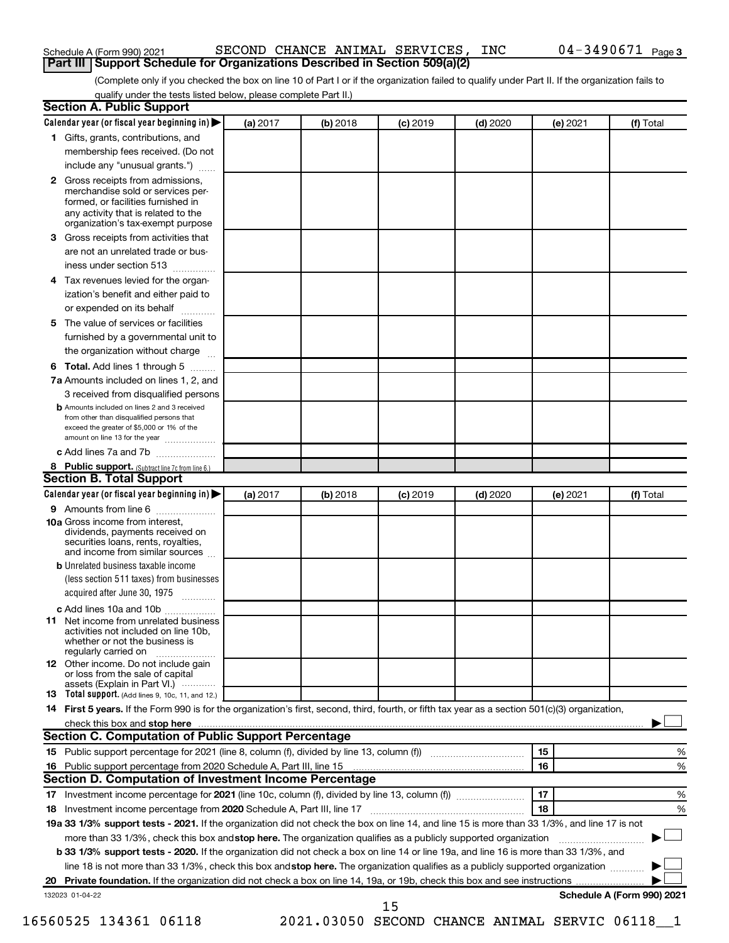| Calendar year (or fiscal year beginning in) $\blacktriangleright$                                                                                                                                                                                                                    | (a) 2017 | $(b)$ 2018 | $(c)$ 2019 | $(d)$ 2020 | (e) 2021 | (f) Total |
|--------------------------------------------------------------------------------------------------------------------------------------------------------------------------------------------------------------------------------------------------------------------------------------|----------|------------|------------|------------|----------|-----------|
| 1 Gifts, grants, contributions, and                                                                                                                                                                                                                                                  |          |            |            |            |          |           |
| membership fees received. (Do not                                                                                                                                                                                                                                                    |          |            |            |            |          |           |
| include any "unusual grants.")                                                                                                                                                                                                                                                       |          |            |            |            |          |           |
| 2 Gross receipts from admissions,                                                                                                                                                                                                                                                    |          |            |            |            |          |           |
| merchandise sold or services per-                                                                                                                                                                                                                                                    |          |            |            |            |          |           |
| formed, or facilities furnished in                                                                                                                                                                                                                                                   |          |            |            |            |          |           |
| any activity that is related to the<br>organization's tax-exempt purpose                                                                                                                                                                                                             |          |            |            |            |          |           |
| Gross receipts from activities that                                                                                                                                                                                                                                                  |          |            |            |            |          |           |
| are not an unrelated trade or bus-                                                                                                                                                                                                                                                   |          |            |            |            |          |           |
| iness under section 513                                                                                                                                                                                                                                                              |          |            |            |            |          |           |
| Tax revenues levied for the organ-<br>4                                                                                                                                                                                                                                              |          |            |            |            |          |           |
| ization's benefit and either paid to                                                                                                                                                                                                                                                 |          |            |            |            |          |           |
| or expended on its behalf<br>.                                                                                                                                                                                                                                                       |          |            |            |            |          |           |
| The value of services or facilities<br>5                                                                                                                                                                                                                                             |          |            |            |            |          |           |
| furnished by a governmental unit to                                                                                                                                                                                                                                                  |          |            |            |            |          |           |
| the organization without charge                                                                                                                                                                                                                                                      |          |            |            |            |          |           |
| 6 Total. Add lines 1 through 5                                                                                                                                                                                                                                                       |          |            |            |            |          |           |
| 7a Amounts included on lines 1, 2, and                                                                                                                                                                                                                                               |          |            |            |            |          |           |
| 3 received from disqualified persons                                                                                                                                                                                                                                                 |          |            |            |            |          |           |
| <b>b</b> Amounts included on lines 2 and 3 received                                                                                                                                                                                                                                  |          |            |            |            |          |           |
| from other than disqualified persons that                                                                                                                                                                                                                                            |          |            |            |            |          |           |
| exceed the greater of \$5,000 or 1% of the<br>amount on line 13 for the year                                                                                                                                                                                                         |          |            |            |            |          |           |
| c Add lines 7a and 7b                                                                                                                                                                                                                                                                |          |            |            |            |          |           |
| 8 Public support. (Subtract line 7c from line 6.)                                                                                                                                                                                                                                    |          |            |            |            |          |           |
| <b>Section B. Total Support</b>                                                                                                                                                                                                                                                      |          |            |            |            |          |           |
| Calendar year (or fiscal year beginning in) $\blacktriangleright$                                                                                                                                                                                                                    | (a) 2017 | (b) 2018   | $(c)$ 2019 | $(d)$ 2020 | (e) 2021 | (f) Total |
| 9 Amounts from line 6                                                                                                                                                                                                                                                                |          |            |            |            |          |           |
| <b>10a</b> Gross income from interest,                                                                                                                                                                                                                                               |          |            |            |            |          |           |
| dividends, payments received on                                                                                                                                                                                                                                                      |          |            |            |            |          |           |
| securities loans, rents, royalties,<br>and income from similar sources                                                                                                                                                                                                               |          |            |            |            |          |           |
| <b>b</b> Unrelated business taxable income                                                                                                                                                                                                                                           |          |            |            |            |          |           |
| (less section 511 taxes) from businesses                                                                                                                                                                                                                                             |          |            |            |            |          |           |
| acquired after June 30, 1975                                                                                                                                                                                                                                                         |          |            |            |            |          |           |
| c Add lines 10a and 10b                                                                                                                                                                                                                                                              |          |            |            |            |          |           |
| 11 Net income from unrelated business                                                                                                                                                                                                                                                |          |            |            |            |          |           |
| activities not included on line 10b.                                                                                                                                                                                                                                                 |          |            |            |            |          |           |
| whether or not the business is<br>regularly carried on                                                                                                                                                                                                                               |          |            |            |            |          |           |
| 12 Other income. Do not include gain                                                                                                                                                                                                                                                 |          |            |            |            |          |           |
| or loss from the sale of capital                                                                                                                                                                                                                                                     |          |            |            |            |          |           |
| assets (Explain in Part VI.)                                                                                                                                                                                                                                                         |          |            |            |            |          |           |
| <b>Total support.</b> (Add lines 9, 10c, 11, and 12.)<br>13                                                                                                                                                                                                                          |          |            |            |            |          |           |
| 14 First 5 years. If the Form 990 is for the organization's first, second, third, fourth, or fifth tax year as a section 501(c)(3) organization,                                                                                                                                     |          |            |            |            |          |           |
| check this box and stop here measurements and stop here and stop here are measured and stop here and stop here and stop here and stop here and stop here and stop here and stop here are all the stop of the stop of the stop<br>Section C. Computation of Public Support Percentage |          |            |            |            |          |           |
|                                                                                                                                                                                                                                                                                      |          |            |            |            |          |           |
| 15 Public support percentage for 2021 (line 8, column (f), divided by line 13, column (f))                                                                                                                                                                                           |          |            |            |            | 15       | $\%$      |

## Schedule A (Form 990) 2021 SECOND CHANCE ANIMAL SERVICES, INC 04-3490671 page **Part III Support Schedule for Organizations Described in Section 509(a)(2)**

(Complete only if you checked the box on line 10 of Part I or if the organization failed to qualify under Part II. If the organization fails to qualify under the tests listed below, please complete Part II.) **Section A. Public Support**

132023 01-04-22

**16**

15

**20 Private foundation.**  If the organization did not check a box on line 14, 19a, or 19b, check this box and see instructions |

18 Investment income percentage from 2020 Schedule A, Part III, line 17 **2000** Committee and the setting and the state of the state of the state of the state of the state of the state of the state of the state of the state

more than 33 1/3%, check this box and stop here. The organization qualifies as a publicly supported organization *www.www.www.*www.

line 18 is not more than 33 1/3%, check this box and stop here. The organization qualifies as a publicly supported organization  $\Box$ 

19a 33 1/3% support tests - 2021. If the organization did not check the box on line 14, and line 15 is more than 33 1/3%, and line 17 is not

**b 33 1/3% support tests - 2020.** If the organization did not check a box on line 14 or line 19a, and line 16 is more than 33 1/3%, and

**17** Investment income percentage for **2021** (line 10c, column (f), divided by line 13, column (f))

Public support percentage from 2020 Schedule A, Part III, line 15

**Section D. Computation of Investment Income Percentage**

**Schedule A (Form 990) 2021**

**16**

%

**17 18**

 $~\sim~$   $~\sim~$  17  $~\sim~$  %

†

† †

16560525 134361 06118 2021.03050 SECOND CHANCE ANIMAL SERVIC 06118\_\_1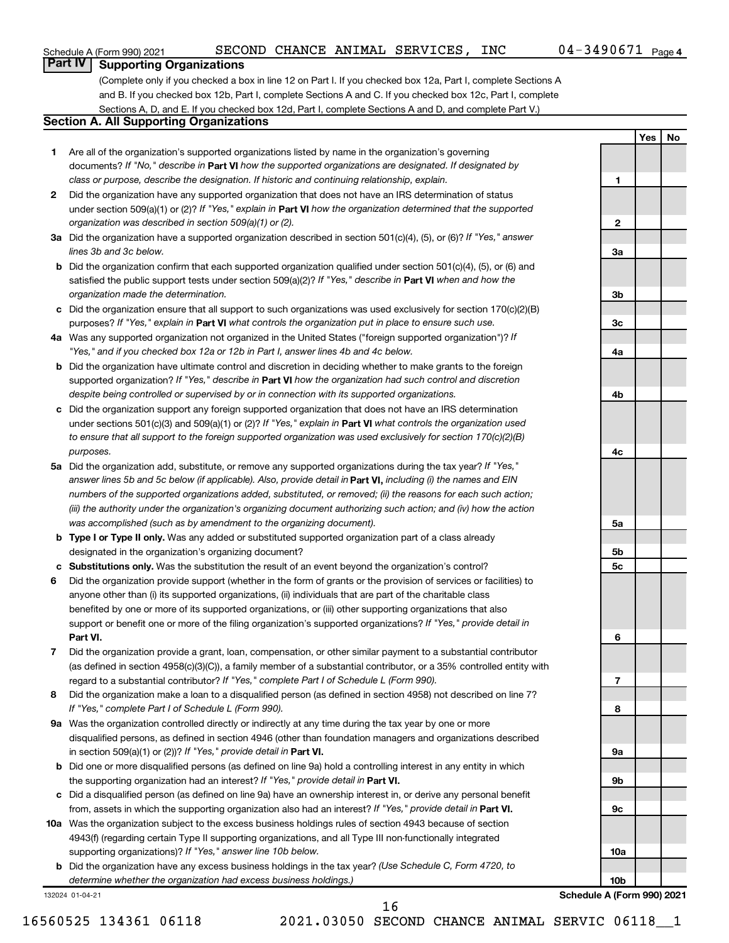**1**

**2**

**3a**

**3b**

**3c**

**4a**

**4b**

**4c**

**Yes No**

# **Part IV Supporting Organizations**

(Complete only if you checked a box in line 12 on Part I. If you checked box 12a, Part I, complete Sections A and B. If you checked box 12b, Part I, complete Sections A and C. If you checked box 12c, Part I, complete Sections A, D, and E. If you checked box 12d, Part I, complete Sections A and D, and complete Part V.)

## **Section A. All Supporting Organizations**

- **1** Are all of the organization's supported organizations listed by name in the organization's governing documents? If "No," describe in Part VI how the supported organizations are designated. If designated by *class or purpose, describe the designation. If historic and continuing relationship, explain.*
- **2** Did the organization have any supported organization that does not have an IRS determination of status under section 509(a)(1) or (2)? If "Yes," explain in Part **VI** how the organization determined that the supported *organization was described in section 509(a)(1) or (2).*
- **3a** Did the organization have a supported organization described in section 501(c)(4), (5), or (6)? If "Yes," answer *lines 3b and 3c below.*
- **b** Did the organization confirm that each supported organization qualified under section 501(c)(4), (5), or (6) and satisfied the public support tests under section 509(a)(2)? If "Yes," describe in Part VI when and how the *organization made the determination.*
- **c** Did the organization ensure that all support to such organizations was used exclusively for section 170(c)(2)(B) purposes? If "Yes," explain in Part VI what controls the organization put in place to ensure such use.
- **4 a** *If* Was any supported organization not organized in the United States ("foreign supported organization")? *"Yes," and if you checked box 12a or 12b in Part I, answer lines 4b and 4c below.*
- **b** Did the organization have ultimate control and discretion in deciding whether to make grants to the foreign supported organization? If "Yes," describe in Part VI how the organization had such control and discretion *despite being controlled or supervised by or in connection with its supported organizations.*
- **c** Did the organization support any foreign supported organization that does not have an IRS determination under sections 501(c)(3) and 509(a)(1) or (2)? If "Yes," explain in Part VI what controls the organization used *to ensure that all support to the foreign supported organization was used exclusively for section 170(c)(2)(B) purposes.*
- **5a** Did the organization add, substitute, or remove any supported organizations during the tax year? If "Yes," answer lines 5b and 5c below (if applicable). Also, provide detail in **Part VI,** including (i) the names and EIN *numbers of the supported organizations added, substituted, or removed; (ii) the reasons for each such action; (iii) the authority under the organization's organizing document authorizing such action; and (iv) how the action was accomplished (such as by amendment to the organizing document).*
- **b** Type I or Type II only. Was any added or substituted supported organization part of a class already designated in the organization's organizing document?
- **c Substitutions only.**  Was the substitution the result of an event beyond the organization's control?
- **6** Did the organization provide support (whether in the form of grants or the provision of services or facilities) to **Part VI.** support or benefit one or more of the filing organization's supported organizations? If "Yes," provide detail in anyone other than (i) its supported organizations, (ii) individuals that are part of the charitable class benefited by one or more of its supported organizations, or (iii) other supporting organizations that also
- **7** Did the organization provide a grant, loan, compensation, or other similar payment to a substantial contributor regard to a substantial contributor? If "Yes," complete Part I of Schedule L (Form 990). (as defined in section 4958(c)(3)(C)), a family member of a substantial contributor, or a 35% controlled entity with
- **8** Did the organization make a loan to a disqualified person (as defined in section 4958) not described on line 7? *If "Yes," complete Part I of Schedule L (Form 990).*
- **9 a** Was the organization controlled directly or indirectly at any time during the tax year by one or more in section 509(a)(1) or (2))? If "Yes," provide detail in **Part VI.** disqualified persons, as defined in section 4946 (other than foundation managers and organizations described
- **b** Did one or more disqualified persons (as defined on line 9a) hold a controlling interest in any entity in which the supporting organization had an interest? If "Yes," provide detail in Part VI.
- **c** Did a disqualified person (as defined on line 9a) have an ownership interest in, or derive any personal benefit from, assets in which the supporting organization also had an interest? If "Yes," provide detail in Part VI.
- **10 a** Was the organization subject to the excess business holdings rules of section 4943 because of section supporting organizations)? If "Yes," answer line 10b below. 4943(f) (regarding certain Type II supporting organizations, and all Type III non-functionally integrated
	- **b** Did the organization have any excess business holdings in the tax year? (Use Schedule C, Form 4720, to *determine whether the organization had excess business holdings.)*

132024 01-04-21

16560525 134361 06118 2021.03050 SECOND CHANCE ANIMAL SERVIC 06118\_\_1

**5a 5b 5c 6 7 8 9a 9b 9c 10a 10b Schedule A (Form 990) 2021**

16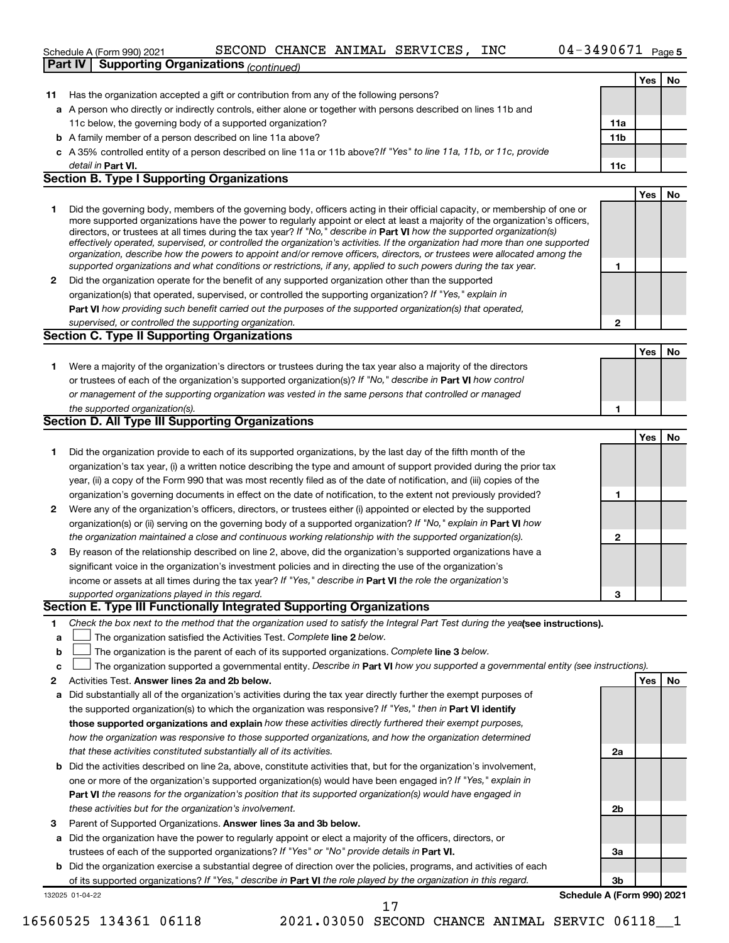|              | 04-3490671 Page 5<br>SECOND CHANCE ANIMAL SERVICES, INC<br>Schedule A (Form 990) 2021                                                                                                                                                                     |                 |            |    |
|--------------|-----------------------------------------------------------------------------------------------------------------------------------------------------------------------------------------------------------------------------------------------------------|-----------------|------------|----|
|              | <b>Part IV   Supporting Organizations (Continued)</b>                                                                                                                                                                                                     |                 |            |    |
|              |                                                                                                                                                                                                                                                           |                 | Yes        | No |
| 11           | Has the organization accepted a gift or contribution from any of the following persons?                                                                                                                                                                   |                 |            |    |
|              | a A person who directly or indirectly controls, either alone or together with persons described on lines 11b and                                                                                                                                          |                 |            |    |
|              | 11c below, the governing body of a supported organization?                                                                                                                                                                                                | 11a             |            |    |
|              | <b>b</b> A family member of a person described on line 11a above?                                                                                                                                                                                         | 11 <sub>b</sub> |            |    |
|              | c A 35% controlled entity of a person described on line 11a or 11b above?If "Yes" to line 11a, 11b, or 11c, provide                                                                                                                                       |                 |            |    |
|              | detail in Part VI.                                                                                                                                                                                                                                        | 11c             |            |    |
|              | <b>Section B. Type I Supporting Organizations</b>                                                                                                                                                                                                         |                 |            |    |
|              |                                                                                                                                                                                                                                                           |                 | Yes        | No |
| 1            | Did the governing body, members of the governing body, officers acting in their official capacity, or membership of one or                                                                                                                                |                 |            |    |
|              | more supported organizations have the power to regularly appoint or elect at least a majority of the organization's officers,                                                                                                                             |                 |            |    |
|              | directors, or trustees at all times during the tax year? If "No," describe in Part VI how the supported organization(s)<br>effectively operated, supervised, or controlled the organization's activities. If the organization had more than one supported |                 |            |    |
|              | organization, describe how the powers to appoint and/or remove officers, directors, or trustees were allocated among the                                                                                                                                  |                 |            |    |
|              | supported organizations and what conditions or restrictions, if any, applied to such powers during the tax year.                                                                                                                                          | 1               |            |    |
| $\mathbf{2}$ | Did the organization operate for the benefit of any supported organization other than the supported                                                                                                                                                       |                 |            |    |
|              | organization(s) that operated, supervised, or controlled the supporting organization? If "Yes," explain in                                                                                                                                                |                 |            |    |
|              | Part VI how providing such benefit carried out the purposes of the supported organization(s) that operated,                                                                                                                                               |                 |            |    |
|              | supervised, or controlled the supporting organization.                                                                                                                                                                                                    | $\mathbf{2}$    |            |    |
|              | <b>Section C. Type II Supporting Organizations</b>                                                                                                                                                                                                        |                 |            |    |
|              |                                                                                                                                                                                                                                                           |                 | Yes        | No |
| 1            | Were a majority of the organization's directors or trustees during the tax year also a majority of the directors                                                                                                                                          |                 |            |    |
|              | or trustees of each of the organization's supported organization(s)? If "No," describe in Part VI how control                                                                                                                                             |                 |            |    |
|              | or management of the supporting organization was vested in the same persons that controlled or managed                                                                                                                                                    |                 |            |    |
|              | the supported organization(s).                                                                                                                                                                                                                            | 1               |            |    |
|              | <b>Section D. All Type III Supporting Organizations</b>                                                                                                                                                                                                   |                 |            |    |
|              |                                                                                                                                                                                                                                                           |                 | <b>Yes</b> | No |
| 1            | Did the organization provide to each of its supported organizations, by the last day of the fifth month of the                                                                                                                                            |                 |            |    |
|              | organization's tax year, (i) a written notice describing the type and amount of support provided during the prior tax                                                                                                                                     |                 |            |    |
|              | year, (ii) a copy of the Form 990 that was most recently filed as of the date of notification, and (iii) copies of the                                                                                                                                    |                 |            |    |
|              | organization's governing documents in effect on the date of notification, to the extent not previously provided?                                                                                                                                          | 1               |            |    |
| $\mathbf{2}$ | Were any of the organization's officers, directors, or trustees either (i) appointed or elected by the supported                                                                                                                                          |                 |            |    |
|              | organization(s) or (ii) serving on the governing body of a supported organization? If "No," explain in <b>Part VI</b> how                                                                                                                                 |                 |            |    |
|              | the organization maintained a close and continuous working relationship with the supported organization(s).                                                                                                                                               | $\mathbf{2}$    |            |    |
| 3            | By reason of the relationship described on line 2, above, did the organization's supported organizations have a                                                                                                                                           |                 |            |    |
|              | significant voice in the organization's investment policies and in directing the use of the organization's                                                                                                                                                |                 |            |    |
|              | income or assets at all times during the tax year? If "Yes," describe in Part VI the role the organization's                                                                                                                                              |                 |            |    |
|              | supported organizations played in this regard.<br>Section E. Type III Functionally Integrated Supporting Organizations                                                                                                                                    | 3               |            |    |
|              |                                                                                                                                                                                                                                                           |                 |            |    |
| 1            | Check the box next to the method that the organization used to satisfy the Integral Part Test during the yealsee instructions).                                                                                                                           |                 |            |    |
| a            | The organization satisfied the Activities Test. Complete line 2 below.                                                                                                                                                                                    |                 |            |    |
| b            | The organization is the parent of each of its supported organizations. Complete line 3 below.                                                                                                                                                             |                 |            |    |
| c            | The organization supported a governmental entity. Describe in Part VI how you supported a governmental entity (see instructions).                                                                                                                         |                 |            |    |
| 2            | Activities Test. Answer lines 2a and 2b below.                                                                                                                                                                                                            |                 | Yes        | No |
| a            | Did substantially all of the organization's activities during the tax year directly further the exempt purposes of                                                                                                                                        |                 |            |    |
|              | the supported organization(s) to which the organization was responsive? If "Yes," then in Part VI identify                                                                                                                                                |                 |            |    |
|              | those supported organizations and explain how these activities directly furthered their exempt purposes,                                                                                                                                                  |                 |            |    |
|              | how the organization was responsive to those supported organizations, and how the organization determined                                                                                                                                                 |                 |            |    |
|              | that these activities constituted substantially all of its activities.                                                                                                                                                                                    | 2a              |            |    |
|              | <b>b</b> Did the activities described on line 2a, above, constitute activities that, but for the organization's involvement,<br>one or more of the organization's supported organization(s) would have been engaged in? If "Yes," explain in              |                 |            |    |
|              |                                                                                                                                                                                                                                                           |                 |            |    |
|              | Part VI the reasons for the organization's position that its supported organization(s) would have engaged in                                                                                                                                              |                 |            |    |

- *these activities but for the organization's involvement.*
- 3 Parent of Supported Organizations. Answer lines 3a and 3b below.
- **a** Did the organization have the power to regularly appoint or elect a majority of the officers, directors, or trustees of each of the supported organizations? If "Yes" or "No" provide details in Part VI.
- **b** Did the organization exercise a substantial degree of direction over the policies, programs, and activities of each of its supported organizations? If "Yes," describe in Part VI the role played by the organization in this regard.

132025 01-04-22

**3b Schedule A (Form 990) 2021**

**2b**

**3a**

17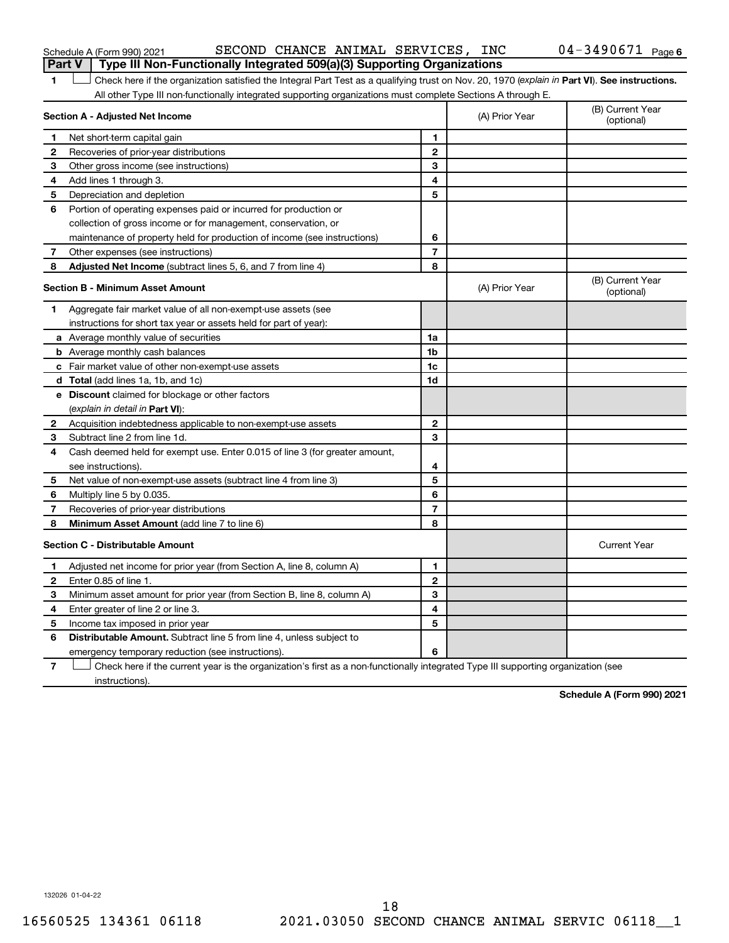|                                         | SECOND CHANCE ANIMAL SERVICES, INC<br>Schedule A (Form 990) 2021                                                                               |   |                | 04-3490671<br>Page             |
|-----------------------------------------|------------------------------------------------------------------------------------------------------------------------------------------------|---|----------------|--------------------------------|
|                                         | Type III Non-Functionally Integrated 509(a)(3) Supporting Organizations<br>Part V                                                              |   |                |                                |
|                                         | Check here if the organization satisfied the Integral Part Test as a qualifying trust on Nov. 20, 1970 (explain in Part VI). See instructions. |   |                |                                |
|                                         | All other Type III non-functionally integrated supporting organizations must complete Sections A through E.                                    |   |                |                                |
|                                         | Section A - Adjusted Net Income                                                                                                                |   | (A) Prior Year | (B) Current Year<br>(optional) |
|                                         | Net short-term capital gain                                                                                                                    |   |                |                                |
| 2                                       | Recoveries of prior-year distributions                                                                                                         | 2 |                |                                |
| 3                                       | Other gross income (see instructions)                                                                                                          | 3 |                |                                |
| 4                                       | Add lines 1 through 3.                                                                                                                         | 4 |                |                                |
| 5                                       | Depreciation and depletion                                                                                                                     | 5 |                |                                |
| 6                                       | Portion of operating expenses paid or incurred for production or                                                                               |   |                |                                |
|                                         | collection of gross income or for management, conservation, or                                                                                 |   |                |                                |
|                                         | maintenance of property held for production of income (see instructions)                                                                       | 6 |                |                                |
|                                         | Other expenses (see instructions)                                                                                                              | 7 |                |                                |
| 8                                       | <b>Adjusted Net Income</b> (subtract lines 5, 6, and 7 from line 4)                                                                            | 8 |                |                                |
| <b>Section B - Minimum Asset Amount</b> |                                                                                                                                                |   | (A) Prior Year | (B) Current Year<br>(optional) |
|                                         | Aggregate fair market value of all non-exempt-use assets (see                                                                                  |   |                |                                |
|                                         |                                                                                                                                                |   |                |                                |

|              |                                                                             |                | $\overline{v}$      |
|--------------|-----------------------------------------------------------------------------|----------------|---------------------|
|              | Aggregate fair market value of all non-exempt-use assets (see               |                |                     |
|              | instructions for short tax year or assets held for part of year):           |                |                     |
|              | a Average monthly value of securities                                       | 1a             |                     |
|              | <b>b</b> Average monthly cash balances                                      | 1 <sub>b</sub> |                     |
|              | c Fair market value of other non-exempt-use assets                          | 1c             |                     |
|              | d Total (add lines 1a, 1b, and 1c)                                          | 1d             |                     |
|              | <b>Discount</b> claimed for blockage or other factors                       |                |                     |
|              | (explain in detail in Part VI):                                             |                |                     |
| $\mathbf{2}$ | Acquisition indebtedness applicable to non-exempt-use assets                | $\mathbf{2}$   |                     |
| 3            | Subtract line 2 from line 1d.                                               | 3              |                     |
| 4            | Cash deemed held for exempt use. Enter 0.015 of line 3 (for greater amount, |                |                     |
|              | see instructions).                                                          | 4              |                     |
| 5            | Net value of non-exempt-use assets (subtract line 4 from line 3)            | 5              |                     |
| 6            | Multiply line 5 by 0.035.                                                   | 6              |                     |
| 7            | Recoveries of prior-year distributions                                      | 7              |                     |
| 8            | Minimum Asset Amount (add line 7 to line 6)                                 | 8              |                     |
|              | <b>Section C - Distributable Amount</b>                                     |                | <b>Current Year</b> |
| 1.           | Adjusted net income for prior year (from Section A, line 8, column A)       | 1              |                     |
| $\mathbf{2}$ | Enter 0.85 of line 1.                                                       | $\mathbf{2}$   |                     |
| 3            | Minimum asset amount for prior year (from Section B, line 8, column A)      | 3              |                     |
| 4            | Enter greater of line 2 or line 3.                                          | 4              |                     |
| 5            | Income tax imposed in prior year                                            | 5              |                     |
| 6            | <b>Distributable Amount.</b> Subtract line 5 from line 4, unless subject to |                |                     |
|              | emergency temporary reduction (see instructions).                           | 6              |                     |

**7** Check here if the current year is the organization's first as a non-functionally integrated Type III supporting organization (see † instructions).

**Schedule A (Form 990) 2021**

**6**

132026 01-04-22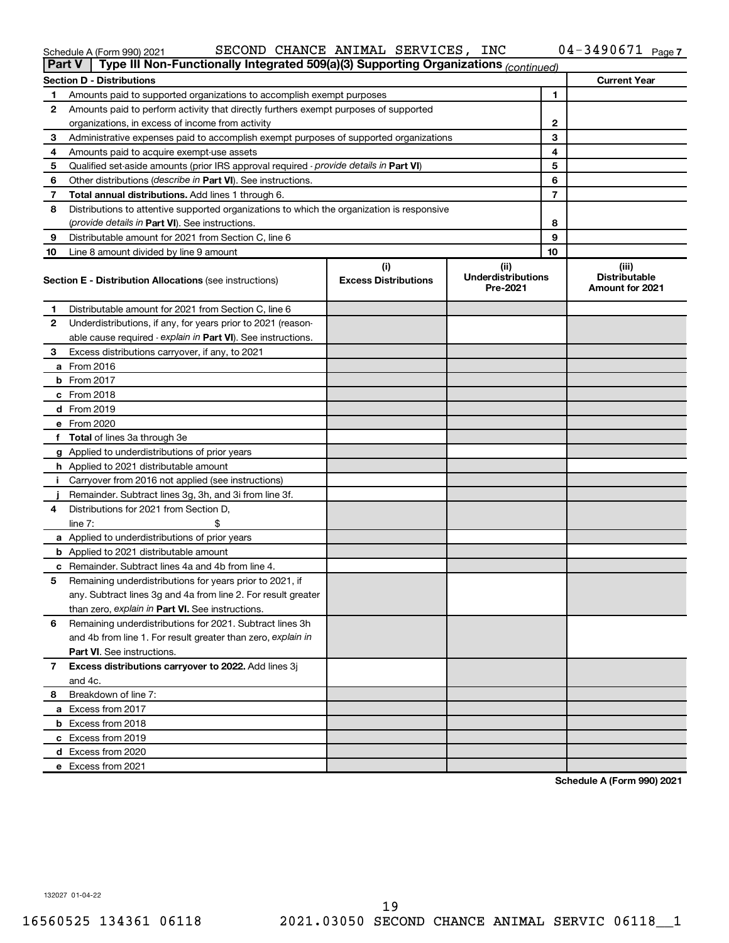| Schedule A (Form 990) 2021 |
|----------------------------|
|----------------------------|

### Schedule A (Form 990) 2021 SECOND CHANCE ANIMAL SERVICES, INC 04-3490671 page

| <b>Part V</b> | Type III Non-Functionally Integrated 509(a)(3) Supporting Organizations (continued)        |                                    |                                               |    |                                                         |
|---------------|--------------------------------------------------------------------------------------------|------------------------------------|-----------------------------------------------|----|---------------------------------------------------------|
|               | <b>Section D - Distributions</b>                                                           |                                    |                                               |    | <b>Current Year</b>                                     |
| 1             | Amounts paid to supported organizations to accomplish exempt purposes                      |                                    | 1                                             |    |                                                         |
| 2             | Amounts paid to perform activity that directly furthers exempt purposes of supported       |                                    |                                               |    |                                                         |
|               | organizations, in excess of income from activity                                           |                                    |                                               | 2  |                                                         |
| 3             | Administrative expenses paid to accomplish exempt purposes of supported organizations      |                                    |                                               | 3  |                                                         |
| 4             | Amounts paid to acquire exempt-use assets                                                  |                                    | 4                                             |    |                                                         |
| 5             | Qualified set-aside amounts (prior IRS approval required - provide details in Part VI)     |                                    | 5                                             |    |                                                         |
| 6             | Other distributions ( <i>describe in Part VI</i> ). See instructions.                      |                                    |                                               | 6  |                                                         |
| 7             | Total annual distributions. Add lines 1 through 6.                                         |                                    |                                               | 7  |                                                         |
| 8             | Distributions to attentive supported organizations to which the organization is responsive |                                    |                                               |    |                                                         |
|               | (provide details in Part VI). See instructions.                                            |                                    |                                               | 8  |                                                         |
| 9             | Distributable amount for 2021 from Section C, line 6                                       |                                    |                                               | 9  |                                                         |
| 10            | Line 8 amount divided by line 9 amount                                                     |                                    |                                               | 10 |                                                         |
|               | <b>Section E - Distribution Allocations (see instructions)</b>                             | (i)<br><b>Excess Distributions</b> | (ii)<br><b>Underdistributions</b><br>Pre-2021 |    | (iii)<br><b>Distributable</b><br><b>Amount for 2021</b> |
| 1             | Distributable amount for 2021 from Section C, line 6                                       |                                    |                                               |    |                                                         |
| 2             | Underdistributions, if any, for years prior to 2021 (reason-                               |                                    |                                               |    |                                                         |
|               | able cause required - explain in Part VI). See instructions.                               |                                    |                                               |    |                                                         |
| 3             | Excess distributions carryover, if any, to 2021                                            |                                    |                                               |    |                                                         |
|               | a From 2016                                                                                |                                    |                                               |    |                                                         |
|               | <b>b</b> From 2017                                                                         |                                    |                                               |    |                                                         |
|               | c From 2018                                                                                |                                    |                                               |    |                                                         |
|               | d From 2019                                                                                |                                    |                                               |    |                                                         |
|               | e From 2020                                                                                |                                    |                                               |    |                                                         |
|               | f Total of lines 3a through 3e                                                             |                                    |                                               |    |                                                         |
|               | g Applied to underdistributions of prior years                                             |                                    |                                               |    |                                                         |
|               | <b>h</b> Applied to 2021 distributable amount                                              |                                    |                                               |    |                                                         |
| Ť.            | Carryover from 2016 not applied (see instructions)                                         |                                    |                                               |    |                                                         |
|               | Remainder. Subtract lines 3g, 3h, and 3i from line 3f.                                     |                                    |                                               |    |                                                         |
| 4             | Distributions for 2021 from Section D,                                                     |                                    |                                               |    |                                                         |
|               | line $7:$                                                                                  |                                    |                                               |    |                                                         |
|               | a Applied to underdistributions of prior years                                             |                                    |                                               |    |                                                         |
|               | <b>b</b> Applied to 2021 distributable amount                                              |                                    |                                               |    |                                                         |
|               | c Remainder. Subtract lines 4a and 4b from line 4.                                         |                                    |                                               |    |                                                         |
| 5             | Remaining underdistributions for years prior to 2021, if                                   |                                    |                                               |    |                                                         |
|               | any. Subtract lines 3g and 4a from line 2. For result greater                              |                                    |                                               |    |                                                         |
|               | than zero, explain in Part VI. See instructions.                                           |                                    |                                               |    |                                                         |
| 6             | Remaining underdistributions for 2021. Subtract lines 3h                                   |                                    |                                               |    |                                                         |
|               | and 4b from line 1. For result greater than zero, explain in                               |                                    |                                               |    |                                                         |
|               | <b>Part VI.</b> See instructions.                                                          |                                    |                                               |    |                                                         |
| 7             | Excess distributions carryover to 2022. Add lines 3j                                       |                                    |                                               |    |                                                         |
|               | and 4c.                                                                                    |                                    |                                               |    |                                                         |
| 8             | Breakdown of line 7:                                                                       |                                    |                                               |    |                                                         |
|               | a Excess from 2017                                                                         |                                    |                                               |    |                                                         |
|               | <b>b</b> Excess from 2018                                                                  |                                    |                                               |    |                                                         |
|               | c Excess from 2019                                                                         |                                    |                                               |    |                                                         |
|               | d Excess from 2020                                                                         |                                    |                                               |    |                                                         |
|               | e Excess from 2021                                                                         |                                    |                                               |    |                                                         |

**Schedule A (Form 990) 2021**

132027 01-04-22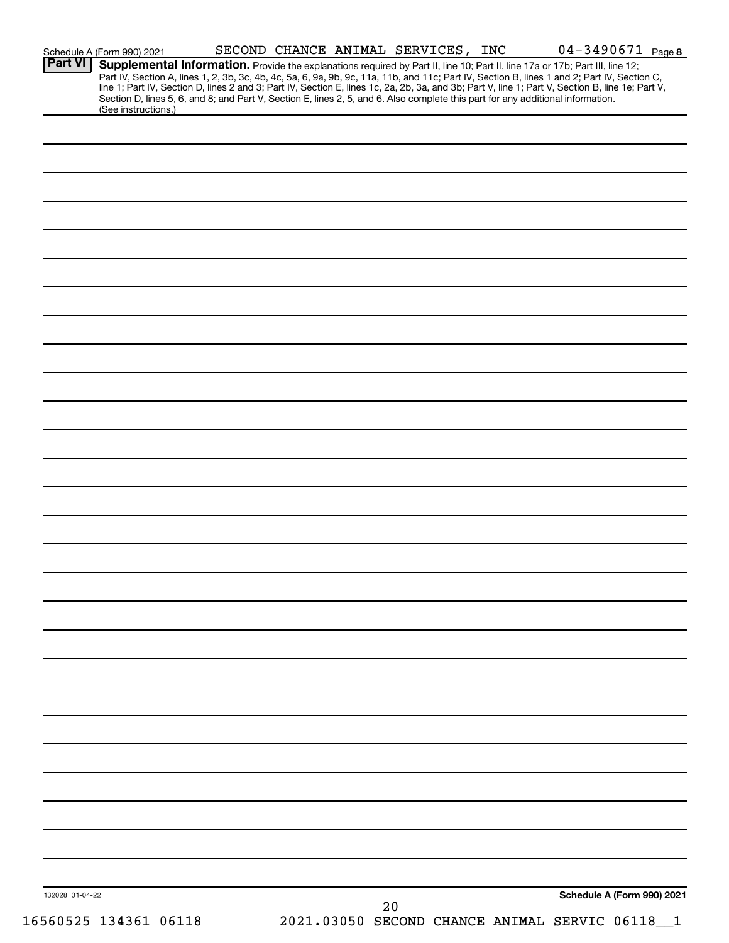| <b>Part VI</b>  | Schedule A (Form 990) 2021<br>Supplemental Information. Provide the explanations required by Part II, line 10; Part II, line 17a or 17b; Part III, line 12; |  |  |  | Part IV, Section A, lines 1, 2, 3b, 3c, 4b, 4c, 5a, 6, 9a, 9b, 9c, 11a, 11b, and 11c; Part IV, Section B, lines 1 and 2; Part IV, Section C,     |
|-----------------|-------------------------------------------------------------------------------------------------------------------------------------------------------------|--|--|--|--------------------------------------------------------------------------------------------------------------------------------------------------|
|                 | Section D, lines 5, 6, and 8; and Part V, Section E, lines 2, 5, and 6. Also complete this part for any additional information.<br>(See instructions.)      |  |  |  | line 1; Part IV, Section D, lines 2 and 3; Part IV, Section E, lines 1c, 2a, 2b, 3a, and 3b; Part V, line 1; Part V, Section B, line 1e; Part V, |
|                 |                                                                                                                                                             |  |  |  |                                                                                                                                                  |
|                 |                                                                                                                                                             |  |  |  |                                                                                                                                                  |
|                 |                                                                                                                                                             |  |  |  |                                                                                                                                                  |
|                 |                                                                                                                                                             |  |  |  |                                                                                                                                                  |
|                 |                                                                                                                                                             |  |  |  |                                                                                                                                                  |
|                 |                                                                                                                                                             |  |  |  |                                                                                                                                                  |
|                 |                                                                                                                                                             |  |  |  |                                                                                                                                                  |
|                 |                                                                                                                                                             |  |  |  |                                                                                                                                                  |
|                 |                                                                                                                                                             |  |  |  |                                                                                                                                                  |
|                 |                                                                                                                                                             |  |  |  |                                                                                                                                                  |
|                 |                                                                                                                                                             |  |  |  |                                                                                                                                                  |
|                 |                                                                                                                                                             |  |  |  |                                                                                                                                                  |
|                 |                                                                                                                                                             |  |  |  |                                                                                                                                                  |
|                 |                                                                                                                                                             |  |  |  |                                                                                                                                                  |
|                 |                                                                                                                                                             |  |  |  |                                                                                                                                                  |
|                 |                                                                                                                                                             |  |  |  |                                                                                                                                                  |
|                 |                                                                                                                                                             |  |  |  |                                                                                                                                                  |
|                 |                                                                                                                                                             |  |  |  |                                                                                                                                                  |
|                 |                                                                                                                                                             |  |  |  |                                                                                                                                                  |
|                 |                                                                                                                                                             |  |  |  |                                                                                                                                                  |
|                 |                                                                                                                                                             |  |  |  |                                                                                                                                                  |
|                 |                                                                                                                                                             |  |  |  |                                                                                                                                                  |
|                 |                                                                                                                                                             |  |  |  |                                                                                                                                                  |
|                 |                                                                                                                                                             |  |  |  |                                                                                                                                                  |
|                 |                                                                                                                                                             |  |  |  |                                                                                                                                                  |
|                 |                                                                                                                                                             |  |  |  |                                                                                                                                                  |
|                 |                                                                                                                                                             |  |  |  |                                                                                                                                                  |
|                 |                                                                                                                                                             |  |  |  |                                                                                                                                                  |
|                 |                                                                                                                                                             |  |  |  |                                                                                                                                                  |
|                 |                                                                                                                                                             |  |  |  |                                                                                                                                                  |
|                 |                                                                                                                                                             |  |  |  |                                                                                                                                                  |
|                 |                                                                                                                                                             |  |  |  |                                                                                                                                                  |
|                 |                                                                                                                                                             |  |  |  |                                                                                                                                                  |
|                 |                                                                                                                                                             |  |  |  |                                                                                                                                                  |
| 132028 01-04-22 |                                                                                                                                                             |  |  |  | Schedule A (Form 990) 2021                                                                                                                       |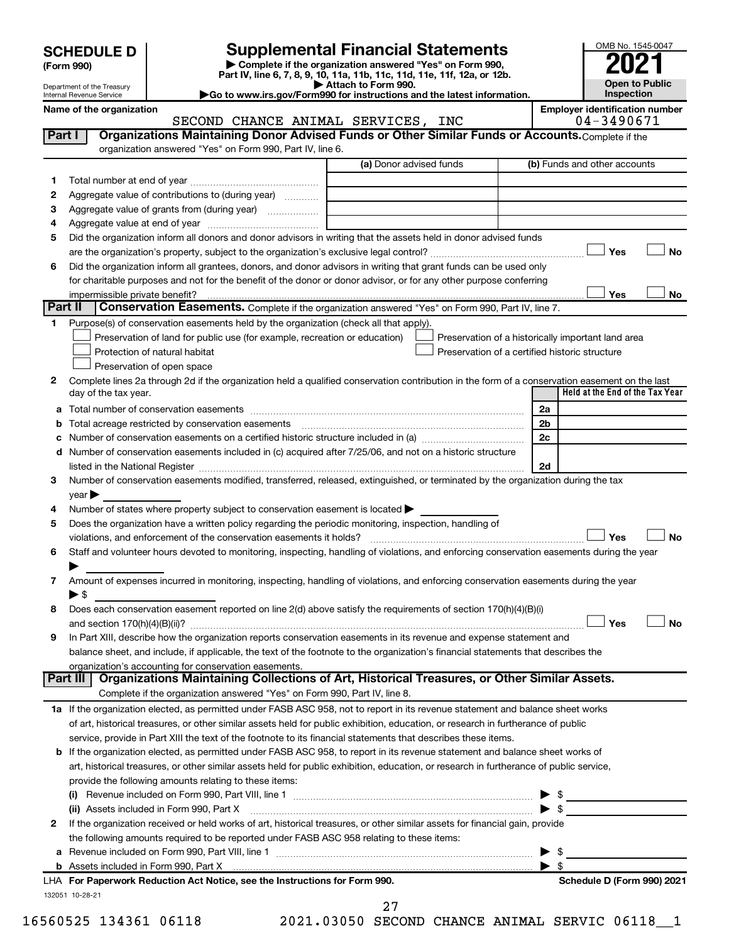| (Form 990) |  |
|------------|--|
|------------|--|

**| Complete if the organization answered "Yes" on Form 990, Part IV, line 6, 7, 8, 9, 10, 11a, 11b, 11c, 11d, 11e, 11f, 12a, or 12b. SCHEDULE D Supplemental Financial Statements**<br> **Form 990 Example 5 2021**<br>
Part IV. line 6, 7, 8, 9, 10, 11a, 11b, 11c, 11d, 11e, 11f, 12a, or 12b.

**| Attach to Form 990. |Go to www.irs.gov/Form990 for instructions and the latest information.**



Department of the Treasury Internal Revenue Service

Name of the organization<br> **EMPLOYERT ANTINAL SERVICES, INC** 64-3490671

SECOND CHANCE ANIMAL SERVICES, INC

| Part I | Organizations Maintaining Donor Advised Funds or Other Similar Funds or Accounts. Complete if the<br>organization answered "Yes" on Form 990, Part IV, line 6. |                         |                                                    |  |  |  |  |  |  |
|--------|----------------------------------------------------------------------------------------------------------------------------------------------------------------|-------------------------|----------------------------------------------------|--|--|--|--|--|--|
|        |                                                                                                                                                                | (a) Donor advised funds | (b) Funds and other accounts                       |  |  |  |  |  |  |
| 1      |                                                                                                                                                                |                         |                                                    |  |  |  |  |  |  |
| 2      | Aggregate value of contributions to (during year)                                                                                                              |                         |                                                    |  |  |  |  |  |  |
| з      |                                                                                                                                                                |                         |                                                    |  |  |  |  |  |  |
| 4      |                                                                                                                                                                |                         |                                                    |  |  |  |  |  |  |
| 5      | Did the organization inform all donors and donor advisors in writing that the assets held in donor advised funds                                               |                         |                                                    |  |  |  |  |  |  |
|        |                                                                                                                                                                |                         | Yes<br>No                                          |  |  |  |  |  |  |
| 6      | Did the organization inform all grantees, donors, and donor advisors in writing that grant funds can be used only                                              |                         |                                                    |  |  |  |  |  |  |
|        | for charitable purposes and not for the benefit of the donor or donor advisor, or for any other purpose conferring                                             |                         |                                                    |  |  |  |  |  |  |
|        | impermissible private benefit?                                                                                                                                 |                         | Yes<br>No                                          |  |  |  |  |  |  |
|        | Part II<br>Conservation Easements. Complete if the organization answered "Yes" on Form 990, Part IV, line 7.                                                   |                         |                                                    |  |  |  |  |  |  |
| 1.     | Purpose(s) of conservation easements held by the organization (check all that apply).                                                                          |                         |                                                    |  |  |  |  |  |  |
|        | Preservation of land for public use (for example, recreation or education)                                                                                     |                         | Preservation of a historically important land area |  |  |  |  |  |  |
|        | Protection of natural habitat                                                                                                                                  |                         | Preservation of a certified historic structure     |  |  |  |  |  |  |
|        | Preservation of open space                                                                                                                                     |                         |                                                    |  |  |  |  |  |  |
| 2      | Complete lines 2a through 2d if the organization held a qualified conservation contribution in the form of a conservation easement on the last                 |                         |                                                    |  |  |  |  |  |  |
|        | day of the tax year.                                                                                                                                           |                         | Held at the End of the Tax Year                    |  |  |  |  |  |  |
| а      |                                                                                                                                                                |                         | 2a                                                 |  |  |  |  |  |  |
|        |                                                                                                                                                                |                         | 2 <sub>b</sub>                                     |  |  |  |  |  |  |
|        | Number of conservation easements on a certified historic structure included in (a) manufacture included in (a)                                                 |                         | 2c                                                 |  |  |  |  |  |  |
|        | d Number of conservation easements included in (c) acquired after 7/25/06, and not on a historic structure                                                     |                         |                                                    |  |  |  |  |  |  |
|        |                                                                                                                                                                |                         | 2d                                                 |  |  |  |  |  |  |
| 3      | Number of conservation easements modified, transferred, released, extinguished, or terminated by the organization during the tax                               |                         |                                                    |  |  |  |  |  |  |
|        | year                                                                                                                                                           |                         |                                                    |  |  |  |  |  |  |
| 4      | Number of states where property subject to conservation easement is located >                                                                                  |                         |                                                    |  |  |  |  |  |  |
| 5      | Does the organization have a written policy regarding the periodic monitoring, inspection, handling of                                                         |                         |                                                    |  |  |  |  |  |  |
|        |                                                                                                                                                                |                         | Yes<br><b>No</b>                                   |  |  |  |  |  |  |
| 6      | Staff and volunteer hours devoted to monitoring, inspecting, handling of violations, and enforcing conservation easements during the year                      |                         |                                                    |  |  |  |  |  |  |
|        |                                                                                                                                                                |                         |                                                    |  |  |  |  |  |  |
| 7      | Amount of expenses incurred in monitoring, inspecting, handling of violations, and enforcing conservation easements during the year                            |                         |                                                    |  |  |  |  |  |  |
|        | $\blacktriangleright$ \$                                                                                                                                       |                         |                                                    |  |  |  |  |  |  |
| 8      | Does each conservation easement reported on line 2(d) above satisfy the requirements of section 170(h)(4)(B)(i)                                                |                         |                                                    |  |  |  |  |  |  |
|        |                                                                                                                                                                |                         | Yes<br>No                                          |  |  |  |  |  |  |
| 9      | In Part XIII, describe how the organization reports conservation easements in its revenue and expense statement and                                            |                         |                                                    |  |  |  |  |  |  |
|        | balance sheet, and include, if applicable, the text of the footnote to the organization's financial statements that describes the                              |                         |                                                    |  |  |  |  |  |  |
|        | organization's accounting for conservation easements.                                                                                                          |                         |                                                    |  |  |  |  |  |  |
|        | Organizations Maintaining Collections of Art, Historical Treasures, or Other Similar Assets.<br>Part III                                                       |                         |                                                    |  |  |  |  |  |  |
|        | Complete if the organization answered "Yes" on Form 990, Part IV, line 8.                                                                                      |                         |                                                    |  |  |  |  |  |  |
|        | 1a If the organization elected, as permitted under FASB ASC 958, not to report in its revenue statement and balance sheet works                                |                         |                                                    |  |  |  |  |  |  |
|        | of art, historical treasures, or other similar assets held for public exhibition, education, or research in furtherance of public                              |                         |                                                    |  |  |  |  |  |  |
|        | service, provide in Part XIII the text of the footnote to its financial statements that describes these items.                                                 |                         |                                                    |  |  |  |  |  |  |
|        | <b>b</b> If the organization elected, as permitted under FASB ASC 958, to report in its revenue statement and balance sheet works of                           |                         |                                                    |  |  |  |  |  |  |
|        | art, historical treasures, or other similar assets held for public exhibition, education, or research in furtherance of public service,                        |                         |                                                    |  |  |  |  |  |  |
|        | provide the following amounts relating to these items:                                                                                                         |                         |                                                    |  |  |  |  |  |  |
|        |                                                                                                                                                                |                         |                                                    |  |  |  |  |  |  |
|        | (ii) Assets included in Form 990, Part X                                                                                                                       |                         | $\blacktriangleright$ \$                           |  |  |  |  |  |  |
| 2      | If the organization received or held works of art, historical treasures, or other similar assets for financial gain, provide                                   |                         |                                                    |  |  |  |  |  |  |
|        | the following amounts required to be reported under FASB ASC 958 relating to these items:                                                                      |                         |                                                    |  |  |  |  |  |  |
| а      |                                                                                                                                                                |                         | - \$<br>▶                                          |  |  |  |  |  |  |
|        |                                                                                                                                                                |                         | $\blacktriangleright$ s                            |  |  |  |  |  |  |
|        | LHA For Paperwork Reduction Act Notice, see the Instructions for Form 990.                                                                                     |                         | Schedule D (Form 990) 2021                         |  |  |  |  |  |  |
|        | 132051 10-28-21                                                                                                                                                | 27                      |                                                    |  |  |  |  |  |  |

16560525 134361 06118 2021.03050 SECOND CHANCE ANIMAL SERVIC 06118\_\_1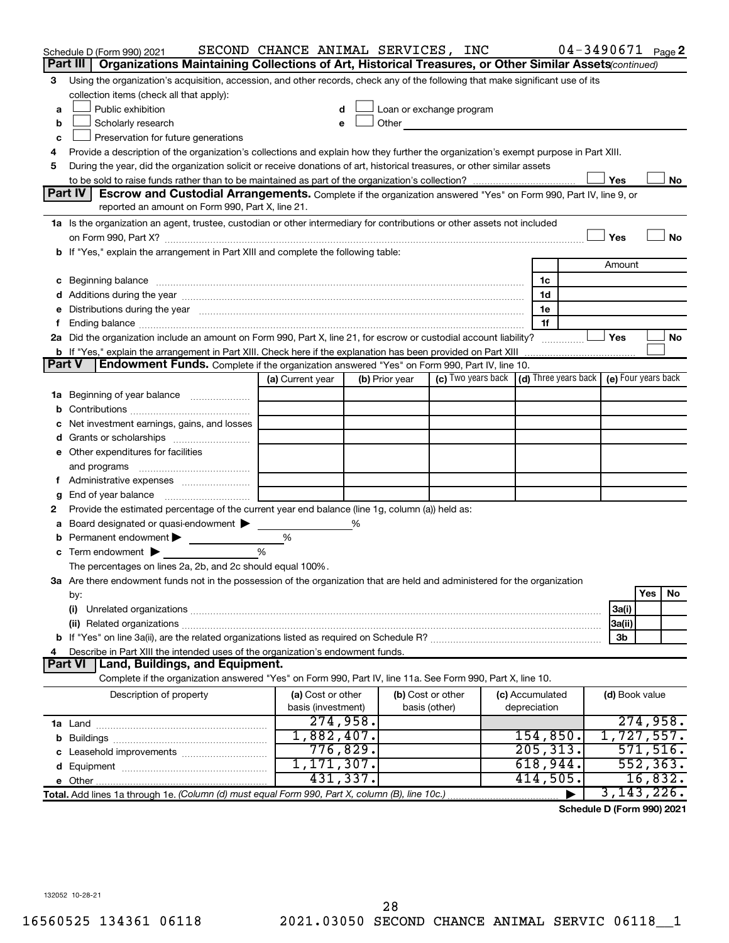|        | Schedule D (Form 990) 2021<br>Organizations Maintaining Collections of Art, Historical Treasures, or Other Similar Assets (continued)<br>Part III I                                                                            | SECOND CHANCE ANIMAL SERVICES, INC |                |                                                                                                                                                                                                                               |                 |                       | $04 - 3490671$ Page 2 |           |    |  |
|--------|--------------------------------------------------------------------------------------------------------------------------------------------------------------------------------------------------------------------------------|------------------------------------|----------------|-------------------------------------------------------------------------------------------------------------------------------------------------------------------------------------------------------------------------------|-----------------|-----------------------|-----------------------|-----------|----|--|
| 3      | Using the organization's acquisition, accession, and other records, check any of the following that make significant use of its                                                                                                |                                    |                |                                                                                                                                                                                                                               |                 |                       |                       |           |    |  |
|        | collection items (check all that apply):                                                                                                                                                                                       |                                    |                |                                                                                                                                                                                                                               |                 |                       |                       |           |    |  |
| a      | Public exhibition<br>Loan or exchange program                                                                                                                                                                                  |                                    |                |                                                                                                                                                                                                                               |                 |                       |                       |           |    |  |
| b      | Scholarly research                                                                                                                                                                                                             |                                    |                | Other and the contract of the contract of the contract of the contract of the contract of the contract of the contract of the contract of the contract of the contract of the contract of the contract of the contract of the |                 |                       |                       |           |    |  |
| c      | Preservation for future generations                                                                                                                                                                                            |                                    |                |                                                                                                                                                                                                                               |                 |                       |                       |           |    |  |
| 4      | Provide a description of the organization's collections and explain how they further the organization's exempt purpose in Part XIII.                                                                                           |                                    |                |                                                                                                                                                                                                                               |                 |                       |                       |           |    |  |
| 5      | During the year, did the organization solicit or receive donations of art, historical treasures, or other similar assets                                                                                                       |                                    |                |                                                                                                                                                                                                                               |                 |                       |                       |           |    |  |
|        |                                                                                                                                                                                                                                |                                    |                |                                                                                                                                                                                                                               |                 |                       | Yes                   |           | No |  |
|        | Part IV<br><b>Escrow and Custodial Arrangements.</b> Complete if the organization answered "Yes" on Form 990, Part IV, line 9, or                                                                                              |                                    |                |                                                                                                                                                                                                                               |                 |                       |                       |           |    |  |
|        | reported an amount on Form 990, Part X, line 21.                                                                                                                                                                               |                                    |                |                                                                                                                                                                                                                               |                 |                       |                       |           |    |  |
|        | 1a Is the organization an agent, trustee, custodian or other intermediary for contributions or other assets not included                                                                                                       |                                    |                |                                                                                                                                                                                                                               |                 |                       |                       |           |    |  |
|        | on Form 990, Part X? [[[[[[[[[[[[[[[[[[[]]]]]]]]]]]] on Form 990, Part X?                                                                                                                                                      |                                    |                |                                                                                                                                                                                                                               |                 |                       | Yes                   |           | No |  |
|        | b If "Yes," explain the arrangement in Part XIII and complete the following table:                                                                                                                                             |                                    |                |                                                                                                                                                                                                                               |                 |                       |                       |           |    |  |
|        |                                                                                                                                                                                                                                |                                    |                |                                                                                                                                                                                                                               |                 |                       | Amount                |           |    |  |
|        |                                                                                                                                                                                                                                |                                    |                |                                                                                                                                                                                                                               |                 | 1c                    |                       |           |    |  |
|        |                                                                                                                                                                                                                                |                                    |                |                                                                                                                                                                                                                               |                 | 1d                    |                       |           |    |  |
|        | e Distributions during the year manufactured and contained and contained and contained and contained and contained and contained and contained and contained and contained and contained and contained and contained and conta |                                    |                |                                                                                                                                                                                                                               |                 | 1е                    |                       |           |    |  |
| Ť.     |                                                                                                                                                                                                                                |                                    |                |                                                                                                                                                                                                                               |                 | 1f                    |                       |           |    |  |
|        | 2a Did the organization include an amount on Form 990, Part X, line 21, for escrow or custodial account liability?                                                                                                             |                                    |                |                                                                                                                                                                                                                               |                 |                       | Yes                   |           | No |  |
|        |                                                                                                                                                                                                                                |                                    |                |                                                                                                                                                                                                                               |                 |                       |                       |           |    |  |
| Part V | <b>Endowment Funds.</b> Complete if the organization answered "Yes" on Form 990, Part IV, line 10.                                                                                                                             | (a) Current year                   | (b) Prior year | (c) Two years back $\vert$ (d) Three years back $\vert$ (e) Four years back                                                                                                                                                   |                 |                       |                       |           |    |  |
|        |                                                                                                                                                                                                                                |                                    |                |                                                                                                                                                                                                                               |                 |                       |                       |           |    |  |
|        | 1a Beginning of year balance                                                                                                                                                                                                   |                                    |                |                                                                                                                                                                                                                               |                 |                       |                       |           |    |  |
| b      |                                                                                                                                                                                                                                |                                    |                |                                                                                                                                                                                                                               |                 |                       |                       |           |    |  |
|        | Net investment earnings, gains, and losses<br>Grants or scholarships                                                                                                                                                           |                                    |                |                                                                                                                                                                                                                               |                 |                       |                       |           |    |  |
| d      | e Other expenditures for facilities                                                                                                                                                                                            |                                    |                |                                                                                                                                                                                                                               |                 |                       |                       |           |    |  |
|        | and programs                                                                                                                                                                                                                   |                                    |                |                                                                                                                                                                                                                               |                 |                       |                       |           |    |  |
|        |                                                                                                                                                                                                                                |                                    |                |                                                                                                                                                                                                                               |                 |                       |                       |           |    |  |
| g      |                                                                                                                                                                                                                                |                                    |                |                                                                                                                                                                                                                               |                 |                       |                       |           |    |  |
| 2      | Provide the estimated percentage of the current year end balance (line 1g, column (a)) held as:                                                                                                                                |                                    |                |                                                                                                                                                                                                                               |                 |                       |                       |           |    |  |
| а      | Board designated or quasi-endowment >                                                                                                                                                                                          |                                    | %              |                                                                                                                                                                                                                               |                 |                       |                       |           |    |  |
| b      | Permanent endowment                                                                                                                                                                                                            | %                                  |                |                                                                                                                                                                                                                               |                 |                       |                       |           |    |  |
|        | $\mathbf c$ Term endowment $\blacktriangleright$                                                                                                                                                                               | %                                  |                |                                                                                                                                                                                                                               |                 |                       |                       |           |    |  |
|        | The percentages on lines 2a, 2b, and 2c should equal 100%.                                                                                                                                                                     |                                    |                |                                                                                                                                                                                                                               |                 |                       |                       |           |    |  |
|        | 3a Are there endowment funds not in the possession of the organization that are held and administered for the organization                                                                                                     |                                    |                |                                                                                                                                                                                                                               |                 |                       |                       |           |    |  |
|        | by:                                                                                                                                                                                                                            |                                    |                |                                                                                                                                                                                                                               |                 |                       |                       | Yes       | No |  |
|        | (i)                                                                                                                                                                                                                            |                                    |                |                                                                                                                                                                                                                               |                 |                       | 3a(i)                 |           |    |  |
|        |                                                                                                                                                                                                                                |                                    |                |                                                                                                                                                                                                                               |                 |                       | 3a(ii)                |           |    |  |
|        |                                                                                                                                                                                                                                |                                    |                |                                                                                                                                                                                                                               |                 |                       | 3b                    |           |    |  |
| 4      | Describe in Part XIII the intended uses of the organization's endowment funds.                                                                                                                                                 |                                    |                |                                                                                                                                                                                                                               |                 |                       |                       |           |    |  |
|        | Land, Buildings, and Equipment.<br><b>Part VI</b>                                                                                                                                                                              |                                    |                |                                                                                                                                                                                                                               |                 |                       |                       |           |    |  |
|        | Complete if the organization answered "Yes" on Form 990, Part IV, line 11a. See Form 990, Part X, line 10.                                                                                                                     |                                    |                |                                                                                                                                                                                                                               |                 |                       |                       |           |    |  |
|        | Description of property                                                                                                                                                                                                        | (a) Cost or other                  |                | (b) Cost or other                                                                                                                                                                                                             | (c) Accumulated |                       | (d) Book value        |           |    |  |
|        |                                                                                                                                                                                                                                | basis (investment)                 |                | basis (other)                                                                                                                                                                                                                 | depreciation    |                       |                       |           |    |  |
|        |                                                                                                                                                                                                                                | 274,958.<br>1,882,407.             |                |                                                                                                                                                                                                                               |                 |                       |                       | 274,958.  |    |  |
|        |                                                                                                                                                                                                                                | 776,829.                           |                |                                                                                                                                                                                                                               |                 | 154,850.<br>205, 313. | 1,727,557.            | 571,516.  |    |  |
|        |                                                                                                                                                                                                                                | 1,171,307.                         |                |                                                                                                                                                                                                                               |                 | 618,944.              |                       | 552, 363. |    |  |
|        |                                                                                                                                                                                                                                | 431,337.                           |                |                                                                                                                                                                                                                               |                 | 414,505.              |                       | 16,832.   |    |  |
|        |                                                                                                                                                                                                                                |                                    |                |                                                                                                                                                                                                                               |                 |                       | 3, 143, 226.          |           |    |  |
|        | Total. Add lines 1a through 1e. (Column (d) must equal Form 990, Part X, column (B), line 10c.)                                                                                                                                |                                    |                |                                                                                                                                                                                                                               |                 |                       |                       |           |    |  |

**Schedule D (Form 990) 2021**

132052 10-28-21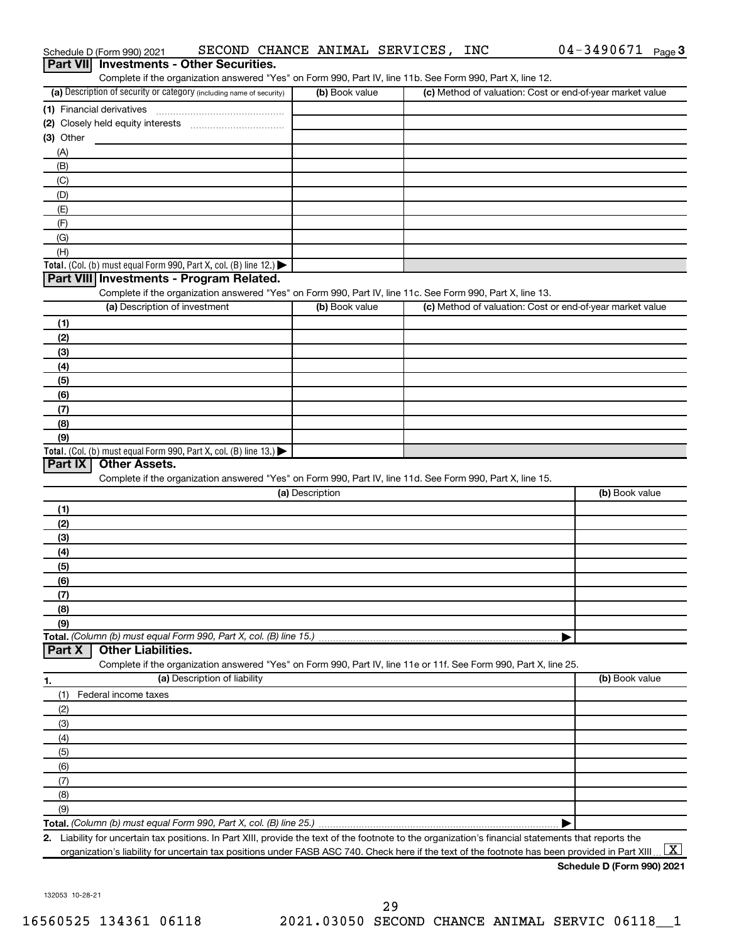|             | Schedule D (Form 990) 2021                                                                                        |                              |                 | SECOND CHANCE ANIMAL SERVICES, INC |  | 04-3490671<br>Page 3                                                                                                                                                           |
|-------------|-------------------------------------------------------------------------------------------------------------------|------------------------------|-----------------|------------------------------------|--|--------------------------------------------------------------------------------------------------------------------------------------------------------------------------------|
| Part VIII   | <b>Investments - Other Securities.</b>                                                                            |                              |                 |                                    |  |                                                                                                                                                                                |
|             | Complete if the organization answered "Yes" on Form 990, Part IV, line 11b. See Form 990, Part X, line 12.        |                              |                 |                                    |  |                                                                                                                                                                                |
|             | (a) Description of security or category (including name of security)                                              |                              |                 | (b) Book value                     |  | (c) Method of valuation: Cost or end-of-year market value                                                                                                                      |
|             | (1) Financial derivatives                                                                                         |                              |                 |                                    |  |                                                                                                                                                                                |
|             |                                                                                                                   |                              |                 |                                    |  |                                                                                                                                                                                |
| $(3)$ Other |                                                                                                                   |                              |                 |                                    |  |                                                                                                                                                                                |
| (A)         |                                                                                                                   |                              |                 |                                    |  |                                                                                                                                                                                |
| (B)         |                                                                                                                   |                              |                 |                                    |  |                                                                                                                                                                                |
| (C)         |                                                                                                                   |                              |                 |                                    |  |                                                                                                                                                                                |
| (D)         |                                                                                                                   |                              |                 |                                    |  |                                                                                                                                                                                |
| (E)         |                                                                                                                   |                              |                 |                                    |  |                                                                                                                                                                                |
| (F)         |                                                                                                                   |                              |                 |                                    |  |                                                                                                                                                                                |
| (G)<br>(H)  |                                                                                                                   |                              |                 |                                    |  |                                                                                                                                                                                |
|             | Total. (Col. (b) must equal Form 990, Part X, col. (B) line 12.)                                                  |                              |                 |                                    |  |                                                                                                                                                                                |
|             | Part VIII Investments - Program Related.                                                                          |                              |                 |                                    |  |                                                                                                                                                                                |
|             | Complete if the organization answered "Yes" on Form 990, Part IV, line 11c. See Form 990, Part X, line 13.        |                              |                 |                                    |  |                                                                                                                                                                                |
|             | (a) Description of investment                                                                                     |                              |                 | (b) Book value                     |  | (c) Method of valuation: Cost or end-of-year market value                                                                                                                      |
| (1)         |                                                                                                                   |                              |                 |                                    |  |                                                                                                                                                                                |
| (2)         |                                                                                                                   |                              |                 |                                    |  |                                                                                                                                                                                |
| (3)         |                                                                                                                   |                              |                 |                                    |  |                                                                                                                                                                                |
| (4)         |                                                                                                                   |                              |                 |                                    |  |                                                                                                                                                                                |
| (5)         |                                                                                                                   |                              |                 |                                    |  |                                                                                                                                                                                |
| (6)         |                                                                                                                   |                              |                 |                                    |  |                                                                                                                                                                                |
| (7)         |                                                                                                                   |                              |                 |                                    |  |                                                                                                                                                                                |
| (8)         |                                                                                                                   |                              |                 |                                    |  |                                                                                                                                                                                |
| (9)         |                                                                                                                   |                              |                 |                                    |  |                                                                                                                                                                                |
|             | Total. (Col. (b) must equal Form 990, Part X, col. (B) line 13.)                                                  |                              |                 |                                    |  |                                                                                                                                                                                |
| Part IX     | <b>Other Assets.</b>                                                                                              |                              |                 |                                    |  |                                                                                                                                                                                |
|             | Complete if the organization answered "Yes" on Form 990, Part IV, line 11d. See Form 990, Part X, line 15.        |                              |                 |                                    |  |                                                                                                                                                                                |
|             |                                                                                                                   |                              | (a) Description |                                    |  | (b) Book value                                                                                                                                                                 |
| (1)         |                                                                                                                   |                              |                 |                                    |  |                                                                                                                                                                                |
| (2)         |                                                                                                                   |                              |                 |                                    |  |                                                                                                                                                                                |
| (3)         |                                                                                                                   |                              |                 |                                    |  |                                                                                                                                                                                |
| (4)         |                                                                                                                   |                              |                 |                                    |  |                                                                                                                                                                                |
| (5)         |                                                                                                                   |                              |                 |                                    |  |                                                                                                                                                                                |
| (6)         |                                                                                                                   |                              |                 |                                    |  |                                                                                                                                                                                |
| (7)         |                                                                                                                   |                              |                 |                                    |  |                                                                                                                                                                                |
| (8)         |                                                                                                                   |                              |                 |                                    |  |                                                                                                                                                                                |
| (9)         |                                                                                                                   |                              |                 |                                    |  |                                                                                                                                                                                |
|             | Total. (Column (b) must equal Form 990, Part X, col. (B) line 15.)                                                |                              |                 |                                    |  |                                                                                                                                                                                |
| Part X      | <b>Other Liabilities.</b>                                                                                         |                              |                 |                                    |  |                                                                                                                                                                                |
|             | Complete if the organization answered "Yes" on Form 990, Part IV, line 11e or 11f. See Form 990, Part X, line 25. | (a) Description of liability |                 |                                    |  | (b) Book value                                                                                                                                                                 |
| 1.          |                                                                                                                   |                              |                 |                                    |  |                                                                                                                                                                                |
| (1)         | Federal income taxes                                                                                              |                              |                 |                                    |  |                                                                                                                                                                                |
| (2)         |                                                                                                                   |                              |                 |                                    |  |                                                                                                                                                                                |
| (3)         |                                                                                                                   |                              |                 |                                    |  |                                                                                                                                                                                |
| (4)         |                                                                                                                   |                              |                 |                                    |  |                                                                                                                                                                                |
| (5)<br>(6)  |                                                                                                                   |                              |                 |                                    |  |                                                                                                                                                                                |
| (7)         |                                                                                                                   |                              |                 |                                    |  |                                                                                                                                                                                |
| (8)         |                                                                                                                   |                              |                 |                                    |  |                                                                                                                                                                                |
| (9)         |                                                                                                                   |                              |                 |                                    |  |                                                                                                                                                                                |
|             |                                                                                                                   |                              |                 |                                    |  |                                                                                                                                                                                |
|             |                                                                                                                   |                              |                 |                                    |  | 2. Liability for uncertain tax positions. In Part XIII, provide the text of the footnote to the organization's financial statements that reports the                           |
|             |                                                                                                                   |                              |                 |                                    |  | $\lfloor \texttt{X} \rfloor$<br>organization's liability for uncertain tax positions under FASB ASC 740. Check here if the text of the footnote has been provided in Part XIII |

| Schedule D (Form 990) 2021 |  |
|----------------------------|--|
|----------------------------|--|

132053 10-28-21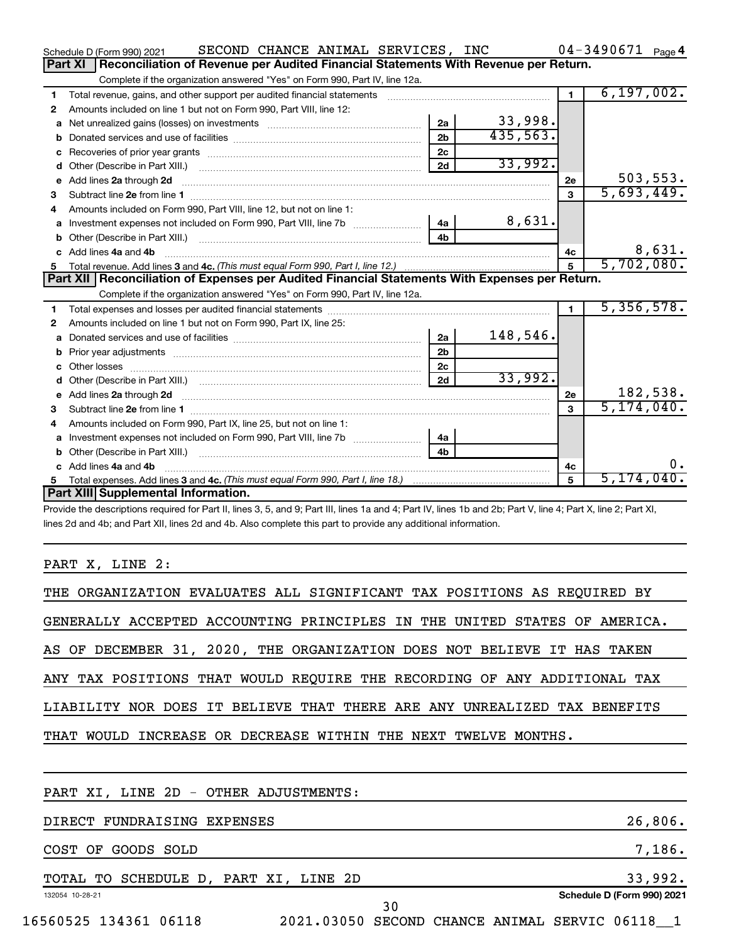|    | SECOND CHANCE ANIMAL SERVICES, INC<br>Schedule D (Form 990) 2021                                                                                                                                                                                   |                |          |                 | $04 - 3490671$ Page 4 |
|----|----------------------------------------------------------------------------------------------------------------------------------------------------------------------------------------------------------------------------------------------------|----------------|----------|-----------------|-----------------------|
|    | <b>Part XI</b><br>Reconciliation of Revenue per Audited Financial Statements With Revenue per Return.                                                                                                                                              |                |          |                 |                       |
|    | Complete if the organization answered "Yes" on Form 990, Part IV, line 12a.                                                                                                                                                                        |                |          |                 |                       |
| 1  |                                                                                                                                                                                                                                                    |                |          | $\blacksquare$  | 6, 197, 002.          |
| 2  | Amounts included on line 1 but not on Form 990, Part VIII, line 12:                                                                                                                                                                                |                |          |                 |                       |
| a  |                                                                                                                                                                                                                                                    | 2a             | 33,998.  |                 |                       |
| b  |                                                                                                                                                                                                                                                    | 2 <sub>b</sub> | 435,563. |                 |                       |
| с  |                                                                                                                                                                                                                                                    | 2 <sub>c</sub> |          |                 |                       |
| d  |                                                                                                                                                                                                                                                    | 2d             | 33,992.  |                 |                       |
| e  | Add lines 2a through 2d                                                                                                                                                                                                                            |                |          | 2e              | 503, 553.             |
| З  |                                                                                                                                                                                                                                                    |                |          | 3               | 5,693,449.            |
| 4  | Amounts included on Form 990, Part VIII, line 12, but not on line 1:                                                                                                                                                                               |                |          |                 |                       |
| a  | Investment expenses not included on Form 990, Part VIII, line 7b [100] [2006] 4a                                                                                                                                                                   |                | 8,631.   |                 |                       |
|    |                                                                                                                                                                                                                                                    | 4 <sub>h</sub> |          |                 |                       |
|    | c Add lines 4a and 4b                                                                                                                                                                                                                              |                |          | 4c              | 8,631.                |
| 5  |                                                                                                                                                                                                                                                    |                |          | $5\phantom{.0}$ | 5,702,080.            |
|    | Part XII   Reconciliation of Expenses per Audited Financial Statements With Expenses per Return.                                                                                                                                                   |                |          |                 |                       |
|    | Complete if the organization answered "Yes" on Form 990, Part IV, line 12a.                                                                                                                                                                        |                |          |                 |                       |
| 1  |                                                                                                                                                                                                                                                    |                |          | $\blacksquare$  | 5,356,578.            |
| 2  | Amounts included on line 1 but not on Form 990, Part IX, line 25:                                                                                                                                                                                  |                |          |                 |                       |
| a  |                                                                                                                                                                                                                                                    | 2a             | 148,546. |                 |                       |
| b  |                                                                                                                                                                                                                                                    | 2 <sub>b</sub> |          |                 |                       |
| c. |                                                                                                                                                                                                                                                    | 2 <sub>c</sub> |          |                 |                       |
| d  |                                                                                                                                                                                                                                                    | 2d             | 33,992.  |                 |                       |
|    | e Add lines 2a through 2d <b>[10]</b> [10] <b>All the Contract of Add lines 2a</b> through 2d <b>[10] All the Contract of Add lines 2a</b> through 2d <b>[10] All the Contract of Add lines 2a</b> through 2d <b>[10] All the Contract of Addi</b> |                |          | 2e              | 182,538.              |
| З  |                                                                                                                                                                                                                                                    |                |          | 3               | 5, 174, 040.          |
|    | Amounts included on Form 990, Part IX, line 25, but not on line 1:                                                                                                                                                                                 |                |          |                 |                       |
| a  |                                                                                                                                                                                                                                                    | 4a             |          |                 |                       |
| b  |                                                                                                                                                                                                                                                    | 4 <sub>b</sub> |          |                 |                       |
| c. | Add lines 4a and 4b                                                                                                                                                                                                                                |                |          | 4c              | υ.                    |
|    |                                                                                                                                                                                                                                                    |                |          |                 |                       |
|    |                                                                                                                                                                                                                                                    |                |          | 5               | 5,174,040.            |
|    | Part XIII Supplemental Information.<br>Draugh the descriptions required for Dart II, lines 2, 5, and 0; Dart III, lines 10, and 4; Dart IV, lines 1b, and 2b; Dart V, line 4; Dart V, line 2; Dart VI                                              |                |          |                 |                       |

Provide the descriptions required for Part II, lines 3, 5, and 9; Part III, lines 1a and 4; Part IV, lines 1b and 2b; Part V, line 4; Part X, line 2; Part XI, lines 2d and 4b; and Part XII, lines 2d and 4b. Also complete this part to provide any additional information.

# PART X, LINE 2:

| THE ORGANIZATION EVALUATES ALL SIGNIFICANT TAX POSITIONS AS REQUIRED BY   |
|---------------------------------------------------------------------------|
| GENERALLY ACCEPTED ACCOUNTING PRINCIPLES IN THE UNITED STATES OF AMERICA. |
| AS OF DECEMBER 31, 2020, THE ORGANIZATION DOES NOT BELIEVE IT HAS TAKEN   |
| ANY TAX POSITIONS THAT WOULD REQUIRE THE RECORDING OF ANY ADDITIONAL TAX  |
| LIABILITY NOR DOES IT BELIEVE THAT THERE ARE ANY UNREALIZED TAX BENEFITS  |
| THAT WOULD INCREASE OR DECREASE WITHIN THE NEXT TWELVE MONTHS.            |
|                                                                           |
| PART XI, LINE 2D - OTHER ADJUSTMENTS:                                     |
| 26,806.<br>DIRECT FUNDRAISING EXPENSES                                    |
| 7,186.<br>COST OF GOODS SOLD                                              |
|                                                                           |

| TО<br>TOTAL<br>SCHEDULE | ΧI<br>'NF.<br>PART<br>D. | 2D         | QQ<br>، ت                  |
|-------------------------|--------------------------|------------|----------------------------|
| 132054 10-28-21         |                          | າ ເ<br>J U | Schedule D (Form 990) 2021 |

16560525 134361 06118 2021.03050 SECOND CHANCE ANIMAL SERVIC 06118\_\_1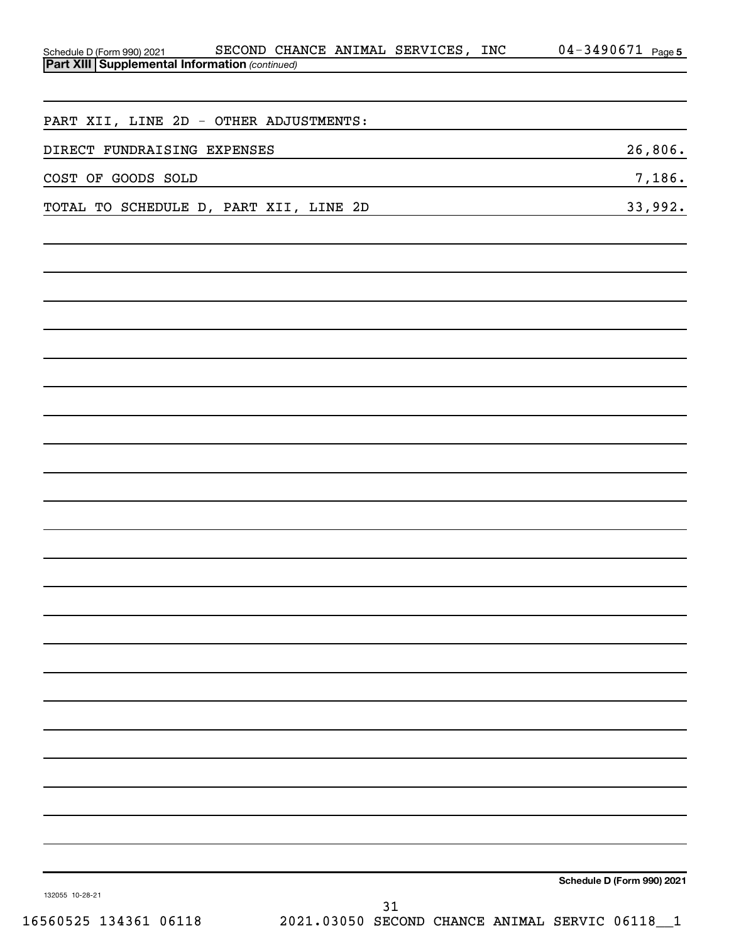| SECOND CHANCE ANIMAL SERVICES, INC<br>Schedule D (Form 990) 2021 SECOND CHA<br><b>Part XIII Supplemental Information</b> (continued) | $04 - 3490671$ Page 5      |
|--------------------------------------------------------------------------------------------------------------------------------------|----------------------------|
|                                                                                                                                      |                            |
|                                                                                                                                      |                            |
| PART XII, LINE 2D - OTHER ADJUSTMENTS:                                                                                               |                            |
| DIRECT FUNDRAISING EXPENSES                                                                                                          | 26,806.                    |
| COST OF GOODS SOLD                                                                                                                   | 7,186.                     |
| TOTAL TO SCHEDULE D, PART XII, LINE 2D                                                                                               | 33,992.                    |
|                                                                                                                                      |                            |
|                                                                                                                                      |                            |
|                                                                                                                                      |                            |
|                                                                                                                                      |                            |
|                                                                                                                                      |                            |
|                                                                                                                                      |                            |
|                                                                                                                                      |                            |
|                                                                                                                                      |                            |
|                                                                                                                                      |                            |
|                                                                                                                                      |                            |
|                                                                                                                                      |                            |
|                                                                                                                                      |                            |
|                                                                                                                                      |                            |
|                                                                                                                                      |                            |
|                                                                                                                                      |                            |
|                                                                                                                                      |                            |
|                                                                                                                                      |                            |
|                                                                                                                                      |                            |
|                                                                                                                                      |                            |
|                                                                                                                                      |                            |
|                                                                                                                                      |                            |
|                                                                                                                                      |                            |
|                                                                                                                                      |                            |
|                                                                                                                                      |                            |
|                                                                                                                                      |                            |
| 132055 10-28-21                                                                                                                      | Schedule D (Form 990) 2021 |
| 31                                                                                                                                   |                            |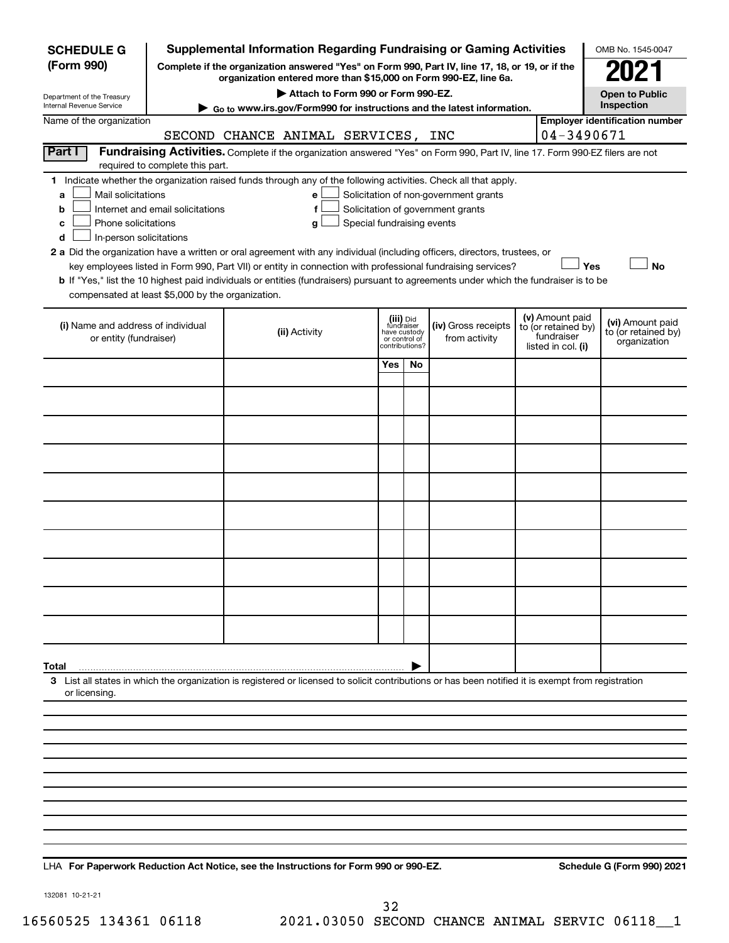| <b>SCHEDULE G</b>                                                                        |                                  | <b>Supplemental Information Regarding Fundraising or Gaming Activities</b>                                                                                                                                                                                                                                                                                                                                                                                                                                                                         |                                                                            |    |                                                                            |                                                                                                                                       | OMB No. 1545-0047                                   |  |  |
|------------------------------------------------------------------------------------------|----------------------------------|----------------------------------------------------------------------------------------------------------------------------------------------------------------------------------------------------------------------------------------------------------------------------------------------------------------------------------------------------------------------------------------------------------------------------------------------------------------------------------------------------------------------------------------------------|----------------------------------------------------------------------------|----|----------------------------------------------------------------------------|---------------------------------------------------------------------------------------------------------------------------------------|-----------------------------------------------------|--|--|
| (Form 990)                                                                               |                                  | Complete if the organization answered "Yes" on Form 990, Part IV, line 17, 18, or 19, or if the<br>organization entered more than \$15,000 on Form 990-EZ, line 6a.                                                                                                                                                                                                                                                                                                                                                                                |                                                                            |    |                                                                            |                                                                                                                                       | 2021                                                |  |  |
| Department of the Treasury                                                               |                                  | Attach to Form 990 or Form 990-EZ.                                                                                                                                                                                                                                                                                                                                                                                                                                                                                                                 |                                                                            |    |                                                                            |                                                                                                                                       | <b>Open to Public</b>                               |  |  |
| Internal Revenue Service<br>Name of the organization                                     |                                  | Go to www.irs.gov/Form990 for instructions and the latest information.                                                                                                                                                                                                                                                                                                                                                                                                                                                                             |                                                                            |    |                                                                            |                                                                                                                                       | Inspection<br><b>Employer identification number</b> |  |  |
|                                                                                          |                                  | SECOND CHANCE ANIMAL SERVICES, INC                                                                                                                                                                                                                                                                                                                                                                                                                                                                                                                 |                                                                            |    |                                                                            | 04-3490671                                                                                                                            |                                                     |  |  |
| Part I                                                                                   | required to complete this part.  | Fundraising Activities. Complete if the organization answered "Yes" on Form 990, Part IV, line 17. Form 990-EZ filers are not                                                                                                                                                                                                                                                                                                                                                                                                                      |                                                                            |    |                                                                            |                                                                                                                                       |                                                     |  |  |
| Mail solicitations<br>a<br>b<br>Phone solicitations<br>с<br>In-person solicitations<br>d | Internet and email solicitations | 1 Indicate whether the organization raised funds through any of the following activities. Check all that apply.<br>е<br>f<br>Special fundraising events<br>g<br>2 a Did the organization have a written or oral agreement with any individual (including officers, directors, trustees, or<br>key employees listed in Form 990, Part VII) or entity in connection with professional fundraising services?<br>b If "Yes," list the 10 highest paid individuals or entities (fundraisers) pursuant to agreements under which the fundraiser is to be |                                                                            |    | Solicitation of non-government grants<br>Solicitation of government grants | Yes                                                                                                                                   | No                                                  |  |  |
| compensated at least \$5,000 by the organization.                                        |                                  |                                                                                                                                                                                                                                                                                                                                                                                                                                                                                                                                                    |                                                                            |    |                                                                            |                                                                                                                                       |                                                     |  |  |
| (i) Name and address of individual<br>or entity (fundraiser)                             |                                  | (ii) Activity                                                                                                                                                                                                                                                                                                                                                                                                                                                                                                                                      | (iii) Did<br>fundraiser<br>have custody<br>or control of<br>contributions? |    | (iv) Gross receipts<br>from activity                                       | (v) Amount paid<br>(vi) Amount paid<br>to (or retained by)<br>to (or retained by)<br>fundraiser<br>organization<br>listed in col. (i) |                                                     |  |  |
|                                                                                          |                                  |                                                                                                                                                                                                                                                                                                                                                                                                                                                                                                                                                    | Yes                                                                        | No |                                                                            |                                                                                                                                       |                                                     |  |  |
|                                                                                          |                                  |                                                                                                                                                                                                                                                                                                                                                                                                                                                                                                                                                    |                                                                            |    |                                                                            |                                                                                                                                       |                                                     |  |  |
|                                                                                          |                                  |                                                                                                                                                                                                                                                                                                                                                                                                                                                                                                                                                    |                                                                            |    |                                                                            |                                                                                                                                       |                                                     |  |  |
|                                                                                          |                                  |                                                                                                                                                                                                                                                                                                                                                                                                                                                                                                                                                    |                                                                            |    |                                                                            |                                                                                                                                       |                                                     |  |  |
|                                                                                          |                                  |                                                                                                                                                                                                                                                                                                                                                                                                                                                                                                                                                    |                                                                            |    |                                                                            |                                                                                                                                       |                                                     |  |  |
|                                                                                          |                                  |                                                                                                                                                                                                                                                                                                                                                                                                                                                                                                                                                    |                                                                            |    |                                                                            |                                                                                                                                       |                                                     |  |  |
|                                                                                          |                                  |                                                                                                                                                                                                                                                                                                                                                                                                                                                                                                                                                    |                                                                            |    |                                                                            |                                                                                                                                       |                                                     |  |  |
|                                                                                          |                                  |                                                                                                                                                                                                                                                                                                                                                                                                                                                                                                                                                    |                                                                            |    |                                                                            |                                                                                                                                       |                                                     |  |  |
|                                                                                          |                                  |                                                                                                                                                                                                                                                                                                                                                                                                                                                                                                                                                    |                                                                            |    |                                                                            |                                                                                                                                       |                                                     |  |  |
|                                                                                          |                                  |                                                                                                                                                                                                                                                                                                                                                                                                                                                                                                                                                    |                                                                            |    |                                                                            |                                                                                                                                       |                                                     |  |  |
| Total                                                                                    |                                  |                                                                                                                                                                                                                                                                                                                                                                                                                                                                                                                                                    |                                                                            |    |                                                                            |                                                                                                                                       |                                                     |  |  |
| or licensing.                                                                            |                                  | 3 List all states in which the organization is registered or licensed to solicit contributions or has been notified it is exempt from registration                                                                                                                                                                                                                                                                                                                                                                                                 |                                                                            |    |                                                                            |                                                                                                                                       |                                                     |  |  |
|                                                                                          |                                  |                                                                                                                                                                                                                                                                                                                                                                                                                                                                                                                                                    |                                                                            |    |                                                                            |                                                                                                                                       |                                                     |  |  |
|                                                                                          |                                  |                                                                                                                                                                                                                                                                                                                                                                                                                                                                                                                                                    |                                                                            |    |                                                                            |                                                                                                                                       |                                                     |  |  |
|                                                                                          |                                  |                                                                                                                                                                                                                                                                                                                                                                                                                                                                                                                                                    |                                                                            |    |                                                                            |                                                                                                                                       |                                                     |  |  |
|                                                                                          |                                  |                                                                                                                                                                                                                                                                                                                                                                                                                                                                                                                                                    |                                                                            |    |                                                                            |                                                                                                                                       |                                                     |  |  |
|                                                                                          |                                  |                                                                                                                                                                                                                                                                                                                                                                                                                                                                                                                                                    |                                                                            |    |                                                                            |                                                                                                                                       |                                                     |  |  |
|                                                                                          |                                  |                                                                                                                                                                                                                                                                                                                                                                                                                                                                                                                                                    |                                                                            |    |                                                                            |                                                                                                                                       |                                                     |  |  |
|                                                                                          |                                  |                                                                                                                                                                                                                                                                                                                                                                                                                                                                                                                                                    |                                                                            |    |                                                                            |                                                                                                                                       |                                                     |  |  |

LHA For Paperwork Reduction Act Notice, see the Instructions for Form 990 or 990-EZ. Schedule G (Form 990) 2021

132081 10-21-21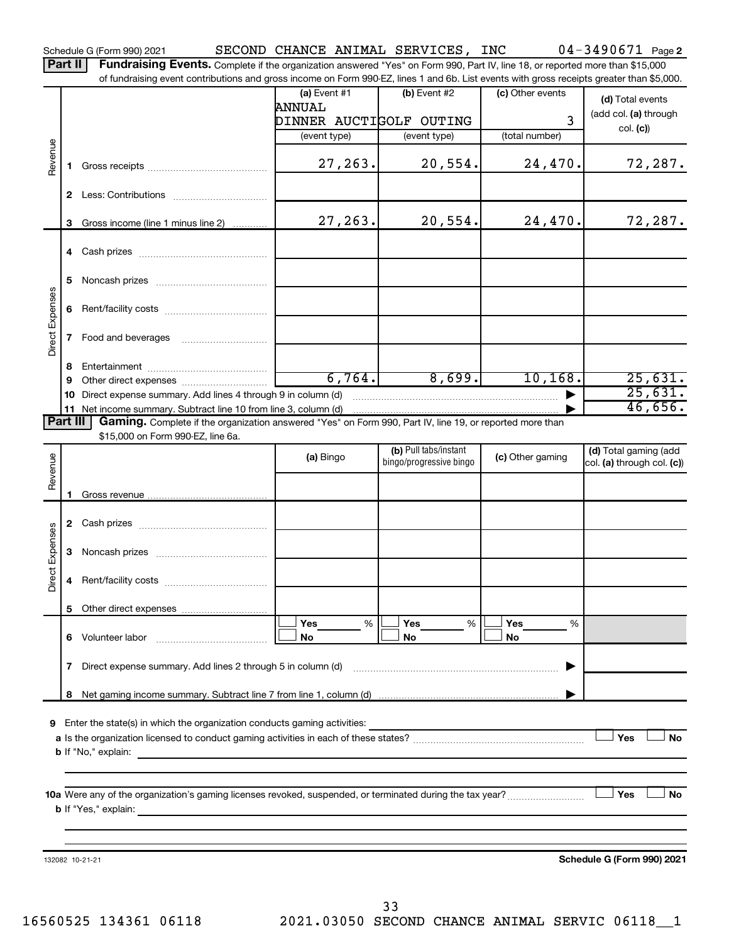Schedule G (Form 990) 2021 SECOND CHANCE ANIMAL SERVICES , INC 04-3490671 Page

Part II | Fundraising Events. Complete if the organization answered "Yes" on Form 990, Part IV, line 18, or reported more than \$15,000 of fundraising event contributions and gross income on Form 990-EZ, lines 1 and 6b. List events with gross receipts greater than \$5,000.

|                             |                |                                                                                                          | (a) Event $#1$          | (b) Event #2            | (c) Other events | (d) Total events           |
|-----------------------------|----------------|----------------------------------------------------------------------------------------------------------|-------------------------|-------------------------|------------------|----------------------------|
|                             |                |                                                                                                          | ANNUAL                  |                         |                  | (add col. (a) through      |
|                             |                |                                                                                                          | DINNER AUCTIGOLF OUTING |                         | 3                | col. (c)                   |
|                             |                |                                                                                                          | (event type)            | (event type)            | (total number)   |                            |
| Revenue                     | 1.             |                                                                                                          | 27, 263.                | 20,554.                 | 24, 470.         | 72,287.                    |
|                             |                |                                                                                                          |                         |                         |                  |                            |
|                             |                |                                                                                                          |                         |                         |                  |                            |
|                             |                | 3 Gross income (line 1 minus line 2)                                                                     | 27, 263.                | 20, 554.                | 24, 470.         | 72,287.                    |
|                             |                |                                                                                                          |                         |                         |                  |                            |
|                             | 5              |                                                                                                          |                         |                         |                  |                            |
| Direct Expenses             |                |                                                                                                          |                         |                         |                  |                            |
|                             | 7 <sup>7</sup> | Food and beverages                                                                                       |                         |                         |                  |                            |
|                             | 8              |                                                                                                          |                         |                         |                  |                            |
|                             | 9              |                                                                                                          | 6,764.                  | 8,699.                  | 10, 168.         | 25,631.                    |
|                             | 10             | Direct expense summary. Add lines 4 through 9 in column (d)                                              |                         |                         |                  | 25,631.                    |
|                             |                | 11 Net income summary. Subtract line 10 from line 3, column (d)                                          |                         |                         |                  | 46,656.                    |
| Part III                    |                | Gaming. Complete if the organization answered "Yes" on Form 990, Part IV, line 19, or reported more than |                         |                         |                  |                            |
|                             |                | \$15,000 on Form 990-EZ, line 6a.                                                                        |                         | (b) Pull tabs/instant   |                  | (d) Total gaming (add      |
| Revenue                     |                |                                                                                                          | (a) Bingo               | bingo/progressive bingo | (c) Other gaming | col. (a) through col. (c)) |
|                             |                |                                                                                                          |                         |                         |                  |                            |
|                             |                |                                                                                                          |                         |                         |                  |                            |
|                             |                |                                                                                                          |                         |                         |                  |                            |
| Direct Expenses             |                |                                                                                                          |                         |                         |                  |                            |
|                             | 4              |                                                                                                          |                         |                         |                  |                            |
|                             |                |                                                                                                          |                         |                         |                  |                            |
|                             |                |                                                                                                          | Yes<br>%                | Yes<br>%                | Yes<br>%         |                            |
|                             | 6.             | Volunteer labor                                                                                          | No                      | No                      | No               |                            |
|                             | 7              | Direct expense summary. Add lines 2 through 5 in column (d)                                              |                         |                         |                  |                            |
|                             | 8              |                                                                                                          |                         |                         |                  |                            |
|                             |                |                                                                                                          |                         |                         |                  |                            |
| 9                           |                | Enter the state(s) in which the organization conducts gaming activities:                                 |                         |                         |                  |                            |
|                             |                |                                                                                                          |                         |                         |                  | Yes<br>No                  |
|                             |                | <b>b</b> If "No," explain:                                                                               |                         |                         |                  |                            |
|                             |                |                                                                                                          |                         |                         |                  |                            |
|                             |                |                                                                                                          |                         |                         |                  | Yes<br>No                  |
| <b>b</b> If "Yes," explain: |                |                                                                                                          |                         |                         |                  |                            |
|                             |                | <u> 1980 - Johann John Stein, marwolaethau (b. 1980)</u>                                                 |                         |                         |                  |                            |
|                             |                |                                                                                                          |                         |                         |                  |                            |
|                             |                | 132082 10-21-21                                                                                          |                         |                         |                  | Schedule G (Form 990) 2021 |
|                             |                |                                                                                                          |                         |                         |                  |                            |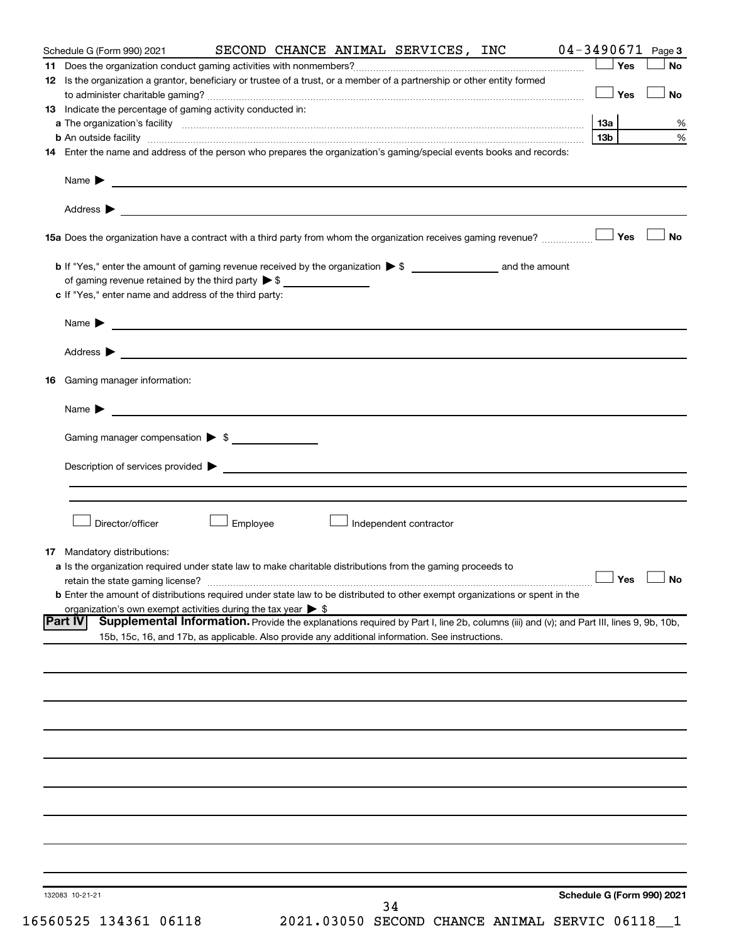| Schedule G (Form 990) 2021                                                                                                                                                                                                                             |          |  | SECOND CHANCE ANIMAL SERVICES, INC | $04 - 3490671$ Page 3 |                            |
|--------------------------------------------------------------------------------------------------------------------------------------------------------------------------------------------------------------------------------------------------------|----------|--|------------------------------------|-----------------------|----------------------------|
| 12 Is the organization a grantor, beneficiary or trustee of a trust, or a member of a partnership or other entity formed                                                                                                                               |          |  |                                    |                       | No                         |
| 13 Indicate the percentage of gaming activity conducted in:                                                                                                                                                                                            |          |  |                                    | $\Box$ Yes $\Box$     | <b>No</b>                  |
| a The organization's facility material content and the content of the content of the content of the content of the content of the content of the content of the content of the content of the content of the content of the co                         |          |  |                                    |                       | %                          |
| b An outside facility www.commutation.com/news/commutation.com/news/commutation.com/news/commutation/news/commu                                                                                                                                        |          |  |                                    | 13b l                 | $\%$                       |
| 14 Enter the name and address of the person who prepares the organization's gaming/special events books and records:                                                                                                                                   |          |  |                                    |                       |                            |
| Name $\blacktriangleright$                                                                                                                                                                                                                             |          |  |                                    |                       |                            |
|                                                                                                                                                                                                                                                        |          |  |                                    |                       |                            |
|                                                                                                                                                                                                                                                        |          |  |                                    |                       | <b>No</b>                  |
|                                                                                                                                                                                                                                                        |          |  |                                    |                       |                            |
| of gaming revenue retained by the third party $\triangleright$ \$<br>c If "Yes," enter name and address of the third party:                                                                                                                            |          |  |                                    |                       |                            |
|                                                                                                                                                                                                                                                        |          |  |                                    |                       |                            |
| Name $\blacktriangleright$                                                                                                                                                                                                                             |          |  |                                    |                       |                            |
|                                                                                                                                                                                                                                                        |          |  |                                    |                       |                            |
| <b>16</b> Gaming manager information:                                                                                                                                                                                                                  |          |  |                                    |                       |                            |
|                                                                                                                                                                                                                                                        |          |  |                                    |                       |                            |
| Gaming manager compensation > \$                                                                                                                                                                                                                       |          |  |                                    |                       |                            |
|                                                                                                                                                                                                                                                        |          |  |                                    |                       |                            |
|                                                                                                                                                                                                                                                        |          |  |                                    |                       |                            |
|                                                                                                                                                                                                                                                        |          |  |                                    |                       |                            |
| Director/officer                                                                                                                                                                                                                                       | Employee |  | Independent contractor             |                       |                            |
| 17 Mandatory distributions:                                                                                                                                                                                                                            |          |  |                                    |                       |                            |
| a Is the organization required under state law to make charitable distributions from the gaming proceeds to                                                                                                                                            |          |  |                                    |                       |                            |
| retain the state gaming license?                                                                                                                                                                                                                       |          |  |                                    |                       | $\Box$ Yes $\Box$ No       |
| <b>b</b> Enter the amount of distributions required under state law to be distributed to other exempt organizations or spent in the<br>organization's own exempt activities during the tax year $\triangleright$ \$                                    |          |  |                                    |                       |                            |
| Supplemental Information. Provide the explanations required by Part I, line 2b, columns (iii) and (v); and Part III, lines 9, 9b, 10b,<br> Part IV<br>15b, 15c, 16, and 17b, as applicable. Also provide any additional information. See instructions. |          |  |                                    |                       |                            |
|                                                                                                                                                                                                                                                        |          |  |                                    |                       |                            |
|                                                                                                                                                                                                                                                        |          |  |                                    |                       |                            |
|                                                                                                                                                                                                                                                        |          |  |                                    |                       |                            |
|                                                                                                                                                                                                                                                        |          |  |                                    |                       |                            |
|                                                                                                                                                                                                                                                        |          |  |                                    |                       |                            |
|                                                                                                                                                                                                                                                        |          |  |                                    |                       |                            |
|                                                                                                                                                                                                                                                        |          |  |                                    |                       |                            |
|                                                                                                                                                                                                                                                        |          |  |                                    |                       |                            |
|                                                                                                                                                                                                                                                        |          |  |                                    |                       |                            |
|                                                                                                                                                                                                                                                        |          |  |                                    |                       |                            |
| 132083 10-21-21                                                                                                                                                                                                                                        |          |  | 34                                 |                       | Schedule G (Form 990) 2021 |

16560525 134361 06118 2021.03050 SECOND CHANCE ANIMAL SERVIC 06118\_\_1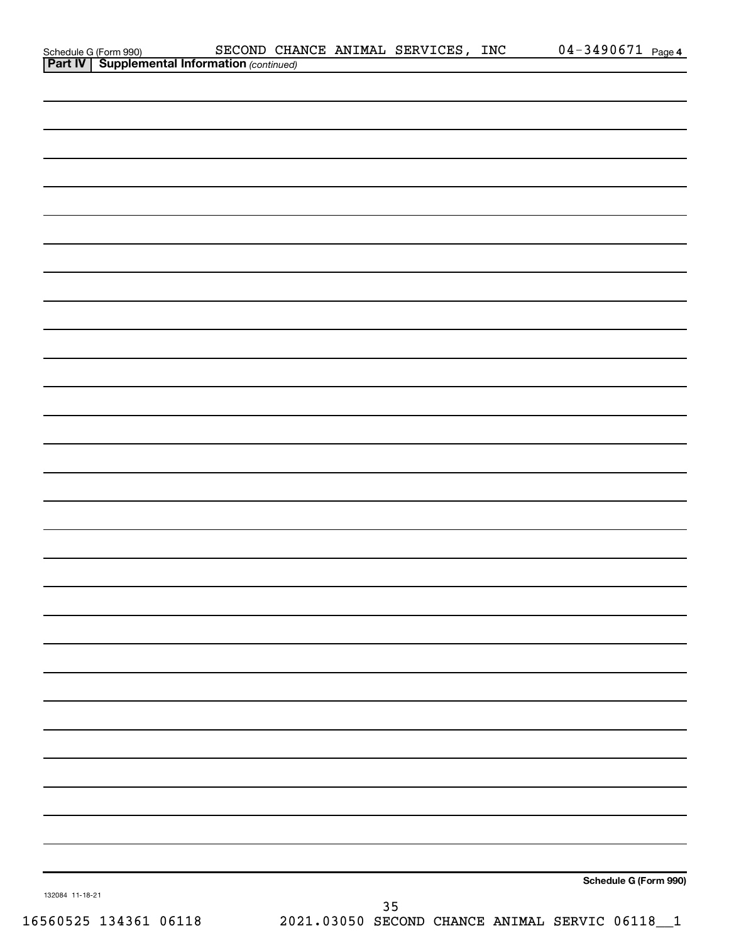|                                                                                           | SECOND CHANCE ANIMAL SERVICES, INC | $04 - 3490671$ Page 4 |
|-------------------------------------------------------------------------------------------|------------------------------------|-----------------------|
| Schedule G (Form 990) SECOND CHA<br><b>Part IV   Supplemental Information</b> (continued) |                                    |                       |
|                                                                                           |                                    |                       |
|                                                                                           |                                    |                       |
|                                                                                           |                                    |                       |
|                                                                                           |                                    |                       |
|                                                                                           |                                    |                       |
|                                                                                           |                                    |                       |
|                                                                                           |                                    |                       |
|                                                                                           |                                    |                       |
|                                                                                           |                                    |                       |
|                                                                                           |                                    |                       |
|                                                                                           |                                    |                       |
|                                                                                           |                                    |                       |
|                                                                                           |                                    |                       |
|                                                                                           |                                    |                       |
|                                                                                           |                                    |                       |
|                                                                                           |                                    |                       |
|                                                                                           |                                    |                       |
|                                                                                           |                                    |                       |
|                                                                                           |                                    |                       |
|                                                                                           |                                    |                       |
|                                                                                           |                                    |                       |
|                                                                                           |                                    |                       |
|                                                                                           |                                    |                       |
|                                                                                           |                                    |                       |
|                                                                                           |                                    |                       |
|                                                                                           |                                    |                       |
|                                                                                           |                                    |                       |
|                                                                                           |                                    |                       |
|                                                                                           |                                    |                       |
|                                                                                           |                                    |                       |
|                                                                                           |                                    |                       |
|                                                                                           |                                    |                       |
|                                                                                           |                                    |                       |
|                                                                                           |                                    |                       |
|                                                                                           |                                    |                       |
|                                                                                           |                                    |                       |
|                                                                                           |                                    |                       |
|                                                                                           |                                    |                       |
|                                                                                           |                                    |                       |
|                                                                                           |                                    |                       |
|                                                                                           |                                    |                       |
|                                                                                           |                                    |                       |
|                                                                                           |                                    |                       |
|                                                                                           |                                    |                       |
|                                                                                           |                                    |                       |
|                                                                                           |                                    |                       |
|                                                                                           |                                    |                       |
|                                                                                           |                                    |                       |
|                                                                                           |                                    | Schedule G (Form 990) |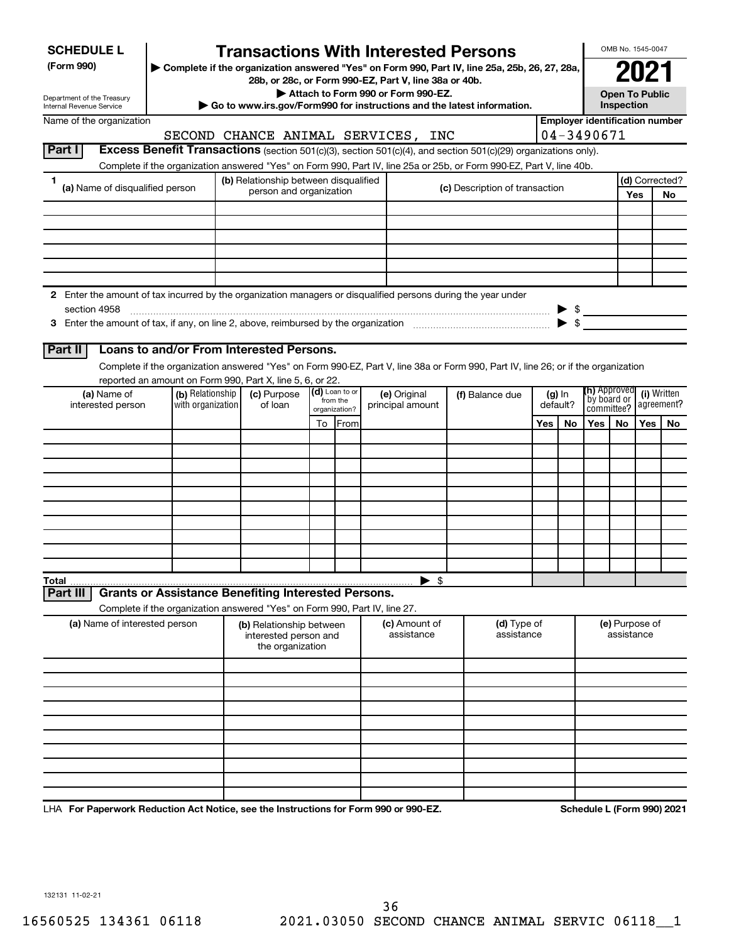Department of the Treasury Internal Revenue Service

# **Transactions With Interested Persons**

**(Form 990) | Complete if the organization answered "Yes" on Form 990, Part IV, line 25a, 25b, 26, 27, 28a,**

**28b, or 28c, or Form 990-EZ, Part V, line 38a or 40b.**

**| Attach to Form 990 or Form 990-EZ.**

**| Go to www.irs.gov/Form990 for instructions and the latest information.**

| 3а. | N2                                  |
|-----|-------------------------------------|
|     | <b>Open To Public</b><br>Inspection |

OMB No. 1545-0047

Name of the organization

# SECOND CHANCE ANIMAL SERVICES, INC | 04-3490671

**Employer identification number**

|  | <b>Part I Excess Benefit Transactions</b> (section 501(c)(3), section 501(c)(4), and section 501(c)(29) organizations only). |  |  |               |            |  |  |  |
|--|------------------------------------------------------------------------------------------------------------------------------|--|--|---------------|------------|--|--|--|
|  |                                                                                                                              |  |  | ------------- | __________ |  |  |  |

Complete if the organization answered "Yes" on Form 990, Part IV, line 25a or 25b, or Form 990-EZ, Part V, line 40b.

|                                                                                     | (b) Relationship between disqualified                                                                         |                                |  |  |     | (d) Corrected? |  |  |
|-------------------------------------------------------------------------------------|---------------------------------------------------------------------------------------------------------------|--------------------------------|--|--|-----|----------------|--|--|
| (a) Name of disqualified person                                                     | person and organization                                                                                       | (c) Description of transaction |  |  | Yes | No             |  |  |
|                                                                                     |                                                                                                               |                                |  |  |     |                |  |  |
|                                                                                     |                                                                                                               |                                |  |  |     |                |  |  |
|                                                                                     |                                                                                                               |                                |  |  |     |                |  |  |
|                                                                                     |                                                                                                               |                                |  |  |     |                |  |  |
|                                                                                     |                                                                                                               |                                |  |  |     |                |  |  |
|                                                                                     |                                                                                                               |                                |  |  |     |                |  |  |
|                                                                                     | 2 Enter the amount of tax incurred by the organization managers or disqualified persons during the year under |                                |  |  |     |                |  |  |
| section 4958                                                                        |                                                                                                               |                                |  |  |     |                |  |  |
| 3 Enter the amount of tax, if any, on line 2, above, reimbursed by the organization |                                                                                                               |                                |  |  |     |                |  |  |

## **Part II Loans to and/or From Interested Persons.**

Complete if the organization answered "Yes" on Form 990-EZ, Part V, line 38a or Form 990, Part IV, line 26; or if the organization reported an amount on Form 990, Part X, line 5, 6, or 22.

| (a) Name of<br>interested person | (b) Relationship<br>with organization | (c) Purpose<br>of loan |    | (d) Loan to or<br>from the<br>organization? | (e) Original<br>principal amount | (f) Balance due | (g) In<br>default? |    | (h) Approved<br>by board or<br>committee? |           | (i) Written<br>  agreement? |    |
|----------------------------------|---------------------------------------|------------------------|----|---------------------------------------------|----------------------------------|-----------------|--------------------|----|-------------------------------------------|-----------|-----------------------------|----|
|                                  |                                       |                        | To | <b> From </b>                               |                                  |                 | Yes                | No | Yes                                       | <b>No</b> | Yes                         | No |
|                                  |                                       |                        |    |                                             |                                  |                 |                    |    |                                           |           |                             |    |
|                                  |                                       |                        |    |                                             |                                  |                 |                    |    |                                           |           |                             |    |
|                                  |                                       |                        |    |                                             |                                  |                 |                    |    |                                           |           |                             |    |
|                                  |                                       |                        |    |                                             |                                  |                 |                    |    |                                           |           |                             |    |
|                                  |                                       |                        |    |                                             |                                  |                 |                    |    |                                           |           |                             |    |
|                                  |                                       |                        |    |                                             |                                  |                 |                    |    |                                           |           |                             |    |
|                                  |                                       |                        |    |                                             |                                  |                 |                    |    |                                           |           |                             |    |
|                                  |                                       |                        |    |                                             |                                  |                 |                    |    |                                           |           |                             |    |
|                                  |                                       |                        |    |                                             |                                  |                 |                    |    |                                           |           |                             |    |
|                                  |                                       |                        |    |                                             |                                  |                 |                    |    |                                           |           |                             |    |
|                                  |                                       |                        |    |                                             | $\blacktriangleright$ \$         |                 |                    |    |                                           |           |                             |    |

**Part III Grants or Assistance Benefiting Interested Persons.**

Complete if the organization answered "Yes" on Form 990, Part IV, line 27.

| (a) Name of interested person | (b) Relationship between<br>interested person and<br>the organization | (c) Amount of<br>assistance | (d) Type of<br>assistance | (e) Purpose of<br>assistance |
|-------------------------------|-----------------------------------------------------------------------|-----------------------------|---------------------------|------------------------------|
|                               |                                                                       |                             |                           |                              |
|                               |                                                                       |                             |                           |                              |
|                               |                                                                       |                             |                           |                              |
|                               |                                                                       |                             |                           |                              |
|                               |                                                                       |                             |                           |                              |
|                               |                                                                       |                             |                           |                              |
|                               |                                                                       |                             |                           |                              |
|                               |                                                                       |                             |                           |                              |
|                               |                                                                       |                             |                           |                              |
|                               |                                                                       |                             |                           |                              |

**For Paperwork Reduction Act Notice, see the Instructions for Form 990 or 990-EZ. Schedule L (Form 990) 2021** LHA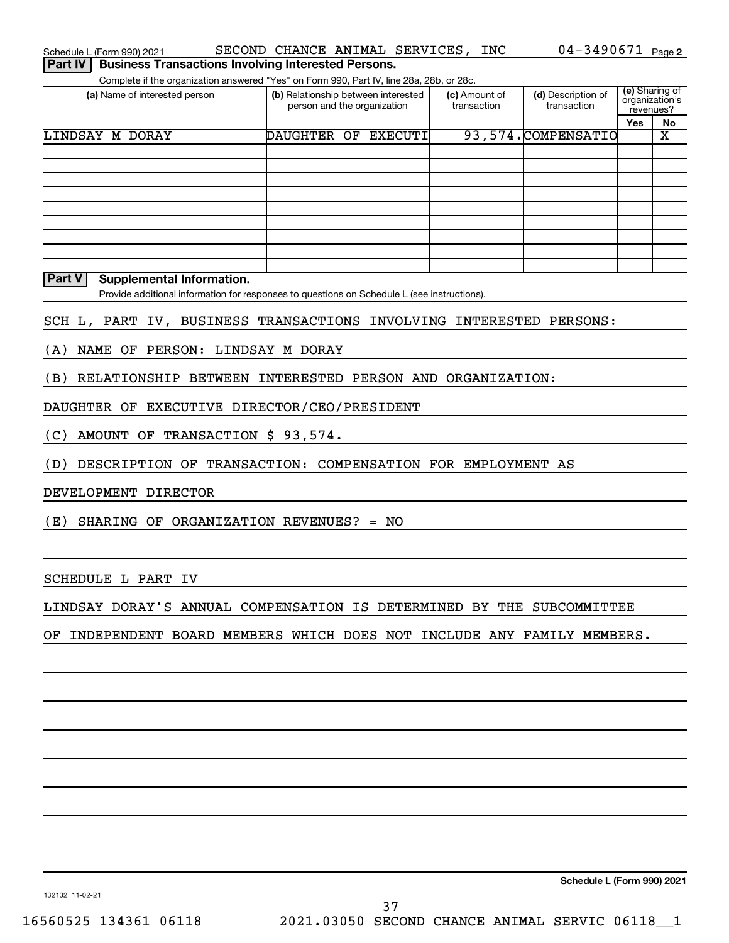| Schedule L (Form 990) 2021                                                   | SECOND CHANCE ANIMAL SERVICES, INC                                                          |                              | $04 - 3490671$ Page 2             |                |                |
|------------------------------------------------------------------------------|---------------------------------------------------------------------------------------------|------------------------------|-----------------------------------|----------------|----------------|
| <b>Business Transactions Involving Interested Persons.</b><br><b>Part IV</b> |                                                                                             |                              |                                   |                |                |
|                                                                              | Complete if the organization answered "Yes" on Form 990, Part IV, line 28a, 28b, or 28c.    |                              |                                   |                | (e) Sharing of |
| (a) Name of interested person                                                | (b) Relationship between interested<br>person and the organization                          | (c) Amount of<br>transaction | (d) Description of<br>transaction | organization's |                |
|                                                                              |                                                                                             |                              |                                   | revenues?      |                |
| <b>LINDSAY M DORAY</b>                                                       | DAUGHTER OF EXECUTI                                                                         |                              | 93, 574. COMPENSATIO              | Yes            | No<br>х        |
|                                                                              |                                                                                             |                              |                                   |                |                |
|                                                                              |                                                                                             |                              |                                   |                |                |
|                                                                              |                                                                                             |                              |                                   |                |                |
|                                                                              |                                                                                             |                              |                                   |                |                |
|                                                                              |                                                                                             |                              |                                   |                |                |
|                                                                              |                                                                                             |                              |                                   |                |                |
|                                                                              |                                                                                             |                              |                                   |                |                |
|                                                                              |                                                                                             |                              |                                   |                |                |
|                                                                              |                                                                                             |                              |                                   |                |                |
| Part V<br><b>Supplemental Information.</b>                                   |                                                                                             |                              |                                   |                |                |
|                                                                              | Provide additional information for responses to questions on Schedule L (see instructions). |                              |                                   |                |                |
| SCH L, PART IV, BUSINESS TRANSACTIONS INVOLVING INTERESTED PERSONS:          |                                                                                             |                              |                                   |                |                |
| NAME OF PERSON: LINDSAY M DORAY<br>(A)                                       |                                                                                             |                              |                                   |                |                |
|                                                                              |                                                                                             |                              |                                   |                |                |
| RELATIONSHIP BETWEEN INTERESTED PERSON AND ORGANIZATION:<br>(B)              |                                                                                             |                              |                                   |                |                |
| DAUGHTER OF EXECUTIVE DIRECTOR/CEO/PRESIDENT                                 |                                                                                             |                              |                                   |                |                |
| AMOUNT OF TRANSACTION \$ 93,574.<br>(C)                                      |                                                                                             |                              |                                   |                |                |
| DESCRIPTION OF TRANSACTION: COMPENSATION FOR EMPLOYMENT AS<br>(D)            |                                                                                             |                              |                                   |                |                |
| DEVELOPMENT DIRECTOR                                                         |                                                                                             |                              |                                   |                |                |
| (E)<br>SHARING OF ORGANIZATION REVENUES? = $NO$                              |                                                                                             |                              |                                   |                |                |
|                                                                              |                                                                                             |                              |                                   |                |                |
|                                                                              |                                                                                             |                              |                                   |                |                |
| SCHEDULE L PART IV                                                           |                                                                                             |                              |                                   |                |                |
| LINDSAY DORAY'S ANNUAL COMPENSATION IS DETERMINED BY THE SUBCOMMITTEE        |                                                                                             |                              |                                   |                |                |
| OF INDEPENDENT BOARD MEMBERS WHICH DOES NOT INCLUDE ANY FAMILY MEMBERS.      |                                                                                             |                              |                                   |                |                |
|                                                                              |                                                                                             |                              |                                   |                |                |
|                                                                              |                                                                                             |                              |                                   |                |                |
|                                                                              |                                                                                             |                              |                                   |                |                |
|                                                                              |                                                                                             |                              |                                   |                |                |
|                                                                              |                                                                                             |                              |                                   |                |                |
|                                                                              |                                                                                             |                              |                                   |                |                |

**Schedule L (Form 990) 2021**

132132 11-02-21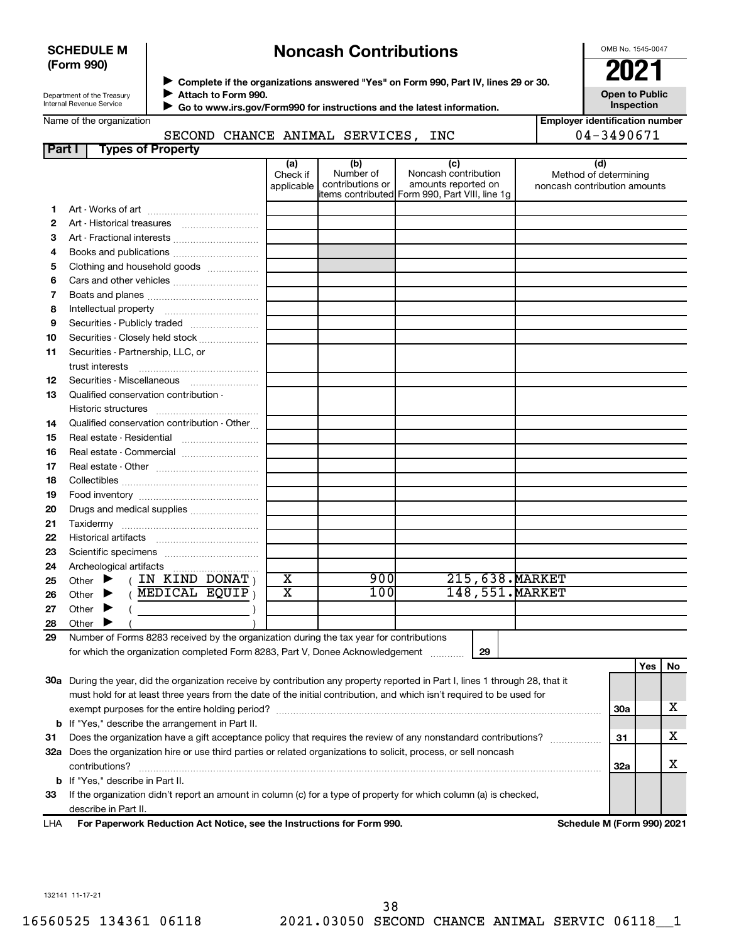## **SCHEDULE M (Form 990)**

# **Noncash Contributions**

OMB No. 1545-0047

Department of the Treasury Internal Revenue Service

Name of the organization

◆ Complete if the organizations answered "Yes" on Form 990, Part IV, lines 29 or 30.<br>▶ Complete if the organizations answered "Yes" on Form 990, Part IV, lines 29 or 30. **Attach to Form 990.**  $\blacktriangleright$ 

 **Go to www.irs.gov/Form990 for instructions and the latest information.** J

**Inspection Employer identification number**

**Open to Public**

|  |  | SECOND CHANCE ANIMAL SERVICES, IN |  |
|--|--|-----------------------------------|--|
|  |  |                                   |  |

|               | SECOND CHANCE ANIMAL SERVICES, INC                                                                                             |                               |                                      |                                                                                                      | 04-3490671                                                   |     |     |    |
|---------------|--------------------------------------------------------------------------------------------------------------------------------|-------------------------------|--------------------------------------|------------------------------------------------------------------------------------------------------|--------------------------------------------------------------|-----|-----|----|
| <b>Part I</b> | <b>Types of Property</b>                                                                                                       |                               |                                      |                                                                                                      |                                                              |     |     |    |
|               |                                                                                                                                | (a)<br>Check if<br>applicable | (b)<br>Number of<br>contributions or | (c)<br>Noncash contribution<br>amounts reported on<br>items contributed Form 990, Part VIII, line 1g | (d)<br>Method of determining<br>noncash contribution amounts |     |     |    |
| 1.            |                                                                                                                                |                               |                                      |                                                                                                      |                                                              |     |     |    |
| 2             |                                                                                                                                |                               |                                      |                                                                                                      |                                                              |     |     |    |
| 3             | Art - Fractional interests                                                                                                     |                               |                                      |                                                                                                      |                                                              |     |     |    |
| 4             | Books and publications                                                                                                         |                               |                                      |                                                                                                      |                                                              |     |     |    |
| 5             | Clothing and household goods                                                                                                   |                               |                                      |                                                                                                      |                                                              |     |     |    |
| 6             |                                                                                                                                |                               |                                      |                                                                                                      |                                                              |     |     |    |
| 7             |                                                                                                                                |                               |                                      |                                                                                                      |                                                              |     |     |    |
| 8             |                                                                                                                                |                               |                                      |                                                                                                      |                                                              |     |     |    |
| 9             | Securities - Publicly traded                                                                                                   |                               |                                      |                                                                                                      |                                                              |     |     |    |
| 10            | Securities - Closely held stock                                                                                                |                               |                                      |                                                                                                      |                                                              |     |     |    |
| 11            | Securities - Partnership, LLC, or                                                                                              |                               |                                      |                                                                                                      |                                                              |     |     |    |
|               | trust interests                                                                                                                |                               |                                      |                                                                                                      |                                                              |     |     |    |
| 12            | Securities - Miscellaneous                                                                                                     |                               |                                      |                                                                                                      |                                                              |     |     |    |
| 13            | Qualified conservation contribution -                                                                                          |                               |                                      |                                                                                                      |                                                              |     |     |    |
|               |                                                                                                                                |                               |                                      |                                                                                                      |                                                              |     |     |    |
| 14            | Qualified conservation contribution - Other                                                                                    |                               |                                      |                                                                                                      |                                                              |     |     |    |
| 15            | Real estate - Residential                                                                                                      |                               |                                      |                                                                                                      |                                                              |     |     |    |
| 16            | Real estate - Commercial                                                                                                       |                               |                                      |                                                                                                      |                                                              |     |     |    |
| 17            |                                                                                                                                |                               |                                      |                                                                                                      |                                                              |     |     |    |
| 18            |                                                                                                                                |                               |                                      |                                                                                                      |                                                              |     |     |    |
| 19            |                                                                                                                                |                               |                                      |                                                                                                      |                                                              |     |     |    |
| 20            | Drugs and medical supplies                                                                                                     |                               |                                      |                                                                                                      |                                                              |     |     |    |
| 21            |                                                                                                                                |                               |                                      |                                                                                                      |                                                              |     |     |    |
| 22            |                                                                                                                                |                               |                                      |                                                                                                      |                                                              |     |     |    |
| 23            |                                                                                                                                |                               |                                      |                                                                                                      |                                                              |     |     |    |
| 24            | Archeological artifacts<br>(IN KIND DONAT)                                                                                     | $\overline{\textbf{x}}$       | 900                                  | 215,638. MARKET                                                                                      |                                                              |     |     |    |
| 25            | Other $\blacktriangleright$<br>$($ MEDICAL EQUIP)<br>Other $\blacktriangleright$                                               | $\overline{\textbf{x}}$       | 100                                  | 148,551. MARKET                                                                                      |                                                              |     |     |    |
| 26            | Other $\blacktriangleright$                                                                                                    |                               |                                      |                                                                                                      |                                                              |     |     |    |
| 27            | Other $\blacktriangleright$                                                                                                    |                               |                                      |                                                                                                      |                                                              |     |     |    |
| 28<br>29      | Number of Forms 8283 received by the organization during the tax year for contributions                                        |                               |                                      |                                                                                                      |                                                              |     |     |    |
|               | for which the organization completed Form 8283, Part V, Donee Acknowledgement                                                  |                               |                                      | 29                                                                                                   |                                                              |     |     |    |
|               |                                                                                                                                |                               |                                      |                                                                                                      |                                                              |     | Yes | No |
|               | 30a During the year, did the organization receive by contribution any property reported in Part I, lines 1 through 28, that it |                               |                                      |                                                                                                      |                                                              |     |     |    |
|               | must hold for at least three years from the date of the initial contribution, and which isn't required to be used for          |                               |                                      |                                                                                                      |                                                              |     |     |    |
|               |                                                                                                                                |                               |                                      |                                                                                                      |                                                              | 30a |     | x  |
|               | <b>b</b> If "Yes," describe the arrangement in Part II.                                                                        |                               |                                      |                                                                                                      |                                                              |     |     |    |
| 31            | Does the organization have a gift acceptance policy that requires the review of any nonstandard contributions?                 |                               |                                      |                                                                                                      |                                                              | 31  |     | x  |
|               | 32a Does the organization hire or use third parties or related organizations to solicit, process, or sell noncash              |                               |                                      |                                                                                                      |                                                              |     |     |    |
|               | contributions?                                                                                                                 |                               |                                      |                                                                                                      |                                                              | 32a |     | х  |
|               | <b>b</b> If "Yes," describe in Part II.                                                                                        |                               |                                      |                                                                                                      |                                                              |     |     |    |
| 33            | If the organization didn't report an amount in column (c) for a type of property for which column (a) is checked,              |                               |                                      |                                                                                                      |                                                              |     |     |    |

describe in Part II.

**For Paperwork Reduction Act Notice, see the Instructions for Form 990. Schedule M (Form 990) 2021** LHA

132141 11-17-21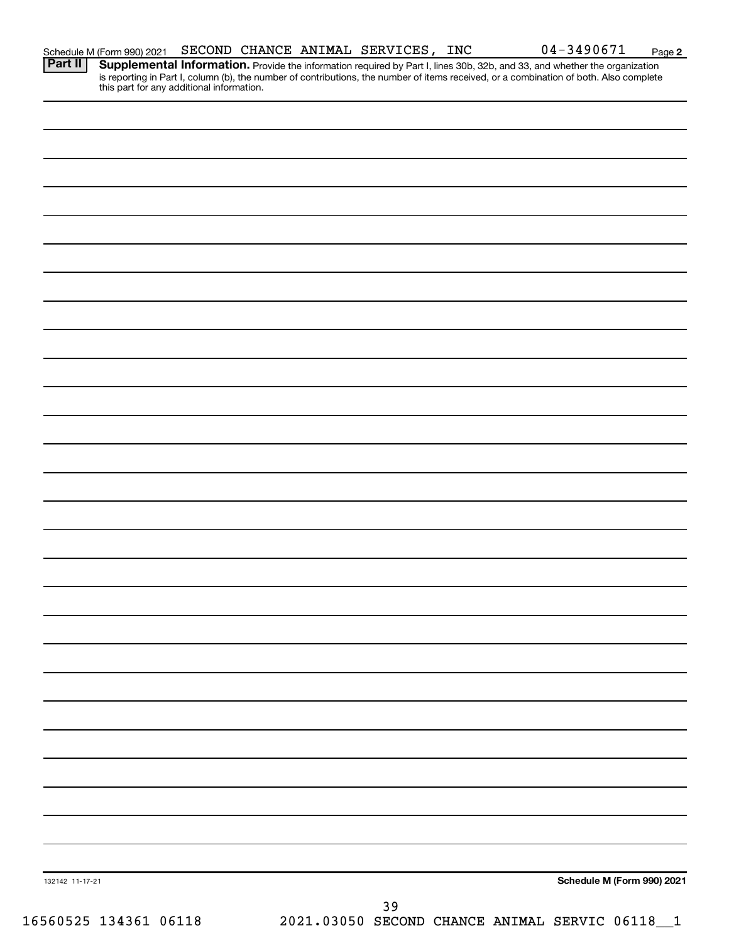|         | Schedule M (Form 990) 2021                |  | SECOND CHANCE ANIMAL SERVICES, INC. | $04 - 3490671$                                                                                                                                                                                                                                                       | Pa |
|---------|-------------------------------------------|--|-------------------------------------|----------------------------------------------------------------------------------------------------------------------------------------------------------------------------------------------------------------------------------------------------------------------|----|
| Part II | this part for any additional information. |  |                                     | Supplemental Information. Provide the information required by Part I, lines 30b, 32b, and 33, and whether the organization<br>is reporting in Part I, column (b), the number of contributions, the number of items received, or a combination of both. Also complete |    |
|         |                                           |  |                                     |                                                                                                                                                                                                                                                                      |    |
|         |                                           |  |                                     |                                                                                                                                                                                                                                                                      |    |
|         |                                           |  |                                     |                                                                                                                                                                                                                                                                      |    |

Schedule M (Form 990) 2021 SECOND CHANCE ANIMAL SERVICES, INC  $04-3490671$  Page

**Schedule M (Form 990) 2021**

**2**

132142 11-17-21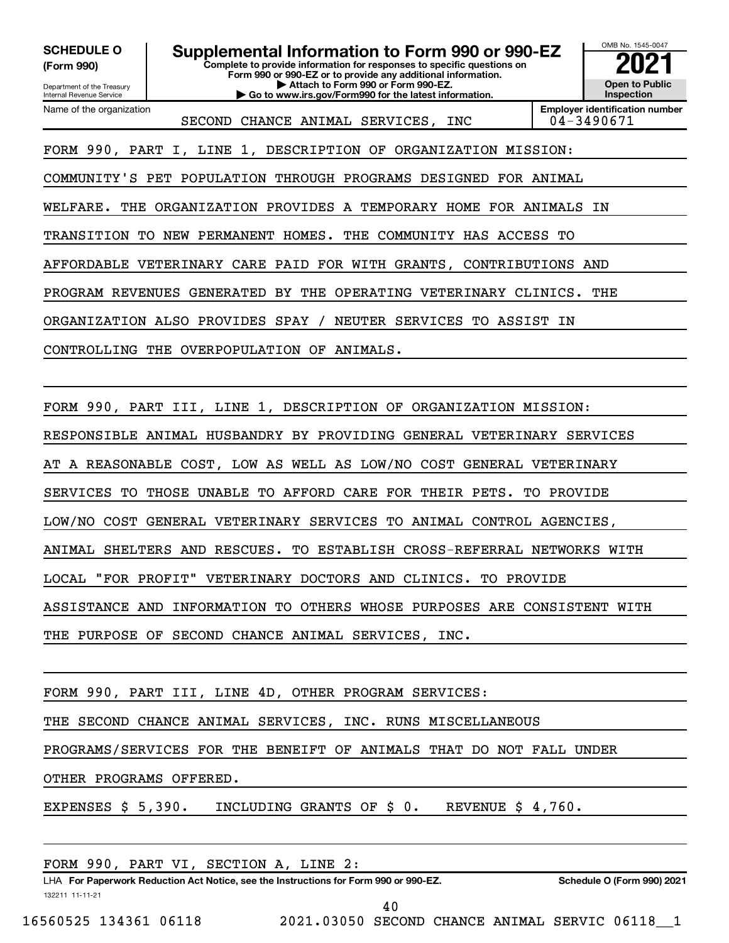**(Form 990)**

**Complete to provide information for responses to specific questions on SCHEDULE O Supplemental Information to Form 990 or 990-EZ**  $\frac{10008060000}{202}$ 

**Form 990 or 990-EZ or to provide any additional information. | Attach to Form 990 or Form 990-EZ. | Go to www.irs.gov/Form990 for the latest information.**

OMB No. 1545-0047 **Open to Public Inspection**

Department of the Treasury Internal Revenue Service Name of the organization

SECOND CHANCE ANIMAL SERVICES, INC | 04-3490671

**Employer identification number**

FORM 990, PART I, LINE 1, DESCRIPTION OF ORGANIZATION MISSION:

COMMUNITY'S PET POPULATION THROUGH PROGRAMS DESIGNED FOR ANIMAL

WELFARE. THE ORGANIZATION PROVIDES A TEMPORARY HOME FOR ANIMALS IN

TRANSITION TO NEW PERMANENT HOMES. THE COMMUNITY HAS ACCESS TO

AFFORDABLE VETERINARY CARE PAID FOR WITH GRANTS, CONTRIBUTIONS AND

PROGRAM REVENUES GENERATED BY THE OPERATING VETERINARY CLINICS. THE

ORGANIZATION ALSO PROVIDES SPAY / NEUTER SERVICES TO ASSIST IN

CONTROLLING THE OVERPOPULATION OF ANIMALS.

FORM 990, PART III, LINE 1, DESCRIPTION OF ORGANIZATION MISSION:

RESPONSIBLE ANIMAL HUSBANDRY BY PROVIDING GENERAL VETERINARY SERVICES

AT A REASONABLE COST, LOW AS WELL AS LOW/NO COST GENERAL VETERINARY

SERVICES TO THOSE UNABLE TO AFFORD CARE FOR THEIR PETS. TO PROVIDE

LOW/NO COST GENERAL VETERINARY SERVICES TO ANIMAL CONTROL AGENCIES,

ANIMAL SHELTERS AND RESCUES. TO ESTABLISH CROSS-REFERRAL NETWORKS WITH

LOCAL "FOR PROFIT" VETERINARY DOCTORS AND CLINICS. TO PROVIDE

ASSISTANCE AND INFORMATION TO OTHERS WHOSE PURPOSES ARE CONSISTENT WITH

THE PURPOSE OF SECOND CHANCE ANIMAL SERVICES, INC.

FORM 990, PART III, LINE 4D, OTHER PROGRAM SERVICES:

THE SECOND CHANCE ANIMAL SERVICES, INC. RUNS MISCELLANEOUS

PROGRAMS/SERVICES FOR THE BENEIFT OF ANIMALS THAT DO NOT FALL UNDER

OTHER PROGRAMS OFFERED.

EXPENSES \$ 5,390. INCLUDING GRANTS OF \$ 0. REVENUE \$ 4,760.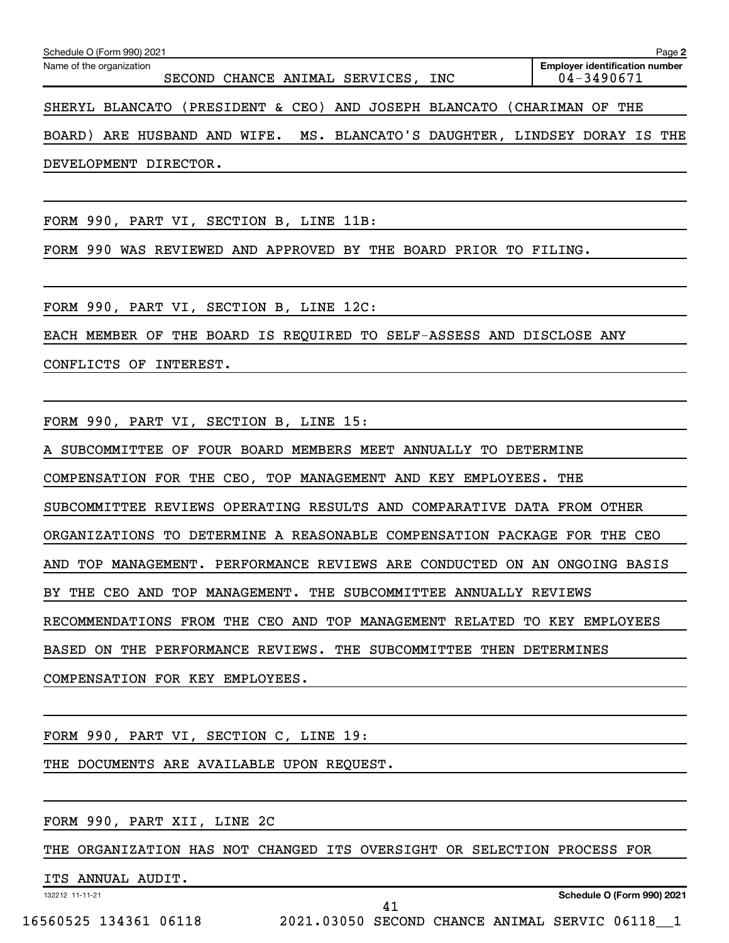| Schedule O (Form 990) 2021                                                 | Page 2                                              |
|----------------------------------------------------------------------------|-----------------------------------------------------|
| Name of the organization<br>SECOND CHANCE ANIMAL SERVICES, INC             | <b>Employer identification number</b><br>04-3490671 |
| SHERYL BLANCATO (PRESIDENT & CEO) AND JOSEPH BLANCATO (CHARIMAN OF THE     |                                                     |
| BOARD) ARE HUSBAND AND WIFE. MS. BLANCATO'S DAUGHTER, LINDSEY DORAY IS THE |                                                     |

DEVELOPMENT DIRECTOR.

FORM 990, PART VI, SECTION B, LINE 11B:

FORM 990 WAS REVIEWED AND APPROVED BY THE BOARD PRIOR TO FILING.

FORM 990, PART VI, SECTION B, LINE 12C:

EACH MEMBER OF THE BOARD IS REQUIRED TO SELF-ASSESS AND DISCLOSE ANY

CONFLICTS OF INTEREST.

FORM 990, PART VI, SECTION B, LINE 15:

A SUBCOMMITTEE OF FOUR BOARD MEMBERS MEET ANNUALLY TO DETERMINE

COMPENSATION FOR THE CEO, TOP MANAGEMENT AND KEY EMPLOYEES. THE

SUBCOMMITTEE REVIEWS OPERATING RESULTS AND COMPARATIVE DATA FROM OTHER

ORGANIZATIONS TO DETERMINE A REASONABLE COMPENSATION PACKAGE FOR THE CEO

AND TOP MANAGEMENT. PERFORMANCE REVIEWS ARE CONDUCTED ON AN ONGOING BASIS

BY THE CEO AND TOP MANAGEMENT. THE SUBCOMMITTEE ANNUALLY REVIEWS

RECOMMENDATIONS FROM THE CEO AND TOP MANAGEMENT RELATED TO KEY EMPLOYEES

BASED ON THE PERFORMANCE REVIEWS. THE SUBCOMMITTEE THEN DETERMINES

COMPENSATION FOR KEY EMPLOYEES.

FORM 990, PART VI, SECTION C, LINE 19:

THE DOCUMENTS ARE AVAILABLE UPON REQUEST.

FORM 990, PART XII, LINE 2C

THE ORGANIZATION HAS NOT CHANGED ITS OVERSIGHT OR SELECTION PROCESS FOR

ITS ANNUAL AUDIT.

132212 11-11-21

**Schedule O (Form 990) 2021**